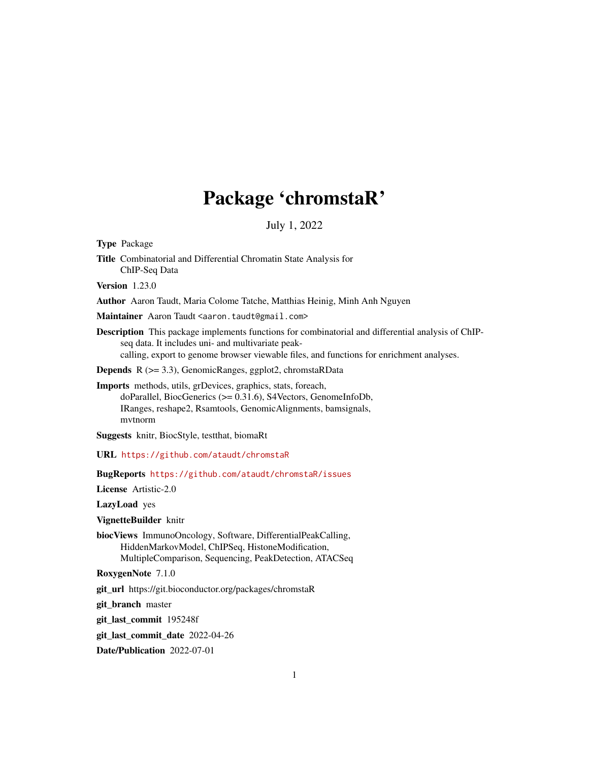# Package 'chromstaR'

July 1, 2022

<span id="page-0-0"></span>Type Package

Title Combinatorial and Differential Chromatin State Analysis for ChIP-Seq Data

Version 1.23.0

Author Aaron Taudt, Maria Colome Tatche, Matthias Heinig, Minh Anh Nguyen

Maintainer Aaron Taudt <aaron.taudt@gmail.com>

Description This package implements functions for combinatorial and differential analysis of ChIPseq data. It includes uni- and multivariate peakcalling, export to genome browser viewable files, and functions for enrichment analyses.

Depends R (>= 3.3), GenomicRanges, ggplot2, chromstaRData

Imports methods, utils, grDevices, graphics, stats, foreach, doParallel, BiocGenerics (>= 0.31.6), S4Vectors, GenomeInfoDb, IRanges, reshape2, Rsamtools, GenomicAlignments, bamsignals, mvtnorm

Suggests knitr, BiocStyle, testthat, biomaRt

URL <https://github.com/ataudt/chromstaR>

BugReports <https://github.com/ataudt/chromstaR/issues>

License Artistic-2.0

LazyLoad yes

VignetteBuilder knitr

biocViews ImmunoOncology, Software, DifferentialPeakCalling, HiddenMarkovModel, ChIPSeq, HistoneModification, MultipleComparison, Sequencing, PeakDetection, ATACSeq

RoxygenNote 7.1.0

git\_url https://git.bioconductor.org/packages/chromstaR

git branch master

git\_last\_commit 195248f

git last commit date 2022-04-26

Date/Publication 2022-07-01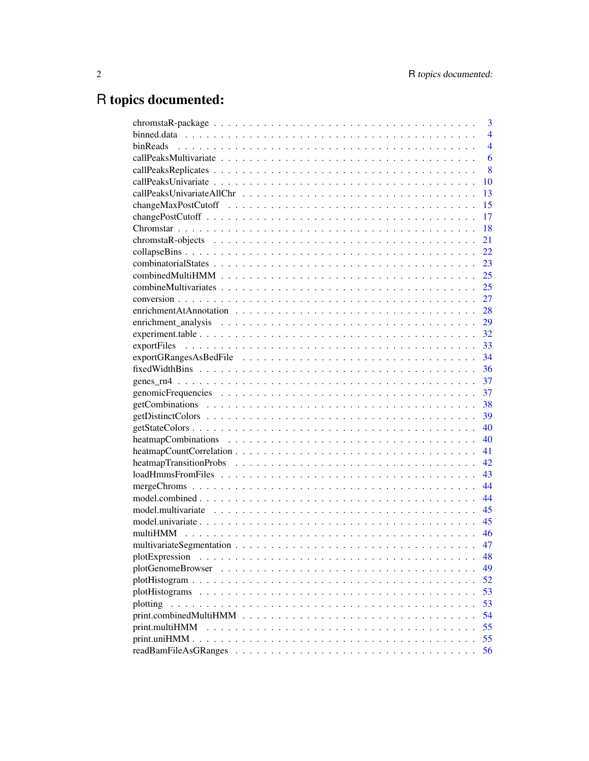# R topics documented:

|                                                                                                       | 3              |
|-------------------------------------------------------------------------------------------------------|----------------|
|                                                                                                       | $\overline{4}$ |
|                                                                                                       | $\overline{4}$ |
|                                                                                                       | 6              |
|                                                                                                       | 8              |
|                                                                                                       | 10             |
|                                                                                                       | 13             |
|                                                                                                       | 15             |
|                                                                                                       | 17             |
|                                                                                                       | 18             |
|                                                                                                       | 21             |
|                                                                                                       | 22             |
|                                                                                                       | 23             |
|                                                                                                       | 25             |
|                                                                                                       | 25             |
|                                                                                                       | 27             |
|                                                                                                       | 28             |
|                                                                                                       | 29             |
|                                                                                                       | 32             |
|                                                                                                       | 33             |
|                                                                                                       | 34             |
|                                                                                                       | 36             |
|                                                                                                       | 37             |
|                                                                                                       | 37             |
|                                                                                                       | 38             |
|                                                                                                       | 39             |
|                                                                                                       | 40             |
|                                                                                                       | 40             |
|                                                                                                       | 41             |
|                                                                                                       | 42             |
|                                                                                                       | 43             |
|                                                                                                       | 44             |
|                                                                                                       | 44             |
|                                                                                                       | 45             |
|                                                                                                       | 45             |
|                                                                                                       | 46             |
|                                                                                                       |                |
| plotExpression                                                                                        | 48             |
|                                                                                                       | 49             |
|                                                                                                       | 52             |
|                                                                                                       | 53             |
| plotting                                                                                              | 53             |
| $print.compileMultiHMM \dots \dots \dots \dots \dots \dots \dots \dots \dots \dots \dots \dots \dots$ | 54             |
| print.multiHMM                                                                                        | 55             |
|                                                                                                       | 55             |
|                                                                                                       | 56             |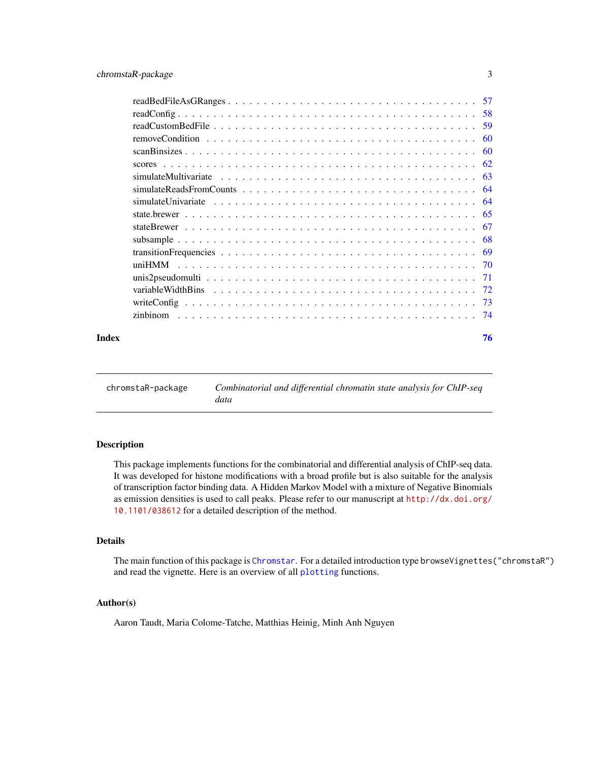<span id="page-2-0"></span>

| 60 |
|----|
| 60 |
|    |
|    |
|    |
|    |
|    |
|    |
|    |
|    |
|    |
|    |
|    |
|    |
|    |
|    |

# **Index** [76](#page-75-0)

chromstaR-package *Combinatorial and differential chromatin state analysis for ChIP-seq data*

# <span id="page-2-1"></span>Description

This package implements functions for the combinatorial and differential analysis of ChIP-seq data. It was developed for histone modifications with a broad profile but is also suitable for the analysis of transcription factor binding data. A Hidden Markov Model with a mixture of Negative Binomials as emission densities is used to call peaks. Please refer to our manuscript at [http://dx.doi.org/](http://dx.doi.org/10.1101/038612) [10.1101/038612](http://dx.doi.org/10.1101/038612) for a detailed description of the method.

# Details

The main function of this package is [Chromstar](#page-17-1). For a detailed introduction type browseVignettes("chromstaR") and read the vignette. Here is an overview of all [plotting](#page-52-1) functions.

### Author(s)

Aaron Taudt, Maria Colome-Tatche, Matthias Heinig, Minh Anh Nguyen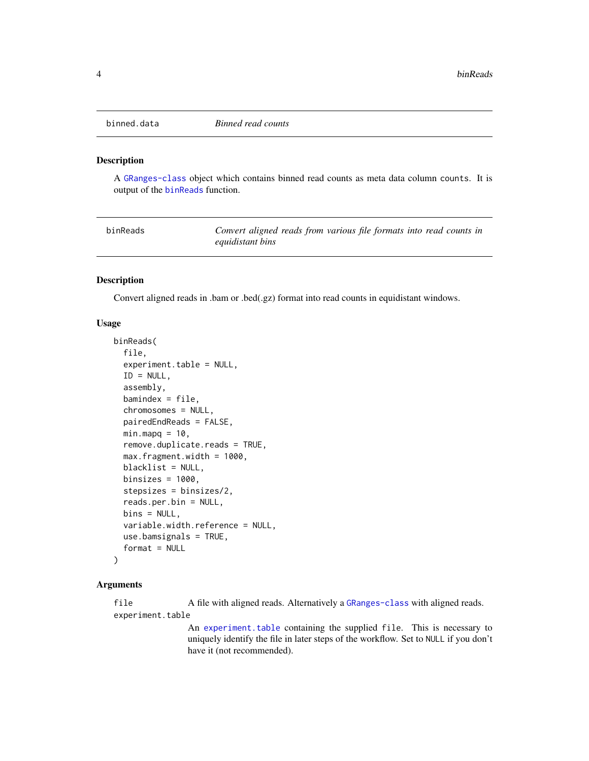<span id="page-3-0"></span>

### Description

A [GRanges-class](#page-0-0) object which contains binned read counts as meta data column counts. It is output of the [binReads](#page-3-1) function.

<span id="page-3-1"></span>binReads *Convert aligned reads from various file formats into read counts in equidistant bins*

# <span id="page-3-2"></span>Description

Convert aligned reads in .bam or .bed(.gz) format into read counts in equidistant windows.

### Usage

```
binReads(
  file,
  experiment.table = NULL,
  ID = NULL,assembly,
  bamindex = file,
  chromosomes = NULL,
  pairedEndReads = FALSE,
  minmapq = 10,
  remove.duplicate.reads = TRUE,
  max.fragment.width = 1000,
  blacklist = NULL,
  binsizes = 1000,
  stepsizes = binsizes/2,
  reads.per.bin = NULL,
  bins = NULL,
  variable.width.reference = NULL,
  use.bamsignals = TRUE,
  format = NULL)
```
### Arguments

file A file with aligned reads. Alternatively a [GRanges-class](#page-0-0) with aligned reads. experiment.table

> An [experiment.table](#page-31-1) containing the supplied file. This is necessary to uniquely identify the file in later steps of the workflow. Set to NULL if you don't have it (not recommended).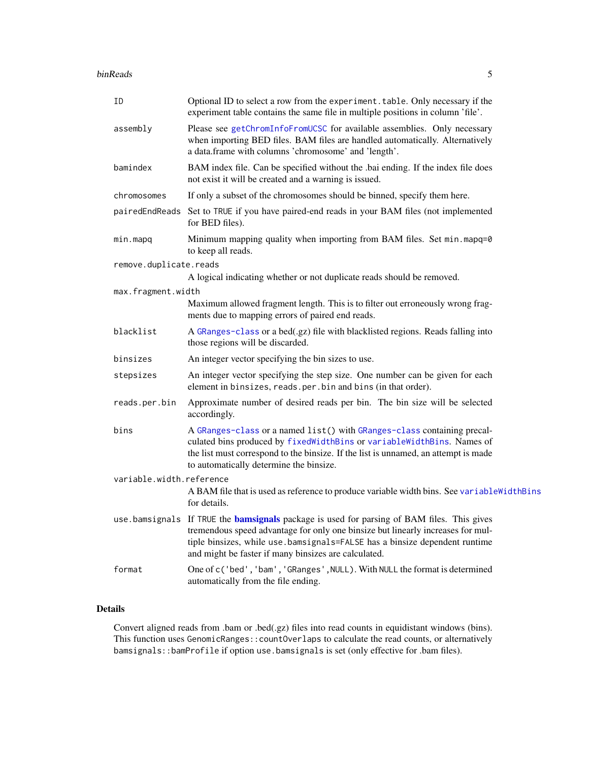#### binReads 5

| ΙD                       | Optional ID to select a row from the experiment. table. Only necessary if the<br>experiment table contains the same file in multiple positions in column 'file'.                                                                                                                                                    |
|--------------------------|---------------------------------------------------------------------------------------------------------------------------------------------------------------------------------------------------------------------------------------------------------------------------------------------------------------------|
| assembly                 | Please see getChromInfoFromUCSC for available assemblies. Only necessary<br>when importing BED files. BAM files are handled automatically. Alternatively<br>a data.frame with columns 'chromosome' and 'length'.                                                                                                    |
| bamindex                 | BAM index file. Can be specified without the .bai ending. If the index file does<br>not exist it will be created and a warning is issued.                                                                                                                                                                           |
| chromosomes              | If only a subset of the chromosomes should be binned, specify them here.                                                                                                                                                                                                                                            |
| pairedEndReads           | Set to TRUE if you have paired-end reads in your BAM files (not implemented<br>for BED files).                                                                                                                                                                                                                      |
| min.mapq                 | Minimum mapping quality when importing from BAM files. Set min.mapq=0<br>to keep all reads.                                                                                                                                                                                                                         |
| remove.duplicate.reads   |                                                                                                                                                                                                                                                                                                                     |
|                          | A logical indicating whether or not duplicate reads should be removed.                                                                                                                                                                                                                                              |
| max.fragment.width       | Maximum allowed fragment length. This is to filter out erroneously wrong frag-<br>ments due to mapping errors of paired end reads.                                                                                                                                                                                  |
| blacklist                | A GRanges-class or a bed(.gz) file with blacklisted regions. Reads falling into<br>those regions will be discarded.                                                                                                                                                                                                 |
| binsizes                 | An integer vector specifying the bin sizes to use.                                                                                                                                                                                                                                                                  |
| stepsizes                | An integer vector specifying the step size. One number can be given for each<br>element in binsizes, reads.per.bin and bins (in that order).                                                                                                                                                                        |
| reads.per.bin            | Approximate number of desired reads per bin. The bin size will be selected<br>accordingly.                                                                                                                                                                                                                          |
| bins                     | A GRanges-class or a named list() with GRanges-class containing precal-<br>culated bins produced by fixedWidthBins or variableWidthBins. Names of<br>the list must correspond to the binsize. If the list is unnamed, an attempt is made<br>to automatically determine the binsize.                                 |
| variable.width.reference |                                                                                                                                                                                                                                                                                                                     |
|                          | A BAM file that is used as reference to produce variable width bins. See variable WidthBins<br>for details.                                                                                                                                                                                                         |
|                          | use bamsignals If TRUE the bamsignals package is used for parsing of BAM files. This gives<br>tremendous speed advantage for only one binsize but linearly increases for mul-<br>tiple binsizes, while use bamsignals=FALSE has a binsize dependent runtime<br>and might be faster if many binsizes are calculated. |
| format                   | One of c('bed', 'bam', 'GRanges', NULL). With NULL the format is determined<br>automatically from the file ending.                                                                                                                                                                                                  |
|                          |                                                                                                                                                                                                                                                                                                                     |

# Details

Convert aligned reads from .bam or .bed(.gz) files into read counts in equidistant windows (bins). This function uses GenomicRanges::countOverlaps to calculate the read counts, or alternatively bamsignals::bamProfile if option use.bamsignals is set (only effective for .bam files).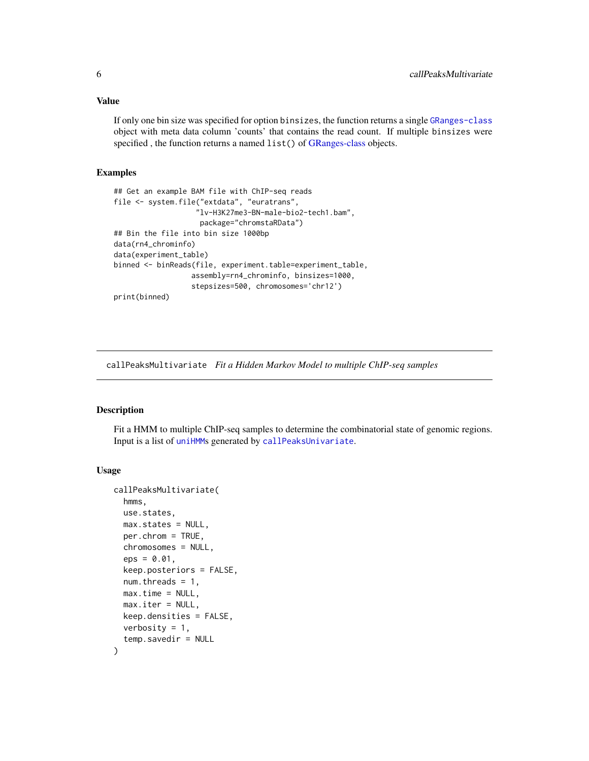### <span id="page-5-0"></span>Value

If only one bin size was specified for option binsizes, the function returns a single [GRanges-class](#page-0-0) object with meta data column 'counts' that contains the read count. If multiple binsizes were specified, the function returns a named list() of [GRanges-class](#page-0-0) objects.

### Examples

```
## Get an example BAM file with ChIP-seq reads
file <- system.file("extdata", "euratrans",
                   "lv-H3K27me3-BN-male-bio2-tech1.bam",
                    package="chromstaRData")
## Bin the file into bin size 1000bp
data(rn4_chrominfo)
data(experiment_table)
binned <- binReads(file, experiment.table=experiment_table,
                  assembly=rn4_chrominfo, binsizes=1000,
                  stepsizes=500, chromosomes='chr12')
print(binned)
```
<span id="page-5-1"></span>callPeaksMultivariate *Fit a Hidden Markov Model to multiple ChIP-seq samples*

### Description

Fit a HMM to multiple ChIP-seq samples to determine the combinatorial state of genomic regions. Input is a list of [uniHMM](#page-69-1)s generated by [callPeaksUnivariate](#page-9-1).

# Usage

```
callPeaksMultivariate(
  hmms,
 use.states,
 max.states = NULL,
 per.chrom = TRUE,
  chromosomes = NULL,
  eps = 0.01,keep.posteriors = FALSE,
  num. threads = 1,
 max.time = NULL,max.iter = NULL,
 keep.densities = FALSE,
  verbosity = 1,
  temp.savedir = NULL
)
```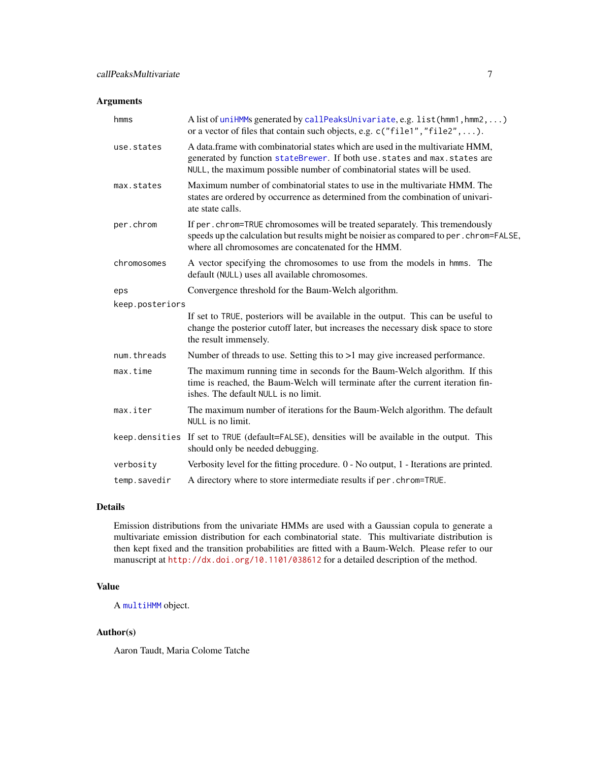# Arguments

| hmms            | A list of uniHMMs generated by callPeaksUnivariate, e.g. list(hmm1, hmm2, )<br>or a vector of files that contain such objects, e.g. $c("file1", "file2", )$ .                                                                           |
|-----------------|-----------------------------------------------------------------------------------------------------------------------------------------------------------------------------------------------------------------------------------------|
| use.states      | A data.frame with combinatorial states which are used in the multivariate HMM,<br>generated by function stateBrewer. If both use. states and max. states are<br>NULL, the maximum possible number of combinatorial states will be used. |
| max.states      | Maximum number of combinatorial states to use in the multivariate HMM. The<br>states are ordered by occurrence as determined from the combination of univari-<br>ate state calls.                                                       |
| per.chrom       | If per . chrom=TRUE chromosomes will be treated separately. This tremendously<br>speeds up the calculation but results might be noisier as compared to per.chrom=FALSE,<br>where all chromosomes are concatenated for the HMM.          |
| chromosomes     | A vector specifying the chromosomes to use from the models in hmms. The<br>default (NULL) uses all available chromosomes.                                                                                                               |
| eps             | Convergence threshold for the Baum-Welch algorithm.                                                                                                                                                                                     |
| keep.posteriors |                                                                                                                                                                                                                                         |
|                 | If set to TRUE, posteriors will be available in the output. This can be useful to<br>change the posterior cutoff later, but increases the necessary disk space to store<br>the result immensely.                                        |
| num.threads     | Number of threads to use. Setting this to >1 may give increased performance.                                                                                                                                                            |
| max.time        | The maximum running time in seconds for the Baum-Welch algorithm. If this<br>time is reached, the Baum-Welch will terminate after the current iteration fin-<br>ishes. The default NULL is no limit.                                    |
| max.iter        | The maximum number of iterations for the Baum-Welch algorithm. The default<br>NULL is no limit.                                                                                                                                         |
|                 | keep.densities If set to TRUE (default=FALSE), densities will be available in the output. This<br>should only be needed debugging.                                                                                                      |
| verbosity       | Verbosity level for the fitting procedure. $0 - No$ output, $1 - Iterations$ are printed.                                                                                                                                               |
| temp.savedir    | A directory where to store intermediate results if per . chrom=TRUE.                                                                                                                                                                    |

# Details

Emission distributions from the univariate HMMs are used with a Gaussian copula to generate a multivariate emission distribution for each combinatorial state. This multivariate distribution is then kept fixed and the transition probabilities are fitted with a Baum-Welch. Please refer to our manuscript at <http://dx.doi.org/10.1101/038612> for a detailed description of the method.

# Value

A [multiHMM](#page-45-1) object.

# Author(s)

Aaron Taudt, Maria Colome Tatche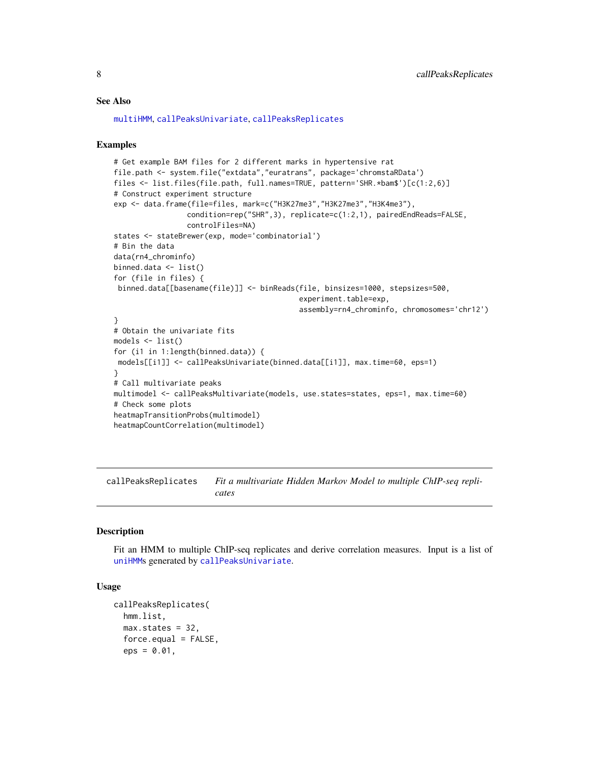### See Also

[multiHMM](#page-45-1), [callPeaksUnivariate](#page-9-1), [callPeaksReplicates](#page-7-1)

### Examples

```
# Get example BAM files for 2 different marks in hypertensive rat
file.path <- system.file("extdata","euratrans", package='chromstaRData')
files <- list.files(file.path, full.names=TRUE, pattern='SHR.*bam$')[c(1:2,6)]
# Construct experiment structure
exp <- data.frame(file=files, mark=c("H3K27me3","H3K27me3","H3K4me3"),
                 condition=rep("SHR",3), replicate=c(1:2,1), pairedEndReads=FALSE,
                 controlFiles=NA)
states <- stateBrewer(exp, mode='combinatorial')
# Bin the data
data(rn4_chrominfo)
binned.data <- list()
for (file in files) {
 binned.data[[basename(file)]] <- binReads(file, binsizes=1000, stepsizes=500,
                                           experiment.table=exp,
                                           assembly=rn4_chrominfo, chromosomes='chr12')
}
# Obtain the univariate fits
models <- list()
for (i1 in 1:length(binned.data)) {
models[[i1]] <- callPeaksUnivariate(binned.data[[i1]], max.time=60, eps=1)
}
# Call multivariate peaks
multimodel <- callPeaksMultivariate(models, use.states=states, eps=1, max.time=60)
# Check some plots
heatmapTransitionProbs(multimodel)
heatmapCountCorrelation(multimodel)
```
<span id="page-7-1"></span>callPeaksReplicates *Fit a multivariate Hidden Markov Model to multiple ChIP-seq replicates*

### Description

Fit an HMM to multiple ChIP-seq replicates and derive correlation measures. Input is a list of [uniHMM](#page-69-1)s generated by [callPeaksUnivariate](#page-9-1).

### Usage

```
callPeaksReplicates(
  hmm.list,
  max.states = 32,force.equals = FALSE,eps = 0.01,
```
<span id="page-7-0"></span>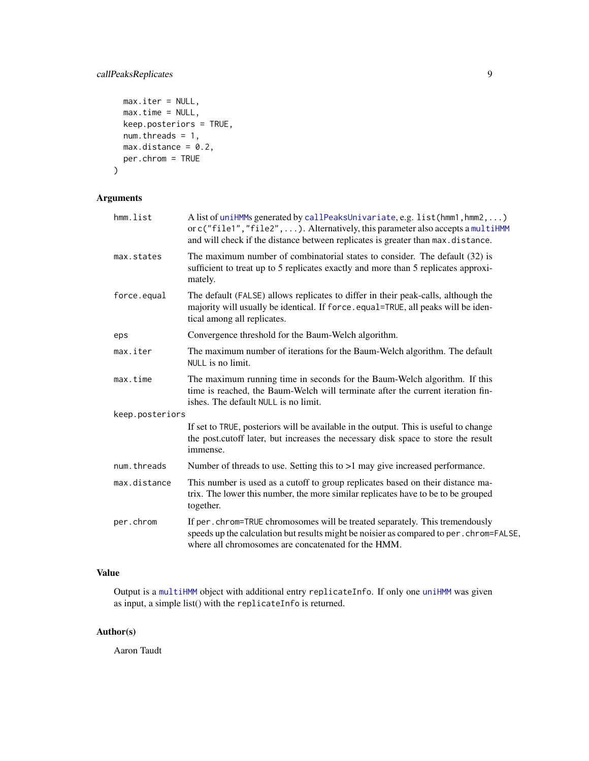# callPeaksReplicates 9

```
max.iter = NULL,max.time = NULL,
 keep.posteriors = TRUE,
 num.threads = 1,max.distance = 0.2,
 per.chrom = TRUE
\mathcal{L}
```
# Arguments

| hmm.list        | A list of uniHMMs generated by callPeaksUnivariate, e.g. list(hmm1, hmm2, )<br>or c("file1", "file2", ). Alternatively, this parameter also accepts a multiHMM<br>and will check if the distance between replicates is greater than max.distance. |
|-----------------|---------------------------------------------------------------------------------------------------------------------------------------------------------------------------------------------------------------------------------------------------|
| max.states      | The maximum number of combinatorial states to consider. The default (32) is<br>sufficient to treat up to 5 replicates exactly and more than 5 replicates approxi-<br>mately.                                                                      |
| force.equal     | The default (FALSE) allows replicates to differ in their peak-calls, although the<br>majority will usually be identical. If force . equal=TRUE, all peaks will be iden-<br>tical among all replicates.                                            |
| eps             | Convergence threshold for the Baum-Welch algorithm.                                                                                                                                                                                               |
| max.iter        | The maximum number of iterations for the Baum-Welch algorithm. The default<br>NULL is no limit.                                                                                                                                                   |
| max.time        | The maximum running time in seconds for the Baum-Welch algorithm. If this<br>time is reached, the Baum-Welch will terminate after the current iteration fin-<br>ishes. The default NULL is no limit.                                              |
| keep.posteriors |                                                                                                                                                                                                                                                   |
|                 | If set to TRUE, posteriors will be available in the output. This is useful to change<br>the post.cutoff later, but increases the necessary disk space to store the result<br>immense.                                                             |
| num.threads     | Number of threads to use. Setting this to $>1$ may give increased performance.                                                                                                                                                                    |
| max.distance    | This number is used as a cutoff to group replicates based on their distance ma-<br>trix. The lower this number, the more similar replicates have to be to be grouped<br>together.                                                                 |
| per.chrom       | If per . chrom=TRUE chromosomes will be treated separately. This tremendously<br>speeds up the calculation but results might be noisier as compared to per . chrom=FALSE,<br>where all chromosomes are concatenated for the HMM.                  |

# Value

Output is a [multiHMM](#page-45-1) object with additional entry replicateInfo. If only one [uniHMM](#page-69-1) was given as input, a simple list() with the replicateInfo is returned.

# Author(s)

Aaron Taudt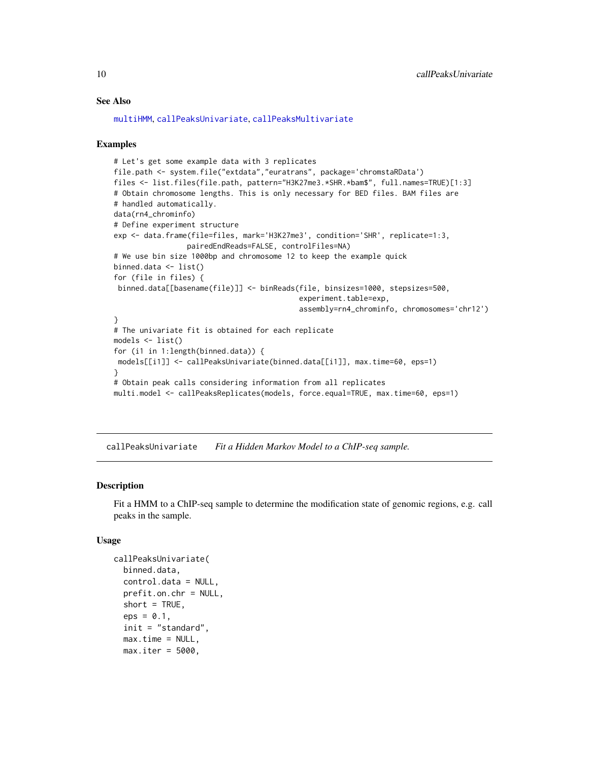### See Also

[multiHMM](#page-45-1), [callPeaksUnivariate](#page-9-1), [callPeaksMultivariate](#page-5-1)

### Examples

```
# Let's get some example data with 3 replicates
file.path <- system.file("extdata","euratrans", package='chromstaRData')
files <- list.files(file.path, pattern="H3K27me3.*SHR.*bam$", full.names=TRUE)[1:3]
# Obtain chromosome lengths. This is only necessary for BED files. BAM files are
# handled automatically.
data(rn4_chrominfo)
# Define experiment structure
exp <- data.frame(file=files, mark='H3K27me3', condition='SHR', replicate=1:3,
                 pairedEndReads=FALSE, controlFiles=NA)
# We use bin size 1000bp and chromosome 12 to keep the example quick
binned.data <- list()
for (file in files) {
binned.data[[basename(file)]] <- binReads(file, binsizes=1000, stepsizes=500,
                                           experiment.table=exp,
                                           assembly=rn4_chrominfo, chromosomes='chr12')
}
# The univariate fit is obtained for each replicate
models <- list()
for (i1 in 1:length(binned.data)) {
models[[i1]] <- callPeaksUnivariate(binned.data[[i1]], max.time=60, eps=1)
}
# Obtain peak calls considering information from all replicates
multi.model <- callPeaksReplicates(models, force.equal=TRUE, max.time=60, eps=1)
```
<span id="page-9-1"></span>callPeaksUnivariate *Fit a Hidden Markov Model to a ChIP-seq sample.*

### Description

Fit a HMM to a ChIP-seq sample to determine the modification state of genomic regions, e.g. call peaks in the sample.

# Usage

```
callPeaksUnivariate(
  binned.data,
  control.data = NULL,
  prefit.on.chr = NULL,
  short = TRUE,
  eps = 0.1,
  init = "standard",
  max.time = NULL,max.iter = 5000,
```
<span id="page-9-0"></span>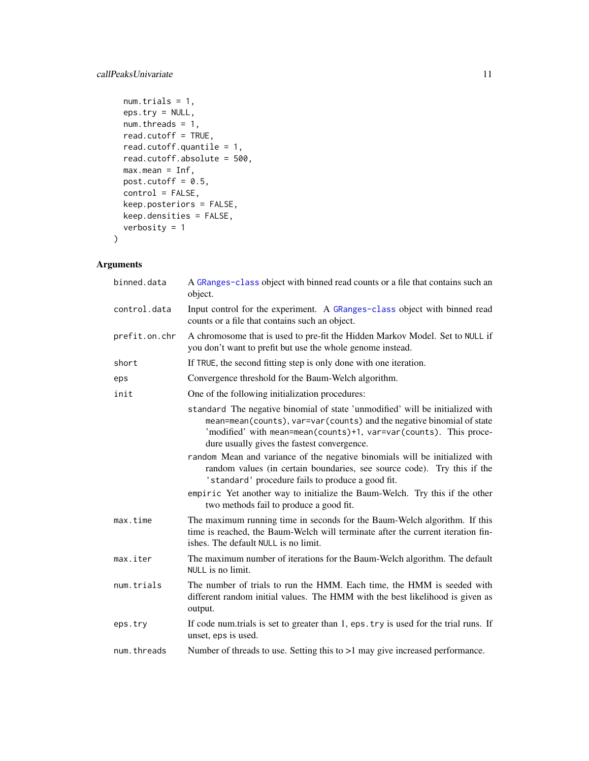# callPeaksUnivariate 11

```
num. trials = 1,eps.try = NULL,
 num. threads = 1,
 read.cutoff = TRUE,
 read.cutoff.quantile = 1,
 read.cutoff.absolute = 500,
 max.mean = Inf,post.cutoff = 0.5,
 control = FALSE,keep.posteriors = FALSE,
 keep.densities = FALSE,
 verbosity = 1
)
```

| binned.data   | A GRanges-class object with binned read counts or a file that contains such an<br>object.                                                                                                                                                                                                                                                                                                                                                                                                                                                                                                                           |
|---------------|---------------------------------------------------------------------------------------------------------------------------------------------------------------------------------------------------------------------------------------------------------------------------------------------------------------------------------------------------------------------------------------------------------------------------------------------------------------------------------------------------------------------------------------------------------------------------------------------------------------------|
| control.data  | Input control for the experiment. A GRanges-class object with binned read<br>counts or a file that contains such an object.                                                                                                                                                                                                                                                                                                                                                                                                                                                                                         |
| prefit.on.chr | A chromosome that is used to pre-fit the Hidden Markov Model. Set to NULL if<br>you don't want to prefit but use the whole genome instead.                                                                                                                                                                                                                                                                                                                                                                                                                                                                          |
| short         | If TRUE, the second fitting step is only done with one iteration.                                                                                                                                                                                                                                                                                                                                                                                                                                                                                                                                                   |
| eps           | Convergence threshold for the Baum-Welch algorithm.                                                                                                                                                                                                                                                                                                                                                                                                                                                                                                                                                                 |
| init          | One of the following initialization procedures:                                                                                                                                                                                                                                                                                                                                                                                                                                                                                                                                                                     |
|               | standard The negative binomial of state 'unmodified' will be initialized with<br>mean=mean(counts), var=var(counts) and the negative binomial of state<br>'modified' with mean=mean(counts)+1, var=var(counts). This proce-<br>dure usually gives the fastest convergence.<br>random Mean and variance of the negative binomials will be initialized with<br>random values (in certain boundaries, see source code). Try this if the<br>'standard' procedure fails to produce a good fit.<br>empiric Yet another way to initialize the Baum-Welch. Try this if the other<br>two methods fail to produce a good fit. |
| max.time      | The maximum running time in seconds for the Baum-Welch algorithm. If this<br>time is reached, the Baum-Welch will terminate after the current iteration fin-<br>ishes. The default NULL is no limit.                                                                                                                                                                                                                                                                                                                                                                                                                |
| max.iter      | The maximum number of iterations for the Baum-Welch algorithm. The default<br>NULL is no limit.                                                                                                                                                                                                                                                                                                                                                                                                                                                                                                                     |
| num.trials    | The number of trials to run the HMM. Each time, the HMM is seeded with<br>different random initial values. The HMM with the best likelihood is given as<br>output.                                                                                                                                                                                                                                                                                                                                                                                                                                                  |
| eps.try       | If code num.trials is set to greater than 1, eps. try is used for the trial runs. If<br>unset, eps is used.                                                                                                                                                                                                                                                                                                                                                                                                                                                                                                         |
| num.threads   | Number of threads to use. Setting this to $>1$ may give increased performance.                                                                                                                                                                                                                                                                                                                                                                                                                                                                                                                                      |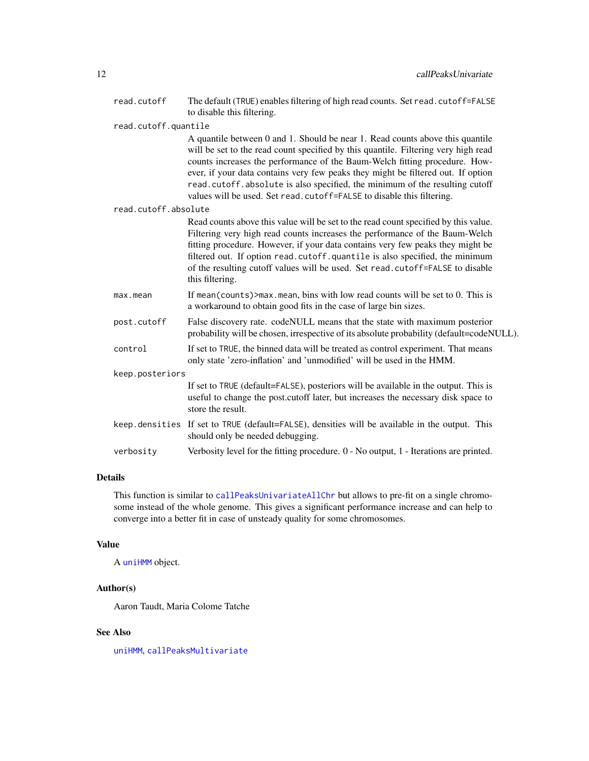read.cutoff The default (TRUE) enables filtering of high read counts. Set read.cutoff=FALSE to disable this filtering.

#### read.cutoff.quantile

A quantile between 0 and 1. Should be near 1. Read counts above this quantile will be set to the read count specified by this quantile. Filtering very high read counts increases the performance of the Baum-Welch fitting procedure. However, if your data contains very few peaks they might be filtered out. If option read.cutoff.absolute is also specified, the minimum of the resulting cutoff values will be used. Set read.cutoff=FALSE to disable this filtering.

#### read.cutoff.absolute

Read counts above this value will be set to the read count specified by this value. Filtering very high read counts increases the performance of the Baum-Welch fitting procedure. However, if your data contains very few peaks they might be filtered out. If option read.cutoff.quantile is also specified, the minimum of the resulting cutoff values will be used. Set read.cutoff=FALSE to disable this filtering.

- max.mean If mean(counts)>max.mean, bins with low read counts will be set to 0. This is a workaround to obtain good fits in the case of large bin sizes.
- post.cutoff False discovery rate. codeNULL means that the state with maximum posterior probability will be chosen, irrespective of its absolute probability (default=codeNULL).
- control If set to TRUE, the binned data will be treated as control experiment. That means only state 'zero-inflation' and 'unmodified' will be used in the HMM.

keep.posteriors

If set to TRUE (default=FALSE), posteriors will be available in the output. This is useful to change the post.cutoff later, but increases the necessary disk space to store the result.

- keep.densities If set to TRUE (default=FALSE), densities will be available in the output. This should only be needed debugging.
- verbosity Verbosity level for the fitting procedure. 0 No output, 1 Iterations are printed.

### Details

This function is similar to [callPeaksUnivariateAllChr](#page-12-1) but allows to pre-fit on a single chromosome instead of the whole genome. This gives a significant performance increase and can help to converge into a better fit in case of unsteady quality for some chromosomes.

#### Value

A [uniHMM](#page-69-1) object.

# Author(s)

Aaron Taudt, Maria Colome Tatche

### See Also

[uniHMM](#page-69-1), [callPeaksMultivariate](#page-5-1)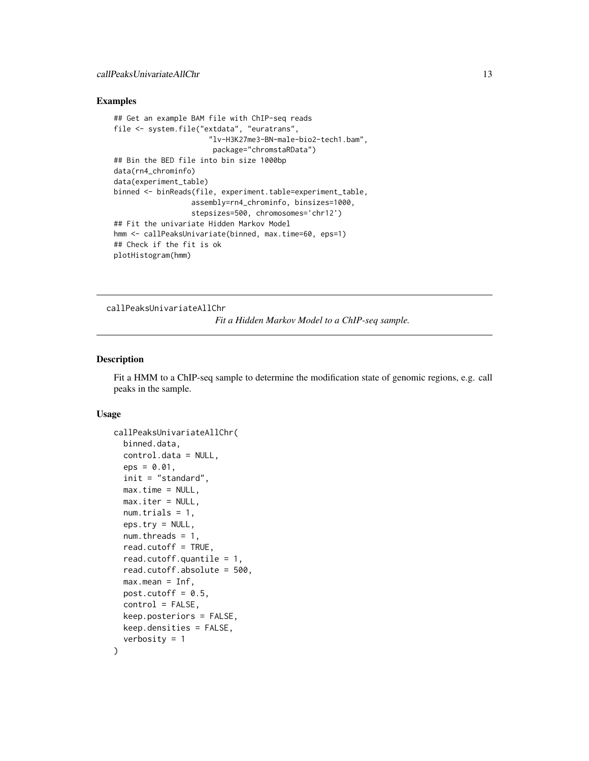### <span id="page-12-0"></span>Examples

```
## Get an example BAM file with ChIP-seq reads
file <- system.file("extdata", "euratrans",
                      "lv-H3K27me3-BN-male-bio2-tech1.bam",
                       package="chromstaRData")
## Bin the BED file into bin size 1000bp
data(rn4_chrominfo)
data(experiment_table)
binned <- binReads(file, experiment.table=experiment_table,
                  assembly=rn4_chrominfo, binsizes=1000,
                  stepsizes=500, chromosomes='chr12')
## Fit the univariate Hidden Markov Model
hmm <- callPeaksUnivariate(binned, max.time=60, eps=1)
## Check if the fit is ok
plotHistogram(hmm)
```
<span id="page-12-1"></span>callPeaksUnivariateAllChr

*Fit a Hidden Markov Model to a ChIP-seq sample.*

### **Description**

Fit a HMM to a ChIP-seq sample to determine the modification state of genomic regions, e.g. call peaks in the sample.

### Usage

```
callPeaksUnivariateAllChr(
  binned.data,
  control.data = NULL,
  eps = 0.01,
  init = "standard",
  max.time = NULL,max.iter = NULL,num.trials = 1,
  eps.try = NULL,num. threads = 1,
  read.cutoff = TRUE,
  read.cutoff.quantile = 1,
  read.cutoff.absolute = 500,
  max.macan = Inf,post.cutoff = 0.5,
  control = FALSE,
  keep.posteriors = FALSE,
  keep.densities = FALSE,
  verbosity = 1)
```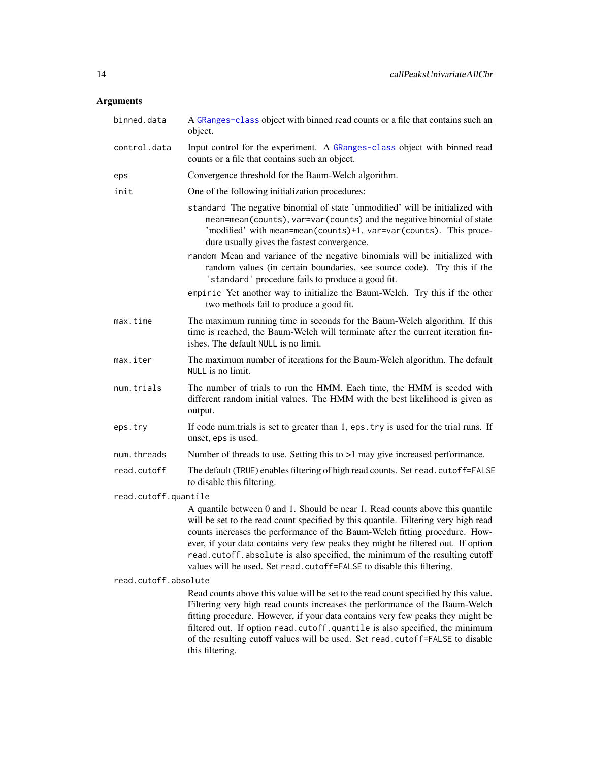| binned.data          | A GRanges-class object with binned read counts or a file that contains such an<br>object.                                                                                                                                                                                                                                                                                                                                                                                                      |
|----------------------|------------------------------------------------------------------------------------------------------------------------------------------------------------------------------------------------------------------------------------------------------------------------------------------------------------------------------------------------------------------------------------------------------------------------------------------------------------------------------------------------|
| control.data         | Input control for the experiment. A GRanges-class object with binned read<br>counts or a file that contains such an object.                                                                                                                                                                                                                                                                                                                                                                    |
| eps                  | Convergence threshold for the Baum-Welch algorithm.                                                                                                                                                                                                                                                                                                                                                                                                                                            |
| init                 | One of the following initialization procedures:                                                                                                                                                                                                                                                                                                                                                                                                                                                |
|                      | standard The negative binomial of state 'unmodified' will be initialized with<br>mean=mean(counts), var=var(counts) and the negative binomial of state<br>'modified' with mean=mean(counts)+1, var=var(counts). This proce-<br>dure usually gives the fastest convergence.<br>random Mean and variance of the negative binomials will be initialized with<br>random values (in certain boundaries, see source code). Try this if the                                                           |
|                      | 'standard' procedure fails to produce a good fit.<br>empiric Yet another way to initialize the Baum-Welch. Try this if the other<br>two methods fail to produce a good fit.                                                                                                                                                                                                                                                                                                                    |
| max.time             | The maximum running time in seconds for the Baum-Welch algorithm. If this<br>time is reached, the Baum-Welch will terminate after the current iteration fin-<br>ishes. The default NULL is no limit.                                                                                                                                                                                                                                                                                           |
| max.iter             | The maximum number of iterations for the Baum-Welch algorithm. The default<br>NULL is no limit.                                                                                                                                                                                                                                                                                                                                                                                                |
| num.trials           | The number of trials to run the HMM. Each time, the HMM is seeded with<br>different random initial values. The HMM with the best likelihood is given as<br>output.                                                                                                                                                                                                                                                                                                                             |
| eps.try              | If code num.trials is set to greater than 1, eps. try is used for the trial runs. If<br>unset, eps is used.                                                                                                                                                                                                                                                                                                                                                                                    |
| num.threads          | Number of threads to use. Setting this to $>1$ may give increased performance.                                                                                                                                                                                                                                                                                                                                                                                                                 |
| read.cutoff          | The default (TRUE) enables filtering of high read counts. Set read. cutoff=FALSE<br>to disable this filtering.                                                                                                                                                                                                                                                                                                                                                                                 |
| read.cutoff.quantile |                                                                                                                                                                                                                                                                                                                                                                                                                                                                                                |
|                      | A quantile between 0 and 1. Should be near 1. Read counts above this quantile<br>will be set to the read count specified by this quantile. Filtering very high read<br>counts increases the performance of the Baum-Welch fitting procedure. How-<br>ever, if your data contains very few peaks they might be filtered out. If option<br>read.cutoff.absolute is also specified, the minimum of the resulting cutoff<br>values will be used. Set read. cutoff=FALSE to disable this filtering. |
| read.cutoff.absolute |                                                                                                                                                                                                                                                                                                                                                                                                                                                                                                |
|                      | Read counts above this value will be set to the read count specified by this value.<br>Filtering very high read counts increases the performance of the Baum-Welch<br>fitting procedure. However, if your data contains very few peaks they might be<br>filtered out. If option read. cutoff. quantile is also specified, the minimum<br>of the resulting cutoff values will be used. Set read.cutoff=FALSE to disable<br>this filtering.                                                      |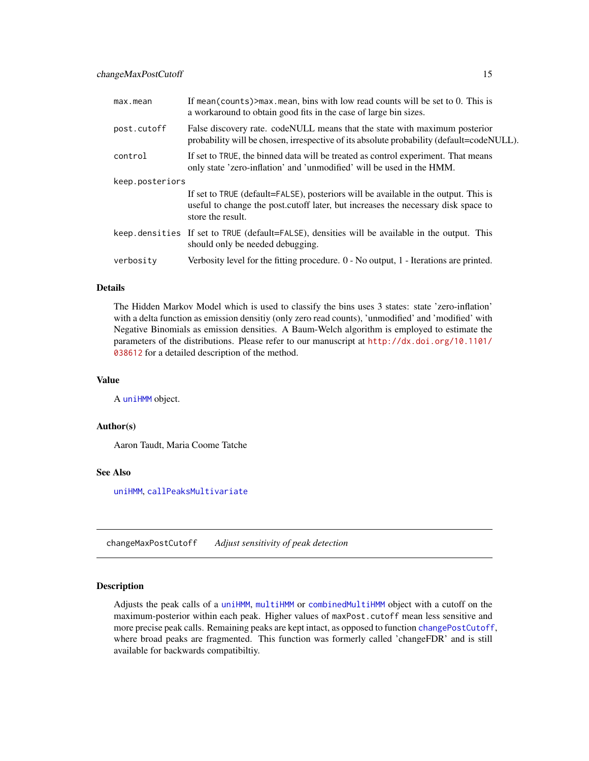<span id="page-14-0"></span>

| $max.$ mean     | If mean(counts) $>$ max.mean, bins with low read counts will be set to 0. This is<br>a workaround to obtain good fits in the case of large bin sizes.                                         |  |
|-----------------|-----------------------------------------------------------------------------------------------------------------------------------------------------------------------------------------------|--|
| post.cutoff     | False discovery rate. codeNULL means that the state with maximum posterior<br>probability will be chosen, irrespective of its absolute probability (default=codeNULL).                        |  |
| control         | If set to TRUE, the binned data will be treated as control experiment. That means<br>only state 'zero-inflation' and 'unmodified' will be used in the HMM.                                    |  |
| keep.posteriors |                                                                                                                                                                                               |  |
|                 | If set to TRUE (default=FALSE), posteriors will be available in the output. This is<br>useful to change the post.cutoff later, but increases the necessary disk space to<br>store the result. |  |
|                 | keep densities If set to TRUE (default=FALSE), densities will be available in the output. This<br>should only be needed debugging.                                                            |  |
| verbosity       | Verbosity level for the fitting procedure. $0 - No$ output, $1 - Iterations$ are printed.                                                                                                     |  |

### Details

The Hidden Markov Model which is used to classify the bins uses 3 states: state 'zero-inflation' with a delta function as emission densitiy (only zero read counts), 'unmodified' and 'modified' with Negative Binomials as emission densities. A Baum-Welch algorithm is employed to estimate the parameters of the distributions. Please refer to our manuscript at [http://dx.doi.org/10.1101/](http://dx.doi.org/10.1101/038612) [038612](http://dx.doi.org/10.1101/038612) for a detailed description of the method.

### Value

A [uniHMM](#page-69-1) object.

### Author(s)

Aaron Taudt, Maria Coome Tatche

# See Also

[uniHMM](#page-69-1), [callPeaksMultivariate](#page-5-1)

<span id="page-14-1"></span>changeMaxPostCutoff *Adjust sensitivity of peak detection*

### **Description**

Adjusts the peak calls of a [uniHMM](#page-69-1), [multiHMM](#page-45-1) or [combinedMultiHMM](#page-24-1) object with a cutoff on the maximum-posterior within each peak. Higher values of maxPost.cutoff mean less sensitive and more precise peak calls. Remaining peaks are kept intact, as opposed to function [changePostCutoff](#page-16-1), where broad peaks are fragmented. This function was formerly called 'changeFDR' and is still available for backwards compatibiltiy.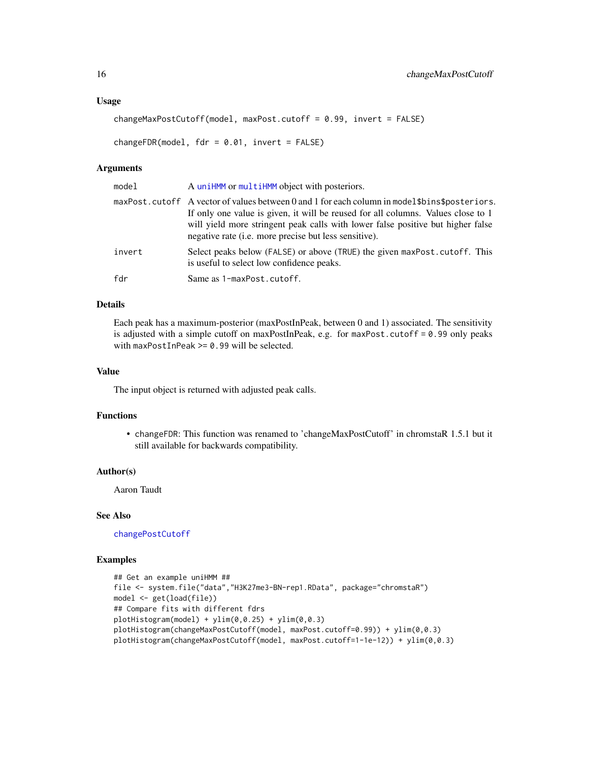### Usage

```
changeMaxPostCutoff(model, maxPost.cutoff = 0.99, invert = FALSE)
```

```
changeFDR(model, fdr = 0.01, invert = FALSE)
```
# Arguments

| model  | A uniHMM or multiHMM object with posteriors.                                                                                                                                                                                                                                                                                          |
|--------|---------------------------------------------------------------------------------------------------------------------------------------------------------------------------------------------------------------------------------------------------------------------------------------------------------------------------------------|
|        | maxPost.cutoff A vector of values between 0 and 1 for each column in model\$bins\$posteriors.<br>If only one value is given, it will be reused for all columns. Values close to 1<br>will yield more stringent peak calls with lower false positive but higher false<br>negative rate ( <i>i.e.</i> more precise but less sensitive). |
| invert | Select peaks below (FALSE) or above (TRUE) the given maxPost. cutoff. This<br>is useful to select low confidence peaks.                                                                                                                                                                                                               |
| fdr    | Same as 1-maxPost.cutoff.                                                                                                                                                                                                                                                                                                             |
|        |                                                                                                                                                                                                                                                                                                                                       |

### Details

Each peak has a maximum-posterior (maxPostInPeak, between 0 and 1) associated. The sensitivity is adjusted with a simple cutoff on maxPostInPeak, e.g. for maxPost.cutoff =  $0.99$  only peaks with maxPostInPeak  $>= 0.99$  will be selected.

# Value

The input object is returned with adjusted peak calls.

# Functions

• changeFDR: This function was renamed to 'changeMaxPostCutoff' in chromstaR 1.5.1 but it still available for backwards compatibility.

### Author(s)

Aaron Taudt

# See Also

[changePostCutoff](#page-16-1)

### Examples

```
## Get an example uniHMM ##
file <- system.file("data","H3K27me3-BN-rep1.RData", package="chromstaR")
model <- get(load(file))
## Compare fits with different fdrs
plotHistoryram(model) + ylim(0, 0.25) + ylim(0, 0.3)plotHistogram(changeMaxPostCutoff(model, maxPost.cutoff=0.99)) + ylim(0,0.3)
plotHistogram(changeMaxPostCutoff(model, maxPost.cutoff=1-1e-12)) + ylim(0,0.3)
```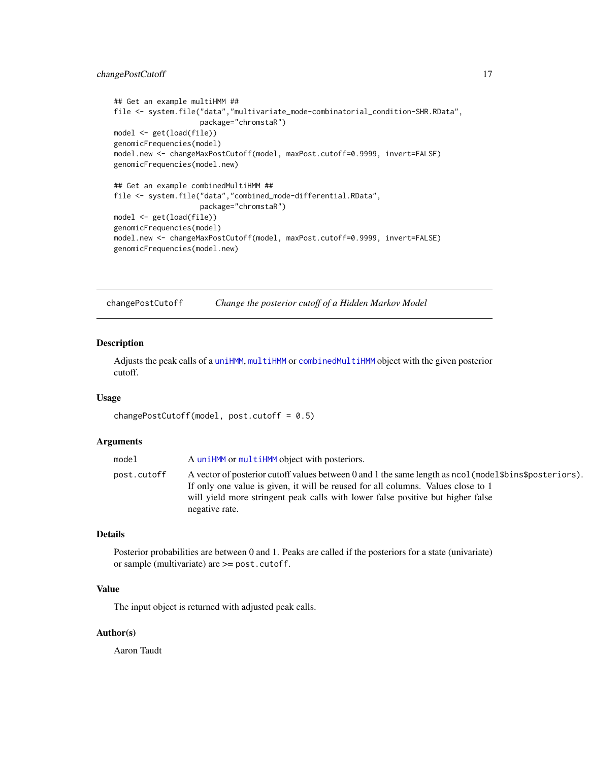#### <span id="page-16-0"></span>changePostCutoff 17

```
## Get an example multiHMM ##
file <- system.file("data","multivariate_mode-combinatorial_condition-SHR.RData",
                    package="chromstaR")
model <- get(load(file))
genomicFrequencies(model)
model.new <- changeMaxPostCutoff(model, maxPost.cutoff=0.9999, invert=FALSE)
genomicFrequencies(model.new)
## Get an example combinedMultiHMM ##
file <- system.file("data","combined_mode-differential.RData",
                    package="chromstaR")
model <- get(load(file))
genomicFrequencies(model)
model.new <- changeMaxPostCutoff(model, maxPost.cutoff=0.9999, invert=FALSE)
genomicFrequencies(model.new)
```
<span id="page-16-1"></span>changePostCutoff *Change the posterior cutoff of a Hidden Markov Model*

#### Description

Adjusts the peak calls of a [uniHMM](#page-69-1), [multiHMM](#page-45-1) or [combinedMultiHMM](#page-24-1) object with the given posterior cutoff.

#### Usage

```
changePostCutoff(model, post.cutoff = 0.5)
```
#### Arguments

model A [uniHMM](#page-69-1) or [multiHMM](#page-45-1) object with posteriors. post.cutoff A vector of posterior cutoff values between 0 and 1 the same length as ncol(model\$bins\$posteriors). If only one value is given, it will be reused for all columns. Values close to 1 will yield more stringent peak calls with lower false positive but higher false negative rate.

# Details

Posterior probabilities are between 0 and 1. Peaks are called if the posteriors for a state (univariate) or sample (multivariate) are >= post.cutoff.

# Value

The input object is returned with adjusted peak calls.

### Author(s)

Aaron Taudt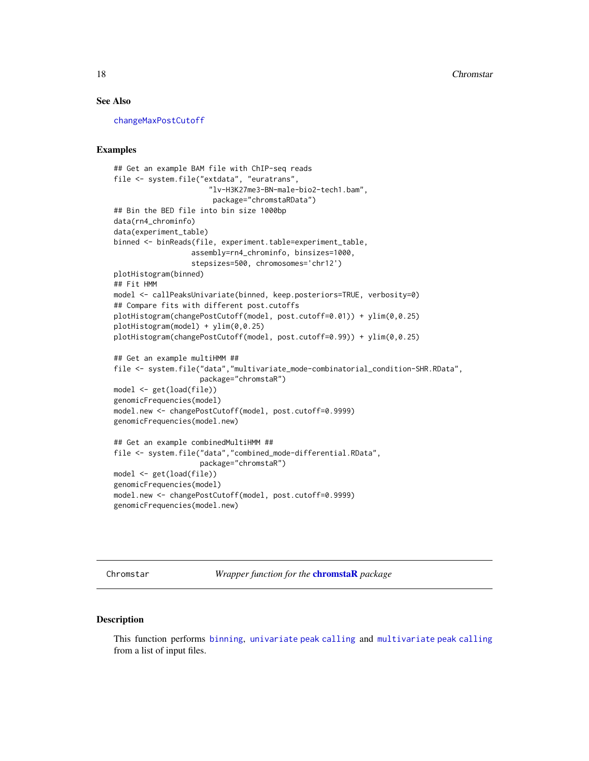### <span id="page-17-0"></span>See Also

[changeMaxPostCutoff](#page-14-1)

### Examples

```
## Get an example BAM file with ChIP-seq reads
file <- system.file("extdata", "euratrans",
                      "lv-H3K27me3-BN-male-bio2-tech1.bam",
                       package="chromstaRData")
## Bin the BED file into bin size 1000bp
data(rn4_chrominfo)
data(experiment_table)
binned <- binReads(file, experiment.table=experiment_table,
                  assembly=rn4_chrominfo, binsizes=1000,
                  stepsizes=500, chromosomes='chr12')
plotHistogram(binned)
## Fit HMM
model <- callPeaksUnivariate(binned, keep.posteriors=TRUE, verbosity=0)
## Compare fits with different post.cutoffs
plotHistogram(changePostCutoff(model, post.cutoff=0.01)) + ylim(0,0.25)
plotHistogram(model) + ylim(0,0.25)
plotHistogram(changePostCutoff(model, post.cutoff=0.99)) + ylim(0,0.25)
## Get an example multiHMM ##
file <- system.file("data","multivariate_mode-combinatorial_condition-SHR.RData",
                    package="chromstaR")
model <- get(load(file))
genomicFrequencies(model)
model.new <- changePostCutoff(model, post.cutoff=0.9999)
genomicFrequencies(model.new)
## Get an example combinedMultiHMM ##
file <- system.file("data","combined_mode-differential.RData",
                    package="chromstaR")
model <- get(load(file))
genomicFrequencies(model)
model.new <- changePostCutoff(model, post.cutoff=0.9999)
genomicFrequencies(model.new)
```
<span id="page-17-1"></span>Chromstar *Wrapper function for the* [chromstaR](#page-2-1) *package*

### **Description**

This function performs [binning](#page-3-2), [univariate peak calling](#page-0-0) and [multivariate peak calling](#page-0-0) from a list of input files.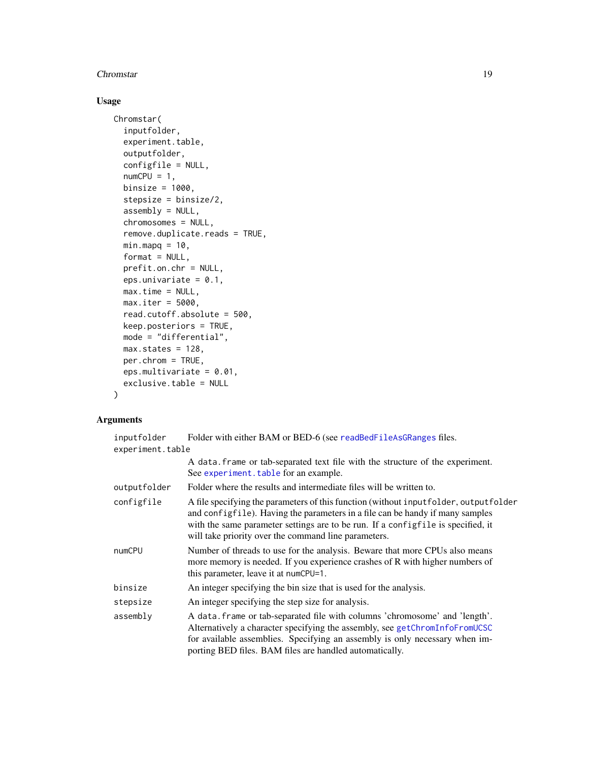### Chromstar 19

# Usage

```
Chromstar(
  inputfolder,
  experiment.table,
 outputfolder,
  configfile = NULL,
 numCPU = 1,
 binsize = 1000,
  stepsize = binsize/2,
  assembly = NULL,
 chromosomes = NULL,
  remove.duplicate.reads = TRUE,
 minmapq = 10,
 format = NULL,prefit.on.chr = NULL,
 eps.univariate = 0.1,
 max.time = NULL,max.iter = 5000,read.cutoff.absolute = 500,
 keep.posteriors = TRUE,
 mode = "differential",
 max.states = 128,
 per.chrom = TRUE,
 eps.multivariate = 0.01,exclusive.table = NULL
)
```

| inputfolder      | Folder with either BAM or BED-6 (see readBedFileAsGRanges files.                                                                                                                                                                                                                                                  |
|------------------|-------------------------------------------------------------------------------------------------------------------------------------------------------------------------------------------------------------------------------------------------------------------------------------------------------------------|
| experiment.table |                                                                                                                                                                                                                                                                                                                   |
|                  | A data frame or tab-separated text file with the structure of the experiment.<br>See experiment.table for an example.                                                                                                                                                                                             |
| outputfolder     | Folder where the results and intermediate files will be written to.                                                                                                                                                                                                                                               |
| configfile       | A file specifying the parameters of this function (without inputfolder, outputfolder<br>and configfile). Having the parameters in a file can be handy if many samples<br>with the same parameter settings are to be run. If a configfile is specified, it<br>will take priority over the command line parameters. |
| numCPU           | Number of threads to use for the analysis. Beware that more CPUs also means<br>more memory is needed. If you experience crashes of R with higher numbers of<br>this parameter, leave it at numCPU=1.                                                                                                              |
| binsize          | An integer specifying the bin size that is used for the analysis.                                                                                                                                                                                                                                                 |
| stepsize         | An integer specifying the step size for analysis.                                                                                                                                                                                                                                                                 |
| assembly         | A data. frame or tab-separated file with columns 'chromosome' and 'length'.<br>Alternatively a character specifying the assembly, see getChromInfoFromUCSC<br>for available assemblies. Specifying an assembly is only necessary when im-<br>porting BED files. BAM files are handled automatically.              |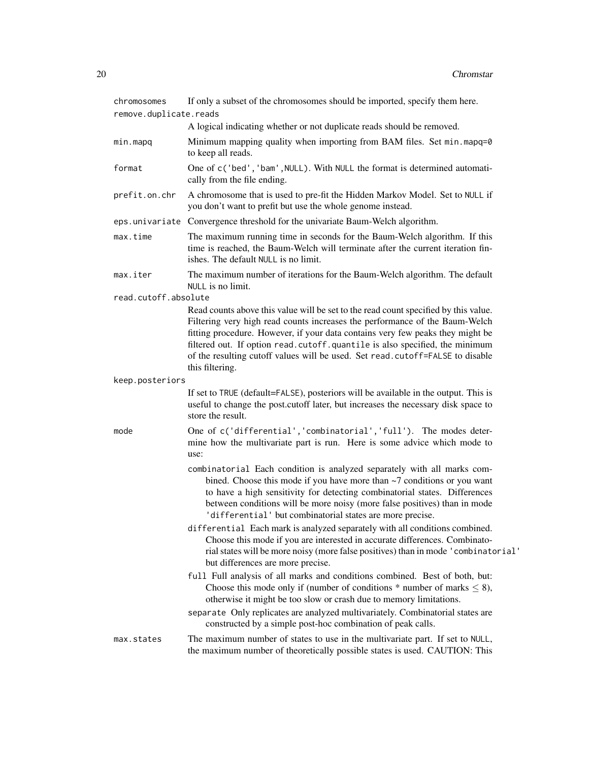| chromosomes            | If only a subset of the chromosomes should be imported, specify them here.                                                                                                                                                                                                                                                                                                                                                                |
|------------------------|-------------------------------------------------------------------------------------------------------------------------------------------------------------------------------------------------------------------------------------------------------------------------------------------------------------------------------------------------------------------------------------------------------------------------------------------|
| remove.duplicate.reads |                                                                                                                                                                                                                                                                                                                                                                                                                                           |
|                        | A logical indicating whether or not duplicate reads should be removed.                                                                                                                                                                                                                                                                                                                                                                    |
| min.mapq               | Minimum mapping quality when importing from BAM files. Set min.mapq=0<br>to keep all reads.                                                                                                                                                                                                                                                                                                                                               |
| format                 | One of c('bed', 'bam', NULL). With NULL the format is determined automati-<br>cally from the file ending.                                                                                                                                                                                                                                                                                                                                 |
| prefit.on.chr          | A chromosome that is used to pre-fit the Hidden Markov Model. Set to NULL if<br>you don't want to prefit but use the whole genome instead.                                                                                                                                                                                                                                                                                                |
|                        | eps.univariate Convergence threshold for the univariate Baum-Welch algorithm.                                                                                                                                                                                                                                                                                                                                                             |
| max.time               | The maximum running time in seconds for the Baum-Welch algorithm. If this<br>time is reached, the Baum-Welch will terminate after the current iteration fin-<br>ishes. The default NULL is no limit.                                                                                                                                                                                                                                      |
| max.iter               | The maximum number of iterations for the Baum-Welch algorithm. The default<br>NULL is no limit.                                                                                                                                                                                                                                                                                                                                           |
| read.cutoff.absolute   |                                                                                                                                                                                                                                                                                                                                                                                                                                           |
|                        | Read counts above this value will be set to the read count specified by this value.<br>Filtering very high read counts increases the performance of the Baum-Welch<br>fitting procedure. However, if your data contains very few peaks they might be<br>filtered out. If option read. cutoff. quantile is also specified, the minimum<br>of the resulting cutoff values will be used. Set read.cutoff=FALSE to disable<br>this filtering. |
| keep.posteriors        |                                                                                                                                                                                                                                                                                                                                                                                                                                           |
|                        | If set to TRUE (default=FALSE), posteriors will be available in the output. This is<br>useful to change the post.cutoff later, but increases the necessary disk space to<br>store the result.                                                                                                                                                                                                                                             |
| mode                   | One of c('differential','combinatorial','full'). The modes deter-<br>mine how the multivariate part is run. Here is some advice which mode to<br>use:                                                                                                                                                                                                                                                                                     |
|                        | combinatorial Each condition is analyzed separately with all marks com-<br>bined. Choose this mode if you have more than $\sim$ 7 conditions or you want<br>to have a high sensitivity for detecting combinatorial states. Differences<br>between conditions will be more noisy (more false positives) than in mode<br>'differential' but combinatorial states are more precise.                                                          |
|                        | differential Each mark is analyzed separately with all conditions combined.<br>Choose this mode if you are interested in accurate differences. Combinato-<br>rial states will be more noisy (more false positives) than in mode 'combinatorial'<br>but differences are more precise.                                                                                                                                                      |
|                        | full Full analysis of all marks and conditions combined. Best of both, but:<br>Choose this mode only if (number of conditions $*$ number of marks $\leq 8$ ),<br>otherwise it might be too slow or crash due to memory limitations.                                                                                                                                                                                                       |
|                        | separate Only replicates are analyzed multivariately. Combinatorial states are<br>constructed by a simple post-hoc combination of peak calls.                                                                                                                                                                                                                                                                                             |
| max.states             | The maximum number of states to use in the multivariate part. If set to NULL,<br>the maximum number of theoretically possible states is used. CAUTION: This                                                                                                                                                                                                                                                                               |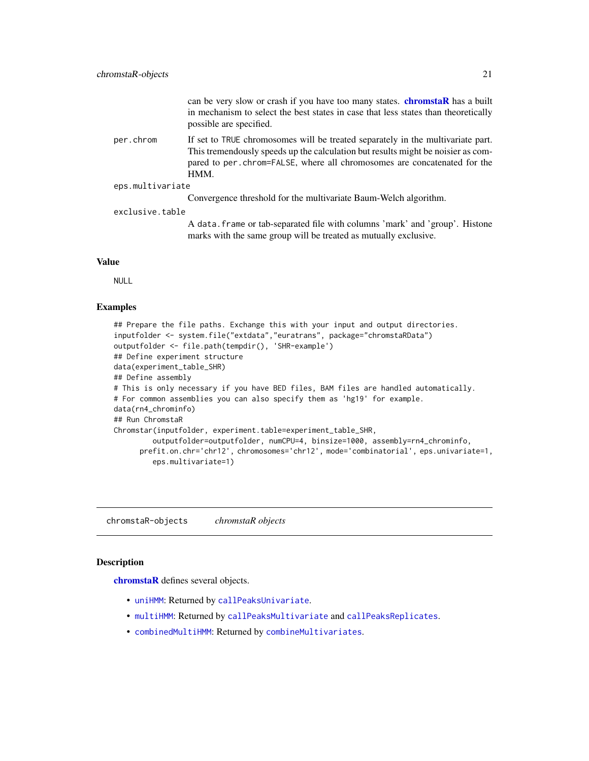can be very slow or crash if you have too many states. **[chromstaR](#page-2-1)** has a built in mechanism to select the best states in case that less states than theoretically possible are specified.

<span id="page-20-0"></span>per.chrom If set to TRUE chromosomes will be treated separately in the multivariate part. This tremendously speeds up the calculation but results might be noisier as compared to per.chrom=FALSE, where all chromosomes are concatenated for the HMM.

#### eps.multivariate

Convergence threshold for the multivariate Baum-Welch algorithm.

#### exclusive.table

A data.frame or tab-separated file with columns 'mark' and 'group'. Histone marks with the same group will be treated as mutually exclusive.

### Value

NULL

# Examples

```
## Prepare the file paths. Exchange this with your input and output directories.
inputfolder <- system.file("extdata","euratrans", package="chromstaRData")
outputfolder <- file.path(tempdir(), 'SHR-example')
## Define experiment structure
data(experiment_table_SHR)
## Define assembly
# This is only necessary if you have BED files, BAM files are handled automatically.
# For common assemblies you can also specify them as 'hg19' for example.
data(rn4_chrominfo)
## Run ChromstaR
Chromstar(inputfolder, experiment.table=experiment_table_SHR,
         outputfolder=outputfolder, numCPU=4, binsize=1000, assembly=rn4_chrominfo,
      prefit.on.chr='chr12', chromosomes='chr12', mode='combinatorial', eps.univariate=1,
         eps.multivariate=1)
```
<span id="page-20-1"></span>chromstaR-objects *chromstaR objects*

### Description

[chromstaR](#page-2-1) defines several objects.

- [uniHMM](#page-69-1): Returned by [callPeaksUnivariate](#page-9-1).
- [multiHMM](#page-45-1): Returned by [callPeaksMultivariate](#page-5-1) and [callPeaksReplicates](#page-7-1).
- [combinedMultiHMM](#page-24-1): Returned by [combineMultivariates](#page-24-2).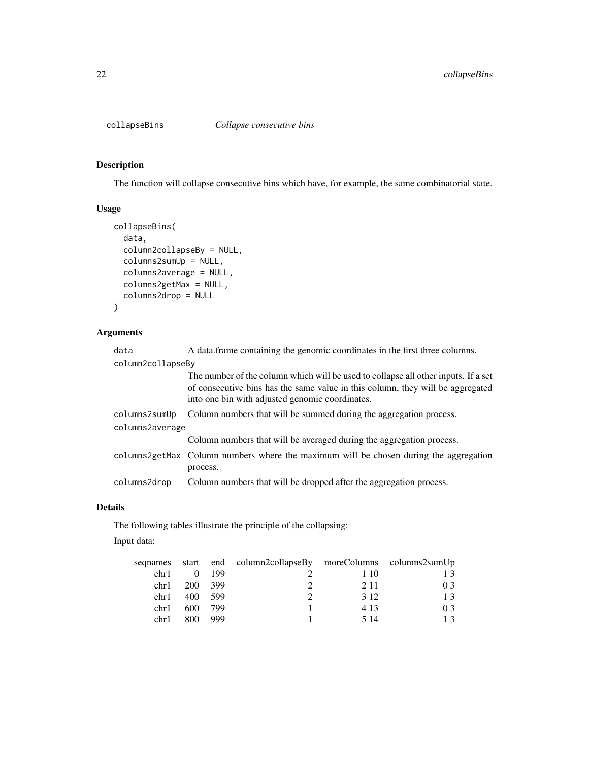<span id="page-21-0"></span>

# Description

The function will collapse consecutive bins which have, for example, the same combinatorial state.

# Usage

```
collapseBins(
  data,
  column2collapseBy = NULL,
  columns2sumUp = NULL,
  columns2average = NULL,
  columns2getMax = NULL,
  columns2drop = NULL
\mathcal{L}
```
# Arguments

| data              | A data.frame containing the genomic coordinates in the first three columns.                                                                                                                                             |  |
|-------------------|-------------------------------------------------------------------------------------------------------------------------------------------------------------------------------------------------------------------------|--|
| column2collapseBy |                                                                                                                                                                                                                         |  |
|                   | The number of the column which will be used to collapse all other inputs. If a set<br>of consecutive bins has the same value in this column, they will be aggregated<br>into one bin with adjusted genomic coordinates. |  |
| columns2sumUp     | Column numbers that will be summed during the aggregation process.                                                                                                                                                      |  |
| columns2average   |                                                                                                                                                                                                                         |  |
|                   | Column numbers that will be averaged during the aggregation process.                                                                                                                                                    |  |
|                   | columns2getMax Column numbers where the maximum will be chosen during the aggregation<br>process.                                                                                                                       |  |
| columns2drop      | Column numbers that will be dropped after the aggregation process.                                                                                                                                                      |  |

# Details

The following tables illustrate the principle of the collapsing:

Input data:

|      |                |       | sequames start end column2collapseBy moreColumns columns2sumUp |       |    |
|------|----------------|-------|----------------------------------------------------------------|-------|----|
| chr1 |                | - 199 |                                                                | 1 10  | 13 |
|      | chr1 $200$ 399 |       |                                                                | 2.11  | 03 |
| chr1 | 400            | 599   |                                                                | 3.12  | 13 |
| chr1 | 600            | 799   |                                                                | 4.13  | 03 |
| chr1 | 800            | 999   |                                                                | 5 1 4 | 13 |
|      |                |       |                                                                |       |    |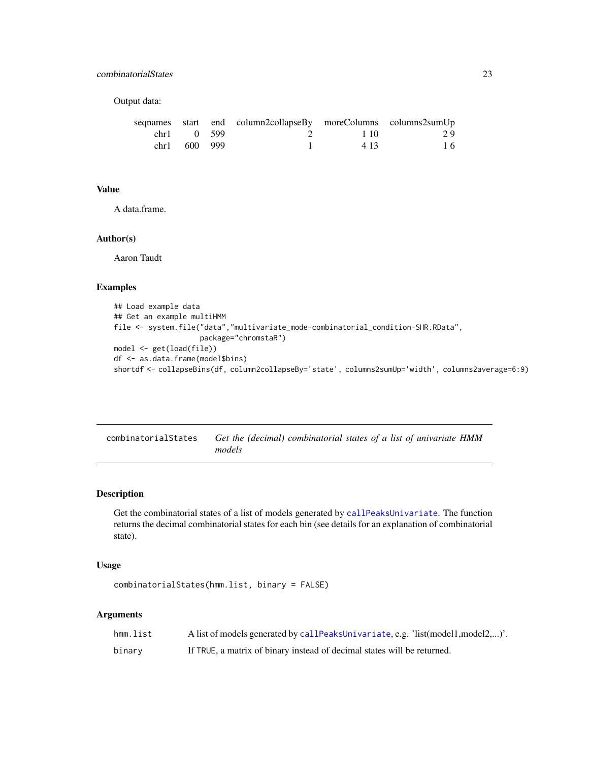# <span id="page-22-0"></span>combinatorialStates 23

Output data:

|                  | sequames start end column2collapseBy moreColumns columns2sumUp |      |    |
|------------------|----------------------------------------------------------------|------|----|
| $chr1 \t0 \t599$ |                                                                | 110  | 29 |
| chr1 600 999     |                                                                | 4.13 | 16 |

# Value

A data.frame.

# Author(s)

Aaron Taudt

### Examples

```
## Load example data
## Get an example multiHMM
file <- system.file("data","multivariate_mode-combinatorial_condition-SHR.RData",
                    package="chromstaR")
model <- get(load(file))
df <- as.data.frame(model$bins)
shortdf <- collapseBins(df, column2collapseBy='state', columns2sumUp='width', columns2average=6:9)
```

| combinatorialStates | Get the (decimal) combinatorial states of a list of univariate HMM |  |
|---------------------|--------------------------------------------------------------------|--|
|                     | models                                                             |  |

# Description

Get the combinatorial states of a list of models generated by [callPeaksUnivariate](#page-9-1). The function returns the decimal combinatorial states for each bin (see details for an explanation of combinatorial state).

# Usage

```
combinatorialStates(hmm.list, binary = FALSE)
```

| hmm.list | A list of models generated by callPeaksUnivariate, e.g. 'list(model1,model2,)'. |
|----------|---------------------------------------------------------------------------------|
| binary   | If TRUE, a matrix of binary instead of decimal states will be returned.         |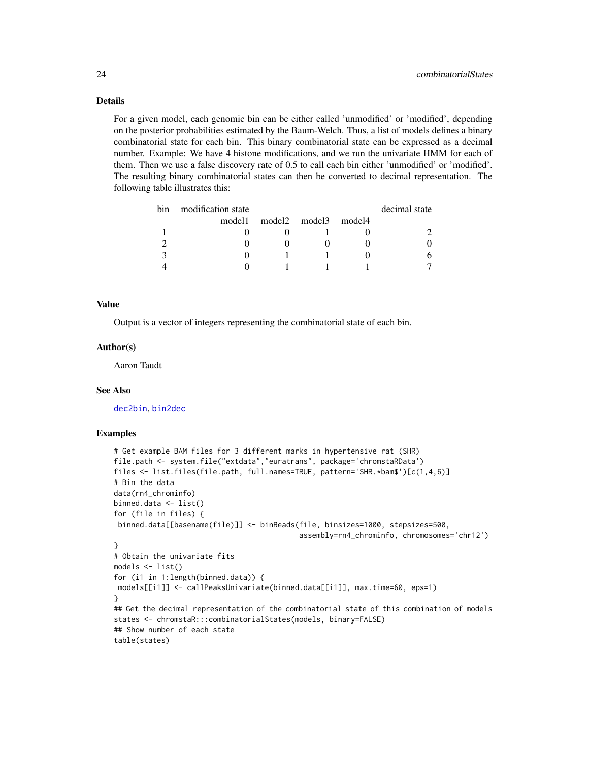# Details

For a given model, each genomic bin can be either called 'unmodified' or 'modified', depending on the posterior probabilities estimated by the Baum-Welch. Thus, a list of models defines a binary combinatorial state for each bin. This binary combinatorial state can be expressed as a decimal number. Example: We have 4 histone modifications, and we run the univariate HMM for each of them. Then we use a false discovery rate of 0.5 to call each bin either 'unmodified' or 'modified'. The resulting binary combinatorial states can then be converted to decimal representation. The following table illustrates this:

| bin. | modification state |                      |  | decimal state |
|------|--------------------|----------------------|--|---------------|
|      | model1             | model2 model3 model4 |  |               |
|      |                    |                      |  |               |
|      |                    |                      |  |               |
|      |                    |                      |  |               |
|      |                    |                      |  |               |

### Value

Output is a vector of integers representing the combinatorial state of each bin.

### Author(s)

Aaron Taudt

### See Also

[dec2bin](#page-26-1), [bin2dec](#page-26-1)

### Examples

```
# Get example BAM files for 3 different marks in hypertensive rat (SHR)
file.path <- system.file("extdata","euratrans", package='chromstaRData')
files <- list.files(file.path, full.names=TRUE, pattern='SHR.*bam$')[c(1,4,6)]
# Bin the data
data(rn4_chrominfo)
binned.data <- list()
for (file in files) {
binned.data[[basename(file)]] <- binReads(file, binsizes=1000, stepsizes=500,
                                           assembly=rn4_chrominfo, chromosomes='chr12')
}
# Obtain the univariate fits
models <- list()
for (i1 in 1:length(binned.data)) {
models[[i1]] <- callPeaksUnivariate(binned.data[[i1]], max.time=60, eps=1)
}
## Get the decimal representation of the combinatorial state of this combination of models
states <- chromstaR:::combinatorialStates(models, binary=FALSE)
## Show number of each state
table(states)
```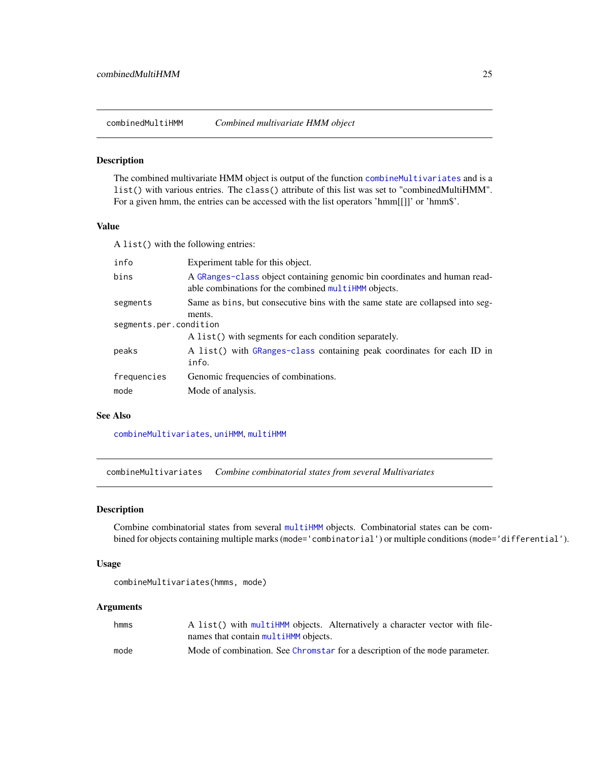<span id="page-24-1"></span><span id="page-24-0"></span>combinedMultiHMM *Combined multivariate HMM object*

#### Description

The combined multivariate HMM object is output of the function [combineMultivariates](#page-24-2) and is a list() with various entries. The class() attribute of this list was set to "combinedMultiHMM". For a given hmm, the entries can be accessed with the list operators 'hmm[[]]' or 'hmm\$'.

### Value

A list() with the following entries:

| info                   | Experiment table for this object.                                                                                                 |
|------------------------|-----------------------------------------------------------------------------------------------------------------------------------|
| bins                   | A GRanges-class object containing genomic bin coordinates and human read-<br>able combinations for the combined multiHMM objects. |
| segments               | Same as bins, but consecutive bins with the same state are collapsed into seg-<br>ments.                                          |
| segments.per.condition |                                                                                                                                   |
|                        | A list() with segments for each condition separately.                                                                             |
| peaks                  | A list() with GRanges-class containing peak coordinates for each ID in<br>info.                                                   |
| frequencies            | Genomic frequencies of combinations.                                                                                              |
| mode                   | Mode of analysis.                                                                                                                 |

#### See Also

[combineMultivariates](#page-24-2), [uniHMM](#page-69-1), [multiHMM](#page-45-1)

<span id="page-24-2"></span>combineMultivariates *Combine combinatorial states from several Multivariates*

#### Description

Combine combinatorial states from several [multiHMM](#page-45-1) objects. Combinatorial states can be combined for objects containing multiple marks (mode='combinatorial') or multiple conditions (mode='differential').

#### Usage

```
combineMultivariates(hmms, mode)
```

| hmms | A list() with multiHMM objects. Alternatively a character vector with file- |
|------|-----------------------------------------------------------------------------|
|      | names that contain multiHMM objects.                                        |
| mode | Mode of combination. See Chromstar for a description of the mode parameter. |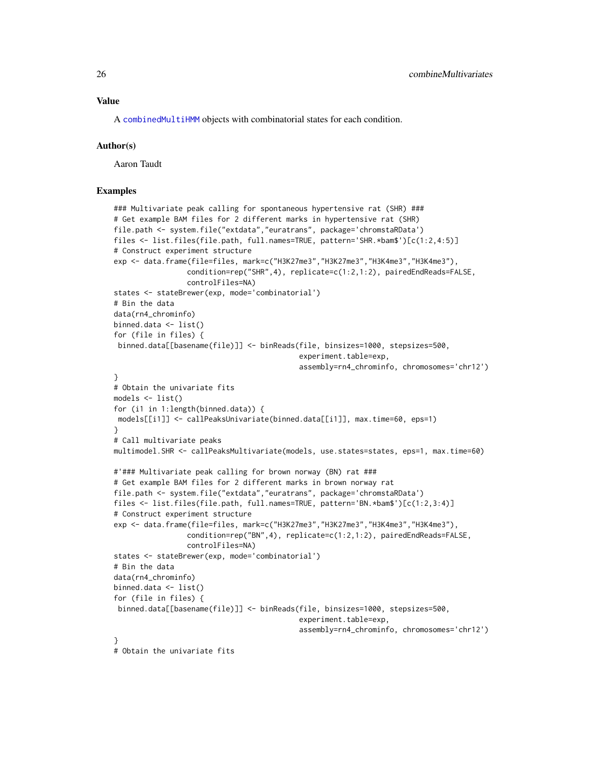### Value

A [combinedMultiHMM](#page-24-1) objects with combinatorial states for each condition.

#### Author(s)

Aaron Taudt

# Examples

```
### Multivariate peak calling for spontaneous hypertensive rat (SHR) ###
# Get example BAM files for 2 different marks in hypertensive rat (SHR)
file.path <- system.file("extdata","euratrans", package='chromstaRData')
files <- list.files(file.path, full.names=TRUE, pattern='SHR.*bam$')[c(1:2,4:5)]
# Construct experiment structure
exp <- data.frame(file=files, mark=c("H3K27me3","H3K27me3","H3K4me3","H3K4me3"),
                 condition=rep("SHR",4), replicate=c(1:2,1:2), pairedEndReads=FALSE,
                 controlFiles=NA)
states <- stateBrewer(exp, mode='combinatorial')
# Bin the data
data(rn4_chrominfo)
binned.data <- list()
for (file in files) {
binned.data[[basename(file)]] <- binReads(file, binsizes=1000, stepsizes=500,
                                           experiment.table=exp,
                                           assembly=rn4_chrominfo, chromosomes='chr12')
}
# Obtain the univariate fits
models <- list()
for (i1 in 1:length(binned.data)) {
models[[i1]] <- callPeaksUnivariate(binned.data[[i1]], max.time=60, eps=1)
}
# Call multivariate peaks
multimodel.SHR <- callPeaksMultivariate(models, use.states=states, eps=1, max.time=60)
#'### Multivariate peak calling for brown norway (BN) rat ###
# Get example BAM files for 2 different marks in brown norway rat
file.path <- system.file("extdata","euratrans", package='chromstaRData')
files <- list.files(file.path, full.names=TRUE, pattern='BN.*bam$')[c(1:2,3:4)]
# Construct experiment structure
exp <- data.frame(file=files, mark=c("H3K27me3","H3K27me3","H3K4me3","H3K4me3"),
                 condition=rep("BN",4), replicate=c(1:2,1:2), pairedEndReads=FALSE,
                 controlFiles=NA)
states <- stateBrewer(exp, mode='combinatorial')
# Bin the data
data(rn4_chrominfo)
binned.data <- list()
for (file in files) {
binned.data[[basename(file)]] <- binReads(file, binsizes=1000, stepsizes=500,
                                           experiment.table=exp,
                                           assembly=rn4_chrominfo, chromosomes='chr12')
}
# Obtain the univariate fits
```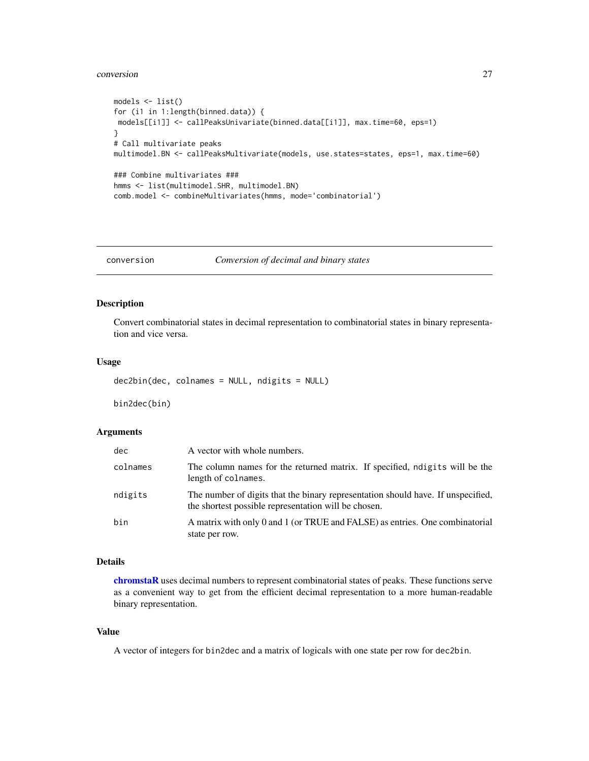#### <span id="page-26-0"></span>conversion 27

```
models <- list()
for (i1 in 1:length(binned.data)) {
models[[i1]] <- callPeaksUnivariate(binned.data[[i1]], max.time=60, eps=1)
}
# Call multivariate peaks
multimodel.BN <- callPeaksMultivariate(models, use.states=states, eps=1, max.time=60)
### Combine multivariates ###
hmms <- list(multimodel.SHR, multimodel.BN)
comb.model <- combineMultivariates(hmms, mode='combinatorial')
```
conversion *Conversion of decimal and binary states*

### <span id="page-26-1"></span>Description

Convert combinatorial states in decimal representation to combinatorial states in binary representation and vice versa.

#### Usage

```
dec2bin(dec, colnames = NULL, ndigits = NULL)
```
bin2dec(bin)

### Arguments

| dec      | A vector with whole numbers.                                                                                                             |
|----------|------------------------------------------------------------------------------------------------------------------------------------------|
| colnames | The column names for the returned matrix. If specified, notigits will be the<br>length of colnames.                                      |
| ndigits  | The number of digits that the binary representation should have. If unspecified,<br>the shortest possible representation will be chosen. |
| bin      | A matrix with only 0 and 1 (or TRUE and FALSE) as entries. One combinatorial<br>state per row.                                           |

### Details

[chromstaR](#page-2-1) uses decimal numbers to represent combinatorial states of peaks. These functions serve as a convenient way to get from the efficient decimal representation to a more human-readable binary representation.

### Value

A vector of integers for bin2dec and a matrix of logicals with one state per row for dec2bin.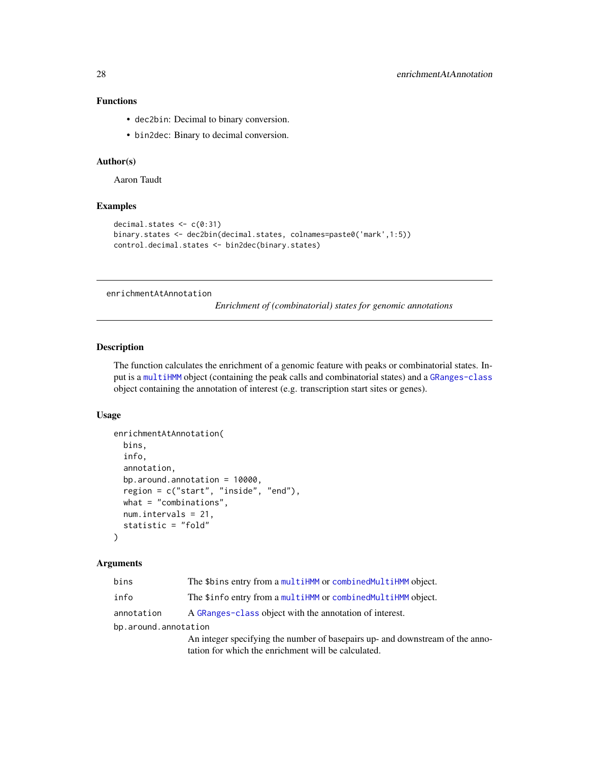# <span id="page-27-0"></span>Functions

- dec2bin: Decimal to binary conversion.
- bin2dec: Binary to decimal conversion.

# Author(s)

Aaron Taudt

# Examples

```
decimal.states <- c(0:31)
binary.states <- dec2bin(decimal.states, colnames=paste0('mark',1:5))
control.decimal.states <- bin2dec(binary.states)
```
enrichmentAtAnnotation

*Enrichment of (combinatorial) states for genomic annotations*

### Description

The function calculates the enrichment of a genomic feature with peaks or combinatorial states. Input is a [multiHMM](#page-45-1) object (containing the peak calls and combinatorial states) and a [GRanges-class](#page-0-0) object containing the annotation of interest (e.g. transcription start sites or genes).

### Usage

```
enrichmentAtAnnotation(
 bins,
  info,
  annotation,
  bp.around.annotation = 10000,
  region = c("start", "inside", "end"),
 what = "combinations",
  num.intervals = 21,
  statistic = "fold"
\lambda
```

| bins                 | The \$bins entry from a multiHMM or combinedMultiHMM object.                  |
|----------------------|-------------------------------------------------------------------------------|
| info                 | The \$info entry from a multiHMM or combinedMultiHMM object.                  |
| annotation           | A GRanges-class object with the annotation of interest.                       |
| bp.around.annotation |                                                                               |
|                      | An integer specifying the number of basepairs up- and downstream of the anno- |
|                      | tation for which the enrichment will be calculated.                           |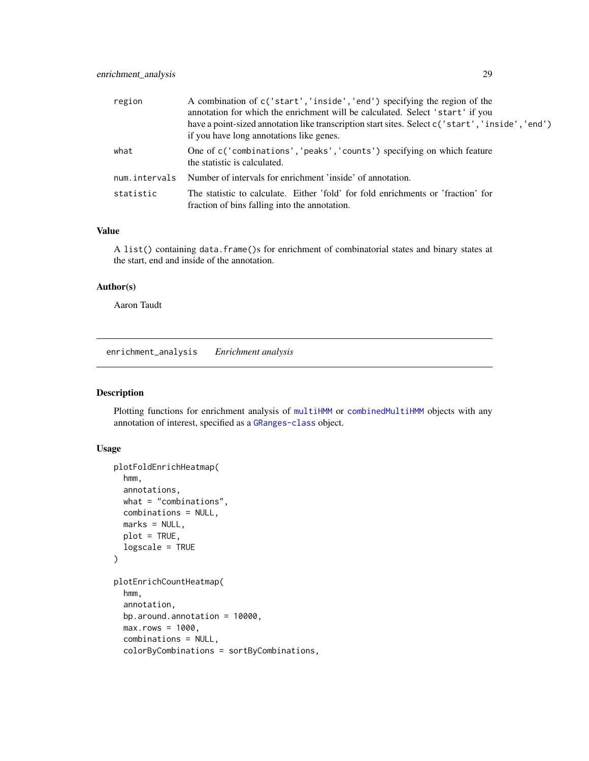<span id="page-28-0"></span>

| region        | A combination of c('start', 'inside', 'end') specifying the region of the<br>annotation for which the enrichment will be calculated. Select 'start' if you<br>have a point-sized annotation like transcription start sites. Select $c('start', 'inside', 'end')$<br>if you have long annotations like genes. |
|---------------|--------------------------------------------------------------------------------------------------------------------------------------------------------------------------------------------------------------------------------------------------------------------------------------------------------------|
| what          | One of c('combinations','peaks','counts') specifying on which feature<br>the statistic is calculated.                                                                                                                                                                                                        |
| num.intervals | Number of intervals for enrichment 'inside' of annotation.                                                                                                                                                                                                                                                   |
| statistic     | The statistic to calculate. Either 'fold' for fold enrichments or 'fraction' for<br>fraction of bins falling into the annotation.                                                                                                                                                                            |

### Value

A list() containing data.frame()s for enrichment of combinatorial states and binary states at the start, end and inside of the annotation.

# Author(s)

Aaron Taudt

enrichment\_analysis *Enrichment analysis*

# Description

Plotting functions for enrichment analysis of [multiHMM](#page-45-1) or [combinedMultiHMM](#page-24-1) objects with any annotation of interest, specified as a [GRanges-class](#page-0-0) object.

# Usage

```
plotFoldEnrichHeatmap(
  hmm,
  annotations,
  what = "combinations",
  combinations = NULL,
  marks = NULL,
 plot = TRUE,
  logscale = TRUE
)
plotEnrichCountHeatmap(
  hmm,
  annotation,
 bp.around.annotation = 10000,
  max.rows = 1000,combinations = NULL,
  colorByCombinations = sortByCombinations,
```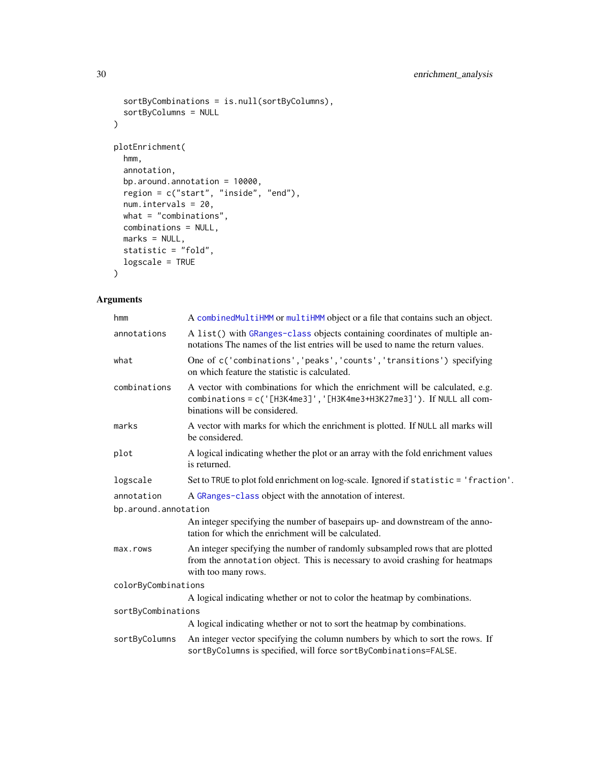```
sortByCombinations = is.null(sortByColumns),
 sortByColumns = NULL
\mathcal{L}plotEnrichment(
 hmm,
 annotation,
 bp.around.annotation = 10000,
 region = c("start", "inside", "end"),
 num.intervals = 20,
 what = "combinations",
 combinations = NULL,
 marks = NULL,
 statistic = "fold",
 logscale = TRUE
\mathcal{L}
```

| hmm                  | A combined MultiHMM or multiHMM object or a file that contains such an object.                                                                                                        |
|----------------------|---------------------------------------------------------------------------------------------------------------------------------------------------------------------------------------|
| annotations          | A list() with GRanges-class objects containing coordinates of multiple an-<br>notations The names of the list entries will be used to name the return values.                         |
| what                 | One of c('combinations','peaks','counts','transitions') specifying<br>on which feature the statistic is calculated.                                                                   |
| combinations         | A vector with combinations for which the enrichment will be calculated, e.g.<br>combinations = c('[H3K4me3]','[H3K4me3+H3K27me3]'). If NULL all com-<br>binations will be considered. |
| marks                | A vector with marks for which the enrichment is plotted. If NULL all marks will<br>be considered.                                                                                     |
| plot                 | A logical indicating whether the plot or an array with the fold enrichment values<br>is returned.                                                                                     |
| logscale             | Set to TRUE to plot fold enrichment on log-scale. Ignored if statistic = 'fraction'.                                                                                                  |
| annotation           | A GRanges-class object with the annotation of interest.                                                                                                                               |
| bp.around.annotation |                                                                                                                                                                                       |
|                      | An integer specifying the number of basepairs up- and downstream of the anno-<br>tation for which the enrichment will be calculated.                                                  |
| max.rows             | An integer specifying the number of randomly subsampled rows that are plotted<br>from the annotation object. This is necessary to avoid crashing for heatmaps<br>with too many rows.  |
| colorByCombinations  |                                                                                                                                                                                       |
|                      | A logical indicating whether or not to color the heatmap by combinations.                                                                                                             |
| sortByCombinations   |                                                                                                                                                                                       |
|                      | A logical indicating whether or not to sort the heatmap by combinations.                                                                                                              |
| sortByColumns        | An integer vector specifying the column numbers by which to sort the rows. If<br>sortByColumns is specified, will force sortByCombinations=FALSE.                                     |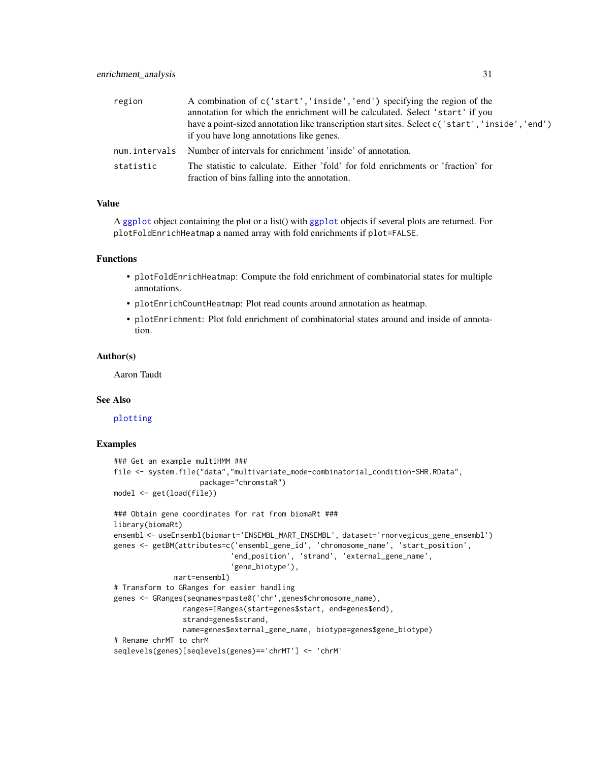| region        | A combination of c('start', 'inside', 'end') specifying the region of the                                                         |  |  |  |
|---------------|-----------------------------------------------------------------------------------------------------------------------------------|--|--|--|
|               | annotation for which the enrichment will be calculated. Select 'start' if you                                                     |  |  |  |
|               | have a point-sized annotation like transcription start sites. Select c('start','inside','end')                                    |  |  |  |
|               | if you have long annotations like genes.                                                                                          |  |  |  |
| num.intervals | Number of intervals for enrichment 'inside' of annotation.                                                                        |  |  |  |
| statistic     | The statistic to calculate. Either 'fold' for fold enrichments or 'fraction' for<br>fraction of bins falling into the annotation. |  |  |  |

### Value

A [ggplot](#page-0-0) object containing the plot or a list() with [ggplot](#page-0-0) objects if several plots are returned. For plotFoldEnrichHeatmap a named array with fold enrichments if plot=FALSE.

### Functions

- plotFoldEnrichHeatmap: Compute the fold enrichment of combinatorial states for multiple annotations.
- plotEnrichCountHeatmap: Plot read counts around annotation as heatmap.
- plotEnrichment: Plot fold enrichment of combinatorial states around and inside of annotation.

#### Author(s)

Aaron Taudt

### See Also

[plotting](#page-52-1)

### Examples

```
### Get an example multiHMM ###
file <- system.file("data","multivariate_mode-combinatorial_condition-SHR.RData",
                    package="chromstaR")
model <- get(load(file))
### Obtain gene coordinates for rat from biomaRt ###
library(biomaRt)
ensembl <- useEnsembl(biomart='ENSEMBL_MART_ENSEMBL', dataset='rnorvegicus_gene_ensembl')
genes <- getBM(attributes=c('ensembl_gene_id', 'chromosome_name', 'start_position',
                           'end_position', 'strand', 'external_gene_name',
                           'gene_biotype'),
             mart=ensembl)
# Transform to GRanges for easier handling
genes <- GRanges(seqnames=paste0('chr',genes$chromosome_name),
                ranges=IRanges(start=genes$start, end=genes$end),
                strand=genes$strand,
                name=genes$external_gene_name, biotype=genes$gene_biotype)
# Rename chrMT to chrM
seqlevels(genes)[seqlevels(genes)=='chrMT'] <- 'chrM'
```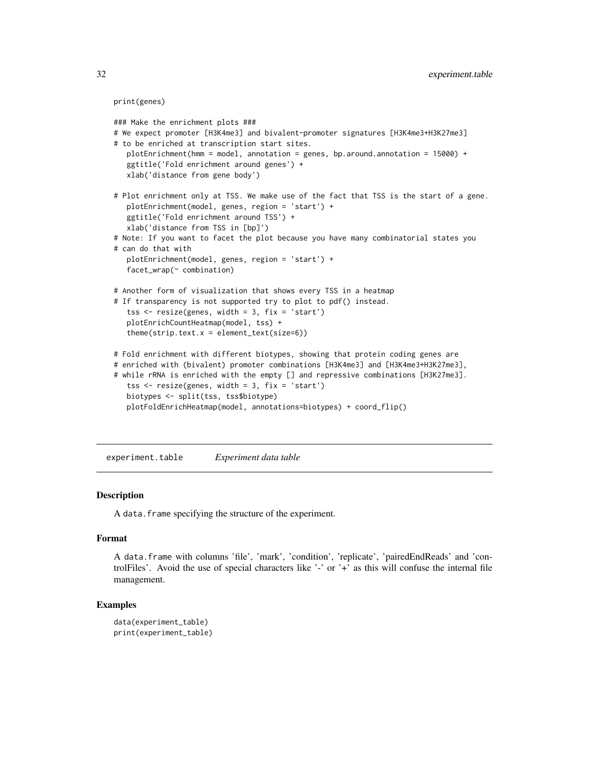```
print(genes)
```

```
### Make the enrichment plots ###
# We expect promoter [H3K4me3] and bivalent-promoter signatures [H3K4me3+H3K27me3]
# to be enriched at transcription start sites.
  plotEnrichment(hmm = model, annotation = genes, bp.around.annotation = 15000) +
  ggtitle('Fold enrichment around genes') +
  xlab('distance from gene body')
# Plot enrichment only at TSS. We make use of the fact that TSS is the start of a gene.
  plotEnrichment(model, genes, region = 'start') +
  ggtitle('Fold enrichment around TSS') +
  xlab('distance from TSS in [bp]')
# Note: If you want to facet the plot because you have many combinatorial states you
# can do that with
   plotEnrichment(model, genes, region = 'start') +
   facet_wrap(~ combination)
# Another form of visualization that shows every TSS in a heatmap
# If transparency is not supported try to plot to pdf() instead.
   tss \le resize(genes, width = 3, fix = 'start')
  plotEnrichCountHeatmap(model, tss) +
   them (strip.text.x = element_test(size=6))# Fold enrichment with different biotypes, showing that protein coding genes are
# enriched with (bivalent) promoter combinations [H3K4me3] and [H3K4me3+H3K27me3],
# while rRNA is enriched with the empty [] and repressive combinations [H3K27me3].
   tss <- resize(genes, width = 3, fix = 'start')
  biotypes <- split(tss, tss$biotype)
```

```
plotFoldEnrichHeatmap(model, annotations=biotypes) + coord_flip()
```
<span id="page-31-1"></span>experiment.table *Experiment data table*

### **Description**

A data. frame specifying the structure of the experiment.

## Format

A data.frame with columns 'file', 'mark', 'condition', 'replicate', 'pairedEndReads' and 'controlFiles'. Avoid the use of special characters like '-' or '+' as this will confuse the internal file management.

#### Examples

```
data(experiment_table)
print(experiment_table)
```
<span id="page-31-0"></span>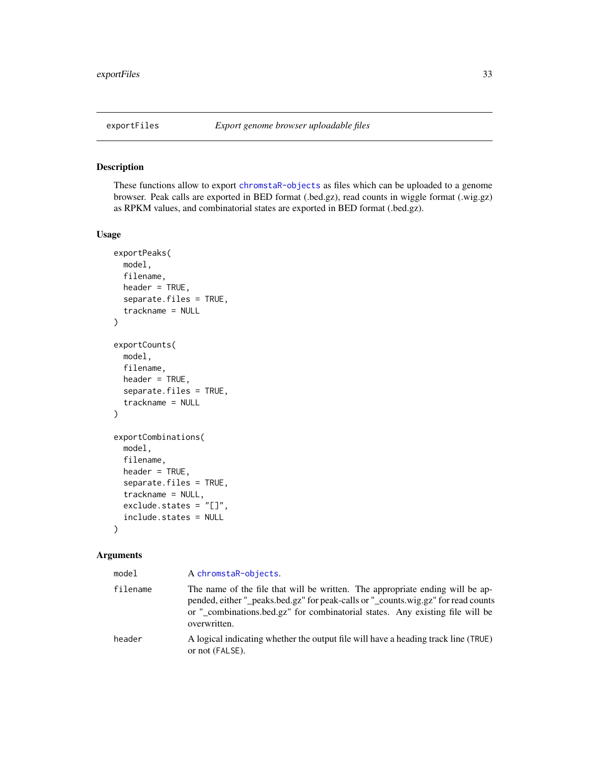<span id="page-32-0"></span>

# <span id="page-32-1"></span>Description

These functions allow to export [chromstaR-objects](#page-20-1) as files which can be uploaded to a genome browser. Peak calls are exported in BED format (.bed.gz), read counts in wiggle format (.wig.gz) as RPKM values, and combinatorial states are exported in BED format (.bed.gz).

### Usage

```
exportPeaks(
  model,
  filename,
  header = TRUE,separate.files = TRUE,
  trackname = NULL
)
exportCounts(
  model,
  filename,
  header = TRUE,separate.files = TRUE,
  trackname = NULL
)
exportCombinations(
  model,
  filename,
  header = TRUE,separate.files = TRUE,
  trackname = NULL,
  exclude.states = "[]",
  include.states = NULL
\mathcal{E}
```

| model    | A chromstaR-objects.                                                                                                                                                                                                                                                |
|----------|---------------------------------------------------------------------------------------------------------------------------------------------------------------------------------------------------------------------------------------------------------------------|
| filename | The name of the file that will be written. The appropriate ending will be ap-<br>pended, either "_peaks.bed.gz" for peak-calls or "_counts.wig.gz" for read counts<br>or "_combinations.bed.gz" for combinatorial states. Any existing file will be<br>overwritten. |
| header   | A logical indicating whether the output file will have a heading track line (TRUE)<br>or not (FALSE).                                                                                                                                                               |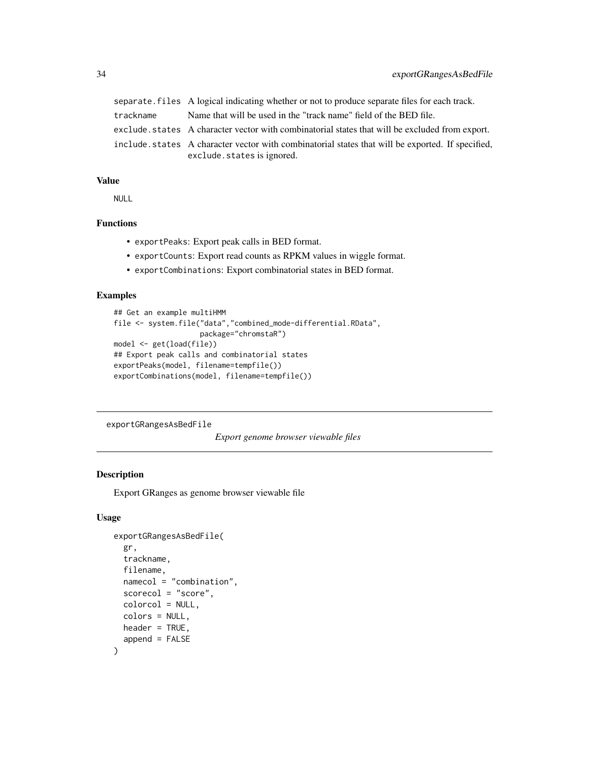<span id="page-33-0"></span>

|           | separate. files A logical indicating whether or not to produce separate files for each track.    |
|-----------|--------------------------------------------------------------------------------------------------|
| trackname | Name that will be used in the "track name" field of the BED file.                                |
|           | exclude.states A character vector with combinatorial states that will be excluded from export.   |
|           | include states A character vector with combinatorial states that will be exported. If specified, |
|           | exclude.states is ignored.                                                                       |

# Value

NULL

# Functions

- exportPeaks: Export peak calls in BED format.
- exportCounts: Export read counts as RPKM values in wiggle format.
- exportCombinations: Export combinatorial states in BED format.

# Examples

```
## Get an example multiHMM
file <- system.file("data","combined_mode-differential.RData",
                    package="chromstaR")
model <- get(load(file))
## Export peak calls and combinatorial states
exportPeaks(model, filename=tempfile())
exportCombinations(model, filename=tempfile())
```
exportGRangesAsBedFile

*Export genome browser viewable files*

# Description

Export GRanges as genome browser viewable file

# Usage

```
exportGRangesAsBedFile(
  gr,
  trackname,
  filename,
  namecol = "combination",
  scorecol = "score",
  colorcol = NULL,
  colors = NULL,
 header = TRUE,
  append = FALSE
)
```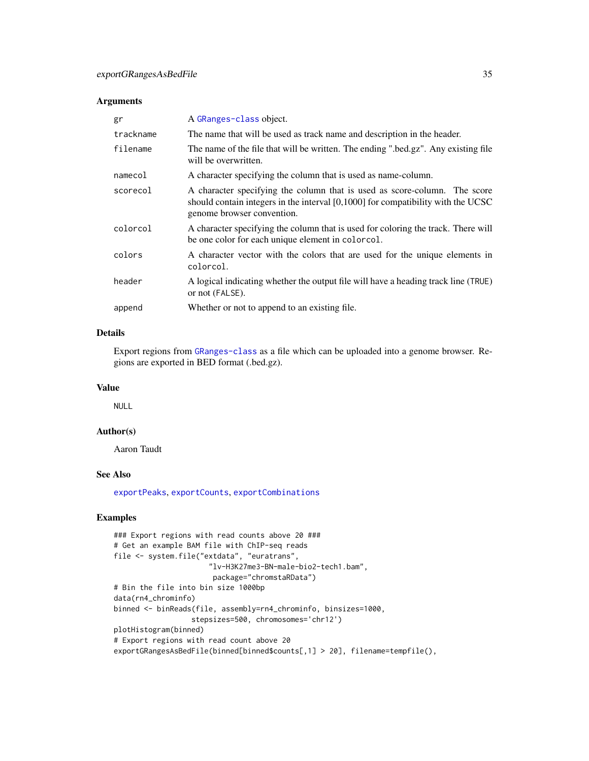### Arguments

| gr        | A GRanges-class object.                                                                                                                                                                     |
|-----------|---------------------------------------------------------------------------------------------------------------------------------------------------------------------------------------------|
| trackname | The name that will be used as track name and description in the header.                                                                                                                     |
| filename  | The name of the file that will be written. The ending ".bed.gz". Any existing file<br>will be overwritten.                                                                                  |
| namecol   | A character specifying the column that is used as name-column.                                                                                                                              |
| scorecol  | A character specifying the column that is used as score-column. The score<br>should contain integers in the interval [0,1000] for compatibility with the UCSC<br>genome browser convention. |
| colorcol  | A character specifying the column that is used for coloring the track. There will<br>be one color for each unique element in colorcol.                                                      |
| colors    | A character vector with the colors that are used for the unique elements in<br>colorcol.                                                                                                    |
| header    | A logical indicating whether the output file will have a heading track line (TRUE)<br>or not (FALSE).                                                                                       |
| append    | Whether or not to append to an existing file.                                                                                                                                               |

# Details

Export regions from [GRanges-class](#page-0-0) as a file which can be uploaded into a genome browser. Regions are exported in BED format (.bed.gz).

### Value

NULL

### Author(s)

Aaron Taudt

# See Also

[exportPeaks](#page-32-1), [exportCounts](#page-32-1), [exportCombinations](#page-32-1)

# Examples

```
### Export regions with read counts above 20 ###
# Get an example BAM file with ChIP-seq reads
file <- system.file("extdata", "euratrans",
                      "lv-H3K27me3-BN-male-bio2-tech1.bam",
                       package="chromstaRData")
# Bin the file into bin size 1000bp
data(rn4_chrominfo)
binned <- binReads(file, assembly=rn4_chrominfo, binsizes=1000,
                  stepsizes=500, chromosomes='chr12')
plotHistogram(binned)
# Export regions with read count above 20
exportGRangesAsBedFile(binned[binned$counts[,1] > 20], filename=tempfile(),
```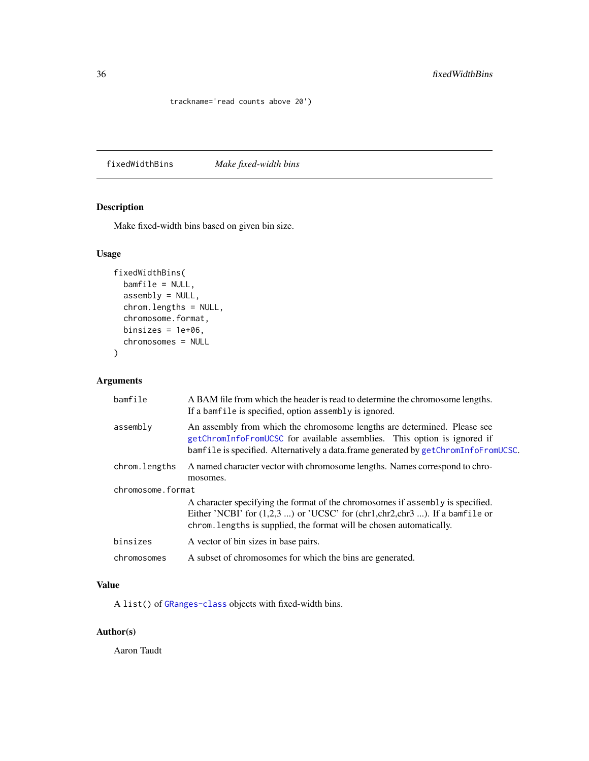<span id="page-35-0"></span>trackname='read counts above 20')

<span id="page-35-1"></span>fixedWidthBins *Make fixed-width bins*

# Description

Make fixed-width bins based on given bin size.

# Usage

```
fixedWidthBins(
 bamfile = NULL,
  assembly = NULL,
  chrom.lengths = NULL,
  chromosome.format,
 binsizes = 1e+06,
  chromosomes = NULL
)
```
# Arguments

| bamfile           | A BAM file from which the header is read to determine the chromosome lengths.<br>If a bamfile is specified, option assembly is ignored.                                                                                                     |  |
|-------------------|---------------------------------------------------------------------------------------------------------------------------------------------------------------------------------------------------------------------------------------------|--|
| assembly          | An assembly from which the chromosome lengths are determined. Please see<br>getChromInfoFromUCSC for available assemblies. This option is ignored if<br>bamfile is specified. Alternatively a data.frame generated by getChromInfoFromUCSC. |  |
| chrom.lengths     | A named character vector with chromosome lengths. Names correspond to chro-<br>mosomes.                                                                                                                                                     |  |
| chromosome.format |                                                                                                                                                                                                                                             |  |
|                   | A character specifying the format of the chromosomes if assembly is specified.<br>Either 'NCBI' for $(1,2,3)$ or 'UCSC' for $chr1, chr2, chr3)$ . If a bamfile or<br>chrom. Lengths is supplied, the format will be chosen automatically.   |  |
| binsizes          | A vector of bin sizes in base pairs.                                                                                                                                                                                                        |  |
| chromosomes       | A subset of chromosomes for which the bins are generated.                                                                                                                                                                                   |  |

# Value

A list() of [GRanges-class](#page-0-0) objects with fixed-width bins.

# Author(s)

Aaron Taudt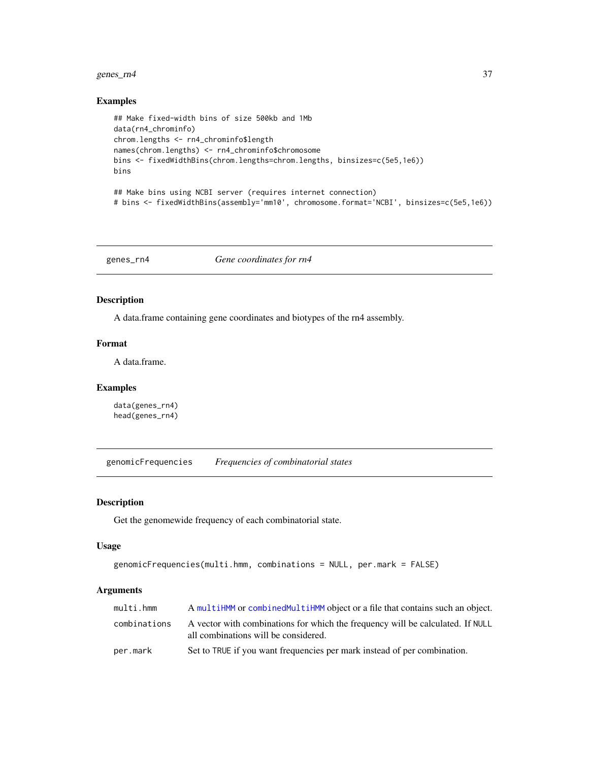## genes\_rn4 37

### Examples

```
## Make fixed-width bins of size 500kb and 1Mb
data(rn4_chrominfo)
chrom.lengths <- rn4_chrominfo$length
names(chrom.lengths) <- rn4_chrominfo$chromosome
bins <- fixedWidthBins(chrom.lengths=chrom.lengths, binsizes=c(5e5,1e6))
bins
## Make bins using NCBI server (requires internet connection)
```
# bins <- fixedWidthBins(assembly='mm10', chromosome.format='NCBI', binsizes=c(5e5,1e6))

genes\_rn4 *Gene coordinates for rn4*

### Description

A data.frame containing gene coordinates and biotypes of the rn4 assembly.

#### Format

A data.frame.

#### Examples

data(genes\_rn4) head(genes\_rn4)

genomicFrequencies *Frequencies of combinatorial states*

### Description

Get the genomewide frequency of each combinatorial state.

#### Usage

```
genomicFrequencies(multi.hmm, combinations = NULL, per.mark = FALSE)
```
### Arguments

| multi.hmm    | A multiHMM or combinedMultiHMM object or a file that contains such an object.                                          |
|--------------|------------------------------------------------------------------------------------------------------------------------|
| combinations | A vector with combinations for which the frequency will be calculated. If NULL<br>all combinations will be considered. |
| per.mark     | Set to TRUE if you want frequencies per mark instead of per combination.                                               |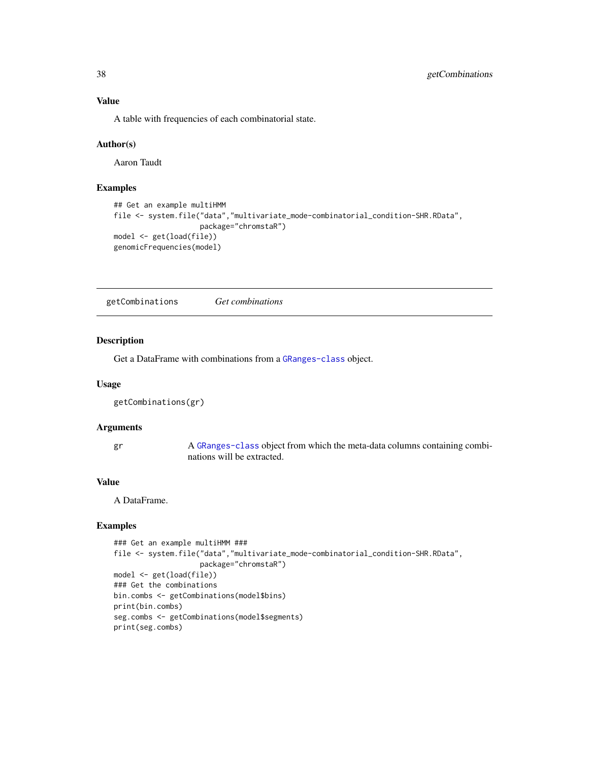A table with frequencies of each combinatorial state.

#### Author(s)

Aaron Taudt

#### Examples

```
## Get an example multiHMM
file <- system.file("data","multivariate_mode-combinatorial_condition-SHR.RData",
                    package="chromstaR")
model <- get(load(file))
genomicFrequencies(model)
```
getCombinations *Get combinations*

#### Description

Get a DataFrame with combinations from a [GRanges-class](#page-0-0) object.

#### Usage

```
getCombinations(gr)
```
#### Arguments

gr A [GRanges-class](#page-0-0) object from which the meta-data columns containing combinations will be extracted.

### Value

A DataFrame.

```
### Get an example multiHMM ###
file <- system.file("data","multivariate_mode-combinatorial_condition-SHR.RData",
                    package="chromstaR")
model <- get(load(file))
### Get the combinations
bin.combs <- getCombinations(model$bins)
print(bin.combs)
seg.combs <- getCombinations(model$segments)
print(seg.combs)
```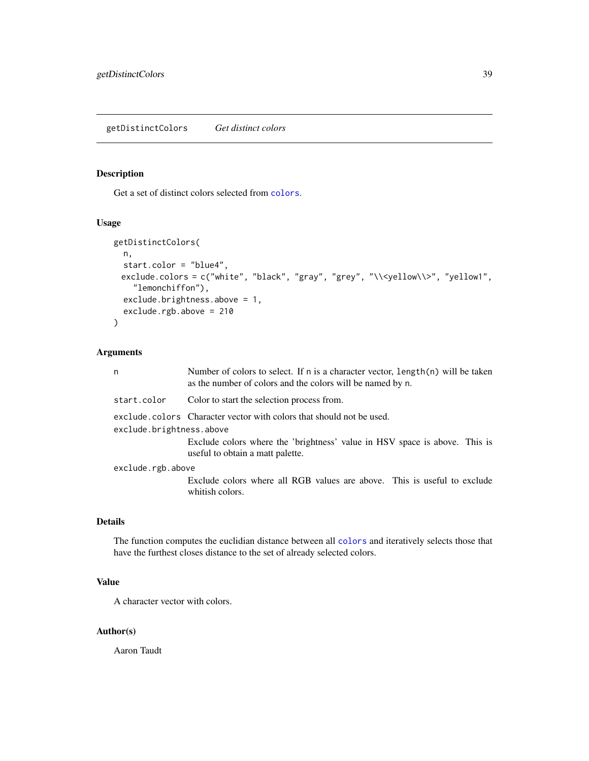Get a set of distinct colors selected from [colors](#page-0-0).

### Usage

```
getDistinctColors(
 n,
  start.color = "blue4",
 exclude.colors = c("white", "black", "gray", "grey", "\\<yellow\\>", "yellow1",
    "lemonchiffon"),
  exclude.brightness.above = 1,
  exclude.rgb.above = 210
\mathcal{L}
```
#### Arguments

| n                                                                                                | Number of colors to select. If n is a character vector, length(n) will be taken<br>as the number of colors and the colors will be named by n. |
|--------------------------------------------------------------------------------------------------|-----------------------------------------------------------------------------------------------------------------------------------------------|
| start.color                                                                                      | Color to start the selection process from.                                                                                                    |
| exclude.colors Character vector with colors that should not be used.<br>exclude.brightness.above |                                                                                                                                               |
|                                                                                                  | Exclude colors where the 'brightness' value in HSV space is above. This is<br>useful to obtain a matt palette.                                |
| exclude.rgb.above                                                                                |                                                                                                                                               |
|                                                                                                  | Exclude colors where all RGB values are above. This is useful to exclude<br>whitish colors.                                                   |

### Details

The function computes the euclidian distance between all [colors](#page-0-0) and iteratively selects those that have the furthest closes distance to the set of already selected colors.

# Value

A character vector with colors.

#### Author(s)

Aaron Taudt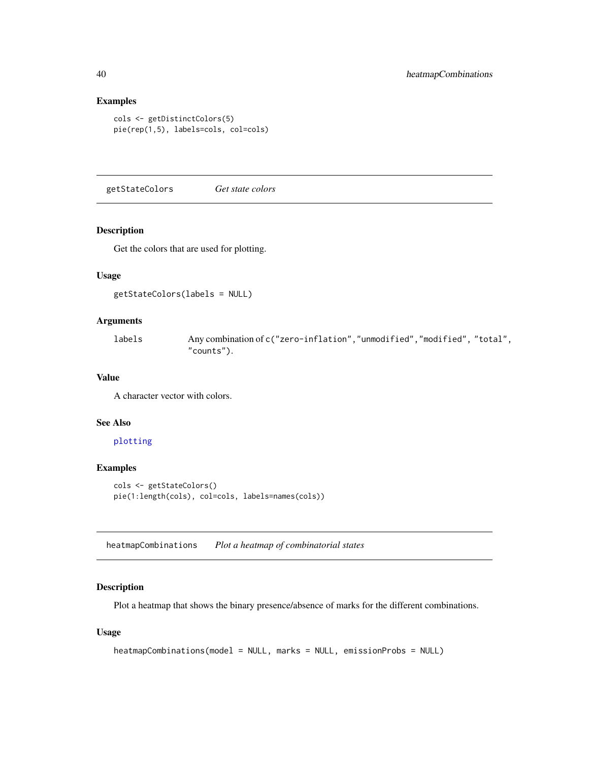# Examples

```
cols <- getDistinctColors(5)
pie(rep(1,5), labels=cols, col=cols)
```
getStateColors *Get state colors*

#### Description

Get the colors that are used for plotting.

### Usage

```
getStateColors(labels = NULL)
```
## Arguments

labels Any combination of c("zero-inflation","unmodified","modified", "total", "counts").

#### Value

A character vector with colors.

# See Also

### [plotting](#page-52-0)

## Examples

```
cols <- getStateColors()
pie(1:length(cols), col=cols, labels=names(cols))
```
<span id="page-39-0"></span>heatmapCombinations *Plot a heatmap of combinatorial states*

### Description

Plot a heatmap that shows the binary presence/absence of marks for the different combinations.

#### Usage

```
heatmapCombinations(model = NULL, marks = NULL, emissionProbs = NULL)
```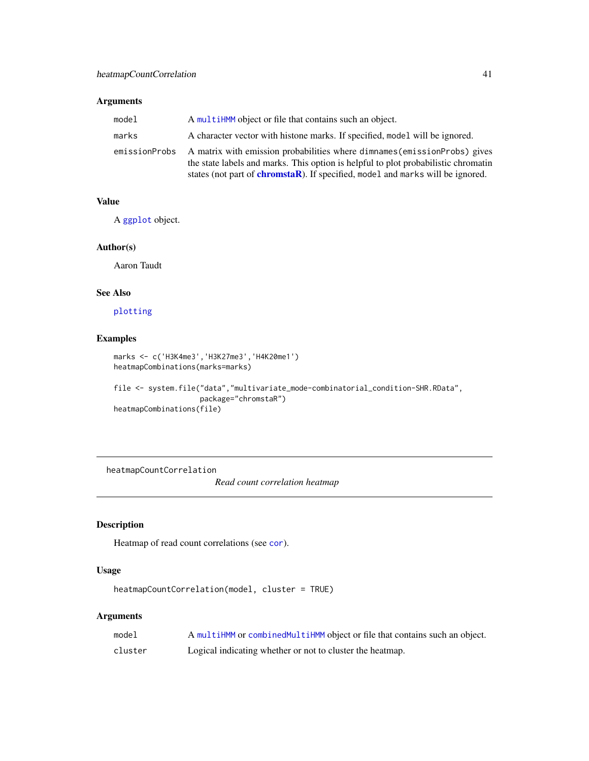# Arguments

| model         | A multiHMM object or file that contains such an object.                                                                                                                                                                                                   |
|---------------|-----------------------------------------------------------------------------------------------------------------------------------------------------------------------------------------------------------------------------------------------------------|
| marks         | A character vector with histone marks. If specified, model will be ignored.                                                                                                                                                                               |
| emissionProbs | A matrix with emission probabilities where dimnames (emissionProbs) gives<br>the state labels and marks. This option is helpful to plot probabilistic chromatin<br>states (not part of <b>chromstaR</b> ). If specified, model and marks will be ignored. |

# Value

A [ggplot](#page-0-0) object.

### Author(s)

Aaron Taudt

# See Also

[plotting](#page-52-0)

# Examples

```
marks <- c('H3K4me3','H3K27me3','H4K20me1')
heatmapCombinations(marks=marks)
```

```
file <- system.file("data","multivariate_mode-combinatorial_condition-SHR.RData",
                    package="chromstaR")
heatmapCombinations(file)
```
<span id="page-40-0"></span>heatmapCountCorrelation

*Read count correlation heatmap*

# Description

Heatmap of read count correlations (see [cor](#page-0-0)).

## Usage

heatmapCountCorrelation(model, cluster = TRUE)

### Arguments

| model   | A multiHMM or combinedMultiHMM object or file that contains such an object. |
|---------|-----------------------------------------------------------------------------|
| cluster | Logical indicating whether or not to cluster the heatmap.                   |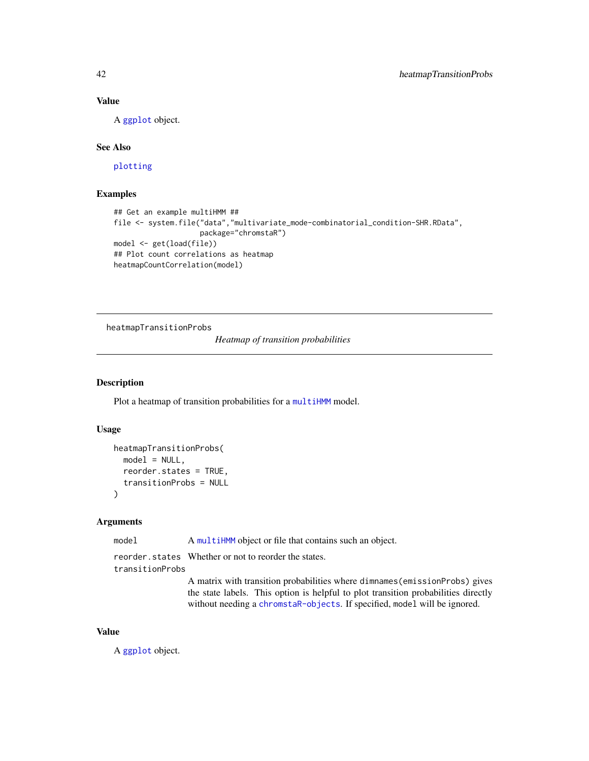### Value

A [ggplot](#page-0-0) object.

# See Also

[plotting](#page-52-0)

### Examples

```
## Get an example multiHMM ##
file <- system.file("data","multivariate_mode-combinatorial_condition-SHR.RData",
                    package="chromstaR")
model <- get(load(file))
## Plot count correlations as heatmap
heatmapCountCorrelation(model)
```
<span id="page-41-0"></span>heatmapTransitionProbs

*Heatmap of transition probabilities*

#### Description

Plot a heatmap of transition probabilities for a [multiHMM](#page-45-0) model.

### Usage

```
heatmapTransitionProbs(
  model = NULL,reorder.states = TRUE,
  transitionProbs = NULL
)
```
#### Arguments

model A [multiHMM](#page-45-0) object or file that contains such an object.

reorder.states Whether or not to reorder the states.

transitionProbs

A matrix with transition probabilities where dimnames(emissionProbs) gives the state labels. This option is helpful to plot transition probabilities directly without needing a [chromstaR-objects](#page-20-0). If specified, model will be ignored.

#### Value

A [ggplot](#page-0-0) object.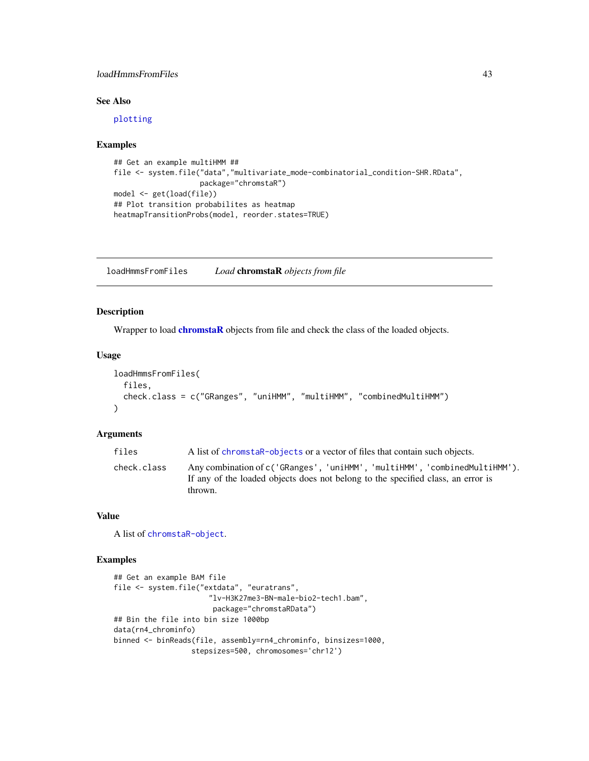### loadHmmsFromFiles 43

### See Also

[plotting](#page-52-0)

#### Examples

```
## Get an example multiHMM ##
file <- system.file("data","multivariate_mode-combinatorial_condition-SHR.RData",
                    package="chromstaR")
model <- get(load(file))
## Plot transition probabilites as heatmap
heatmapTransitionProbs(model, reorder.states=TRUE)
```
loadHmmsFromFiles *Load* chromstaR *objects from file*

### Description

Wrapper to load **[chromstaR](#page-2-0)** objects from file and check the class of the loaded objects.

#### Usage

```
loadHmmsFromFiles(
  files,
  check.class = c("GRanges", "uniHMM", "multiHMM", "combinedMultiHMM")
)
```
### Arguments

| files       | A list of chromstaR-objects or a vector of files that contain such objects.                                                                                               |
|-------------|---------------------------------------------------------------------------------------------------------------------------------------------------------------------------|
| check.class | Any combination of c('GRanges', 'uniHMM', 'multiHMM', 'combinedMultiHMM').<br>If any of the loaded objects does not belong to the specified class, an error is<br>thrown. |

### Value

A list of [chromstaR-object](#page-0-0).

```
## Get an example BAM file
file <- system.file("extdata", "euratrans",
                      "lv-H3K27me3-BN-male-bio2-tech1.bam",
                       package="chromstaRData")
## Bin the file into bin size 1000bp
data(rn4_chrominfo)
binned <- binReads(file, assembly=rn4_chrominfo, binsizes=1000,
                  stepsizes=500, chromosomes='chr12')
```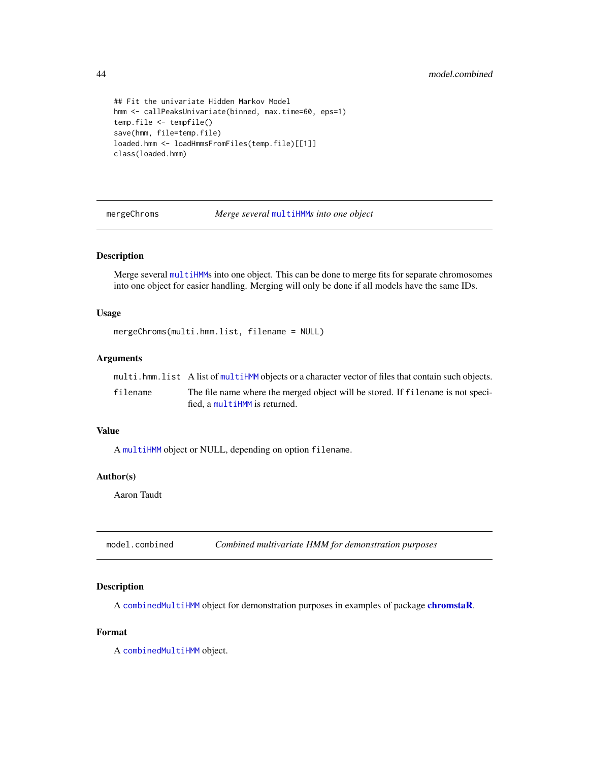```
## Fit the univariate Hidden Markov Model
hmm <- callPeaksUnivariate(binned, max.time=60, eps=1)
temp.file <- tempfile()
save(hmm, file=temp.file)
loaded.hmm <- loadHmmsFromFiles(temp.file)[[1]]
class(loaded.hmm)
```
mergeChroms *Merge several* [multiHMM](#page-45-0)*s into one object*

#### Description

Merge several [multiHMM](#page-45-0)s into one object. This can be done to merge fits for separate chromosomes into one object for easier handling. Merging will only be done if all models have the same IDs.

### Usage

```
mergeChroms(multi.hmm.list, filename = NULL)
```
### Arguments

| multi.hmm.list A list of multiHMM objects or a character vector of files that contain such objects. |  |
|-----------------------------------------------------------------------------------------------------|--|
|                                                                                                     |  |

filename The file name where the merged object will be stored. If filename is not specified, a [multiHMM](#page-45-0) is returned.

#### Value

A [multiHMM](#page-45-0) object or NULL, depending on option filename.

#### Author(s)

Aaron Taudt

model.combined *Combined multivariate HMM for demonstration purposes*

## Description

A [combinedMultiHMM](#page-24-0) object for demonstration purposes in examples of package [chromstaR](#page-2-0).

### Format

A [combinedMultiHMM](#page-24-0) object.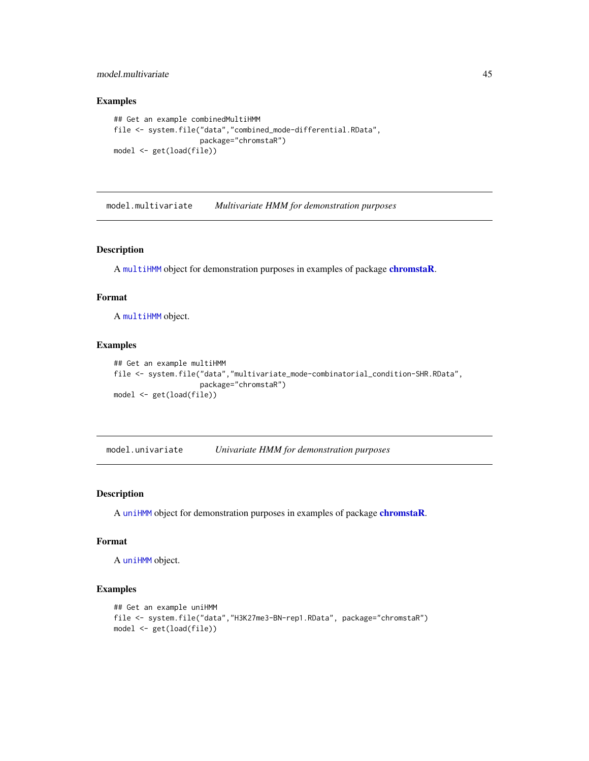model.multivariate 45

### Examples

```
## Get an example combinedMultiHMM
file <- system.file("data","combined_mode-differential.RData",
                    package="chromstaR")
model <- get(load(file))
```
model.multivariate *Multivariate HMM for demonstration purposes*

### Description

A [multiHMM](#page-45-0) object for demonstration purposes in examples of package [chromstaR](#page-2-0).

### Format

A [multiHMM](#page-45-0) object.

### Examples

```
## Get an example multiHMM
file <- system.file("data","multivariate_mode-combinatorial_condition-SHR.RData",
                    package="chromstaR")
model <- get(load(file))
```
model.univariate *Univariate HMM for demonstration purposes*

### Description

A [uniHMM](#page-69-0) object for demonstration purposes in examples of package [chromstaR](#page-2-0).

### Format

A [uniHMM](#page-69-0) object.

```
## Get an example uniHMM
file <- system.file("data","H3K27me3-BN-rep1.RData", package="chromstaR")
model <- get(load(file))
```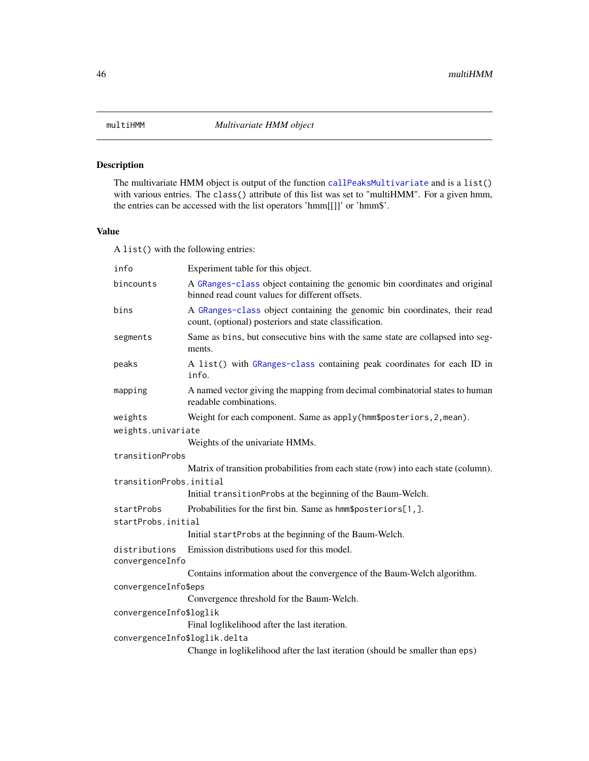<span id="page-45-0"></span>

The multivariate HMM object is output of the function [callPeaksMultivariate](#page-5-0) and is a list() with various entries. The class() attribute of this list was set to "multiHMM". For a given hmm, the entries can be accessed with the list operators 'hmm[[]]' or 'hmm\$'.

#### Value

A list() with the following entries:

| info                             | Experiment table for this object.                                                                                                   |
|----------------------------------|-------------------------------------------------------------------------------------------------------------------------------------|
| bincounts                        | A GRanges-class object containing the genomic bin coordinates and original<br>binned read count values for different offsets.       |
| bins                             | A GRanges-class object containing the genomic bin coordinates, their read<br>count, (optional) posteriors and state classification. |
| segments                         | Same as bins, but consecutive bins with the same state are collapsed into seg-<br>ments.                                            |
| peaks                            | A list() with GRanges-class containing peak coordinates for each ID in<br>info.                                                     |
| mapping                          | A named vector giving the mapping from decimal combinatorial states to human<br>readable combinations.                              |
| weights                          | Weight for each component. Same as apply (hmm\$posteriors, 2, mean).                                                                |
| weights.univariate               |                                                                                                                                     |
|                                  | Weights of the univariate HMMs.                                                                                                     |
| transitionProbs                  |                                                                                                                                     |
|                                  | Matrix of transition probabilities from each state (row) into each state (column).                                                  |
| transitionProbs.initial          |                                                                                                                                     |
|                                  | Initial transitionProbs at the beginning of the Baum-Welch.                                                                         |
| startProbs                       | Probabilities for the first bin. Same as hmm\$posteriors[1,].                                                                       |
| startProbs.initial               |                                                                                                                                     |
|                                  | Initial startProbs at the beginning of the Baum-Welch.                                                                              |
| distributions<br>convergenceInfo | Emission distributions used for this model.                                                                                         |
|                                  | Contains information about the convergence of the Baum-Welch algorithm.                                                             |
| convergenceInfo\$eps             |                                                                                                                                     |
|                                  | Convergence threshold for the Baum-Welch.                                                                                           |
| convergenceInfo\$loglik          |                                                                                                                                     |
|                                  | Final loglikelihood after the last iteration.                                                                                       |
| convergenceInfo\$loglik.delta    |                                                                                                                                     |
|                                  | Change in loglikelihood after the last iteration (should be smaller than eps)                                                       |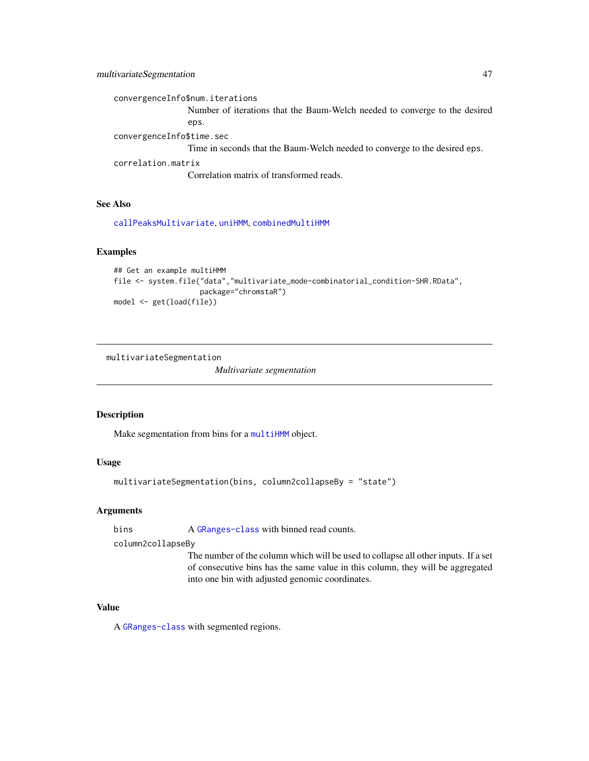convergenceInfo\$num.iterations

Number of iterations that the Baum-Welch needed to converge to the desired eps.

convergenceInfo\$time.sec

Time in seconds that the Baum-Welch needed to converge to the desired eps.

correlation.matrix

Correlation matrix of transformed reads.

### See Also

[callPeaksMultivariate](#page-5-0), [uniHMM](#page-69-0), [combinedMultiHMM](#page-24-0)

#### Examples

```
## Get an example multiHMM
file <- system.file("data","multivariate_mode-combinatorial_condition-SHR.RData",
                    package="chromstaR")
model <- get(load(file))
```
multivariateSegmentation

*Multivariate segmentation*

### Description

Make segmentation from bins for a [multiHMM](#page-45-0) object.

#### Usage

```
multivariateSegmentation(bins, column2collapseBy = "state")
```
#### Arguments

bins A [GRanges-class](#page-0-0) with binned read counts.

column2collapseBy

The number of the column which will be used to collapse all other inputs. If a set of consecutive bins has the same value in this column, they will be aggregated into one bin with adjusted genomic coordinates.

# Value

A [GRanges-class](#page-0-0) with segmented regions.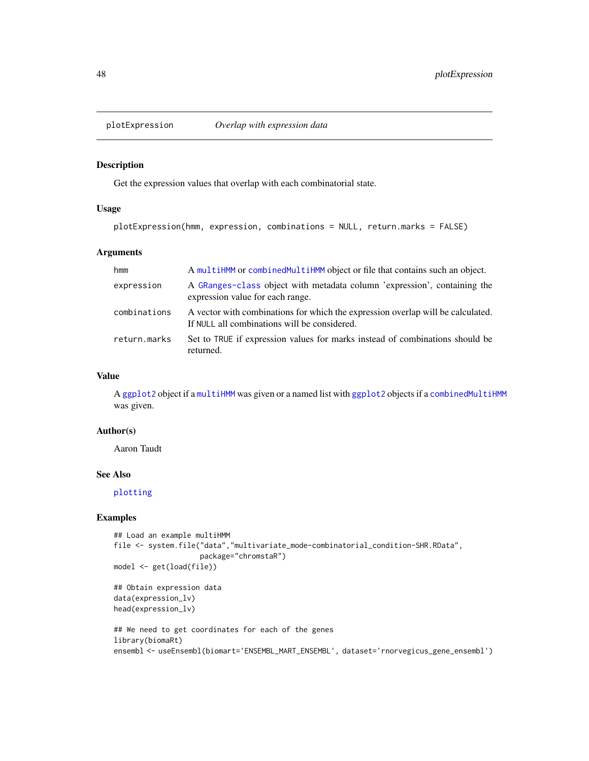<span id="page-47-0"></span>

Get the expression values that overlap with each combinatorial state.

#### Usage

```
plotExpression(hmm, expression, combinations = NULL, return.marks = FALSE)
```
### Arguments

| hmm          | A multiHMM or combinedMultiHMM object or file that contains such an object.                                                     |
|--------------|---------------------------------------------------------------------------------------------------------------------------------|
| expression   | A GRanges-class object with metadata column 'expression', containing the<br>expression value for each range.                    |
| combinations | A vector with combinations for which the expression overlap will be calculated.<br>If NULL all combinations will be considered. |
| return.marks | Set to TRUE if expression values for marks instead of combinations should be<br>returned.                                       |

#### Value

A [ggplot2](#page-0-0) object if a [multiHMM](#page-45-0) was given or a named list with ggplot2 objects if a [combinedMultiHMM](#page-24-0) was given.

#### Author(s)

Aaron Taudt

#### See Also

[plotting](#page-52-0)

```
## Load an example multiHMM
file <- system.file("data","multivariate_mode-combinatorial_condition-SHR.RData",
                    package="chromstaR")
model <- get(load(file))
## Obtain expression data
```

```
data(expression_lv)
head(expression_lv)
```

```
## We need to get coordinates for each of the genes
library(biomaRt)
ensembl <- useEnsembl(biomart='ENSEMBL_MART_ENSEMBL', dataset='rnorvegicus_gene_ensembl')
```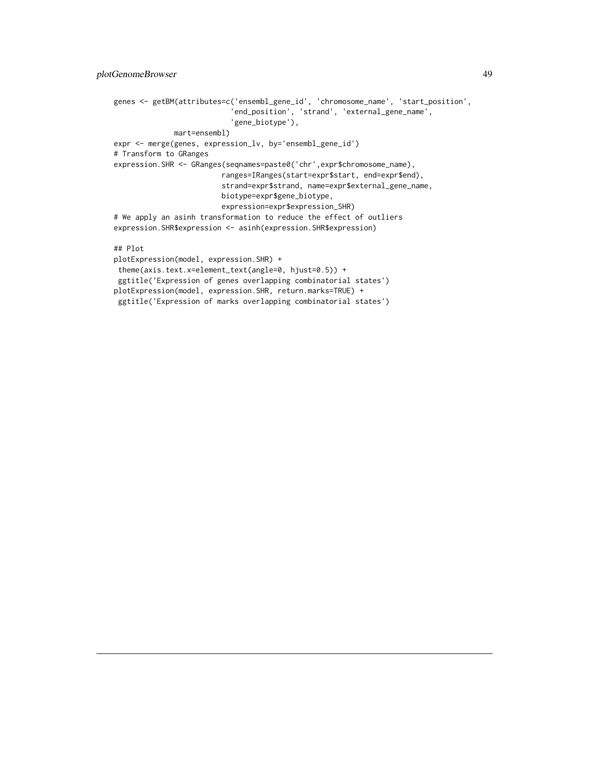```
genes <- getBM(attributes=c('ensembl_gene_id', 'chromosome_name', 'start_position',
                           'end_position', 'strand', 'external_gene_name',
                           'gene_biotype'),
             mart=ensembl)
expr <- merge(genes, expression_lv, by='ensembl_gene_id')
# Transform to GRanges
expression.SHR <- GRanges(seqnames=paste0('chr',expr$chromosome_name),
                        ranges=IRanges(start=expr$start, end=expr$end),
                         strand=expr$strand, name=expr$external_gene_name,
                        biotype=expr$gene_biotype,
                         expression=expr$expression_SHR)
# We apply an asinh transformation to reduce the effect of outliers
expression.SHR$expression <- asinh(expression.SHR$expression)
## Plot
plotExpression(model, expression.SHR) +
theme(axis.text.x=element_text(angle=0, hjust=0.5)) +
ggtitle('Expression of genes overlapping combinatorial states')
plotExpression(model, expression.SHR, return.marks=TRUE) +
ggtitle('Expression of marks overlapping combinatorial states')
```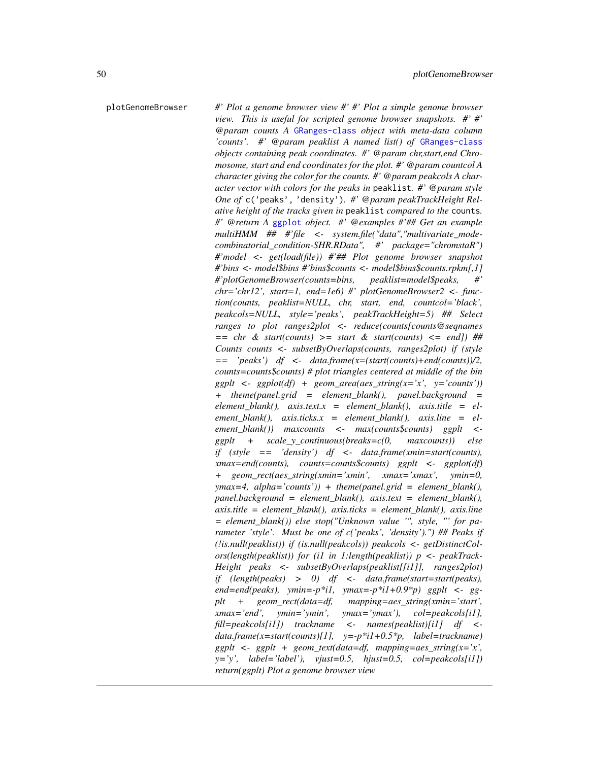plotGenomeBrowser *#' Plot a genome browser view #' #' Plot a simple genome browser view. This is useful for scripted genome browser snapshots. #' #' @param counts A* [GRanges-class](#page-0-0) *object with meta-data column 'counts'. #' @param peaklist A named list() of* [GRanges-class](#page-0-0) *objects containing peak coordinates. #' @param chr,start,end Chromosome, start and end coordinates for the plot. #' @param countcol A character giving the color for the counts. #' @param peakcols A character vector with colors for the peaks in* peaklist*. #' @param style One of* c('peaks', 'density')*. #' @param peakTrackHeight Relative height of the tracks given in* peaklist *compared to the* counts*. #' @return A* [ggplot](#page-0-0) *object. #' @examples #'## Get an example multiHMM ## #'file <- system.file("data","multivariate\_modecombinatorial\_condition-SHR.RData", #' package="chromstaR") #'model <- get(load(file)) #'## Plot genome browser snapshot #'bins <- model\$bins #'bins\$counts <- model\$bins\$counts.rpkm[,1] #'plotGenomeBrowser(counts=bins, peaklist=model\$peaks, #' chr='chr12', start=1, end=1e6) #' plotGenomeBrowser2 <- function(counts, peaklist=NULL, chr, start, end, countcol='black', peakcols=NULL, style='peaks', peakTrackHeight=5) ## Select ranges to plot ranges2plot <- reduce(counts[counts@seqnames == chr & start(counts) >= start & start(counts) <= end]) ## Counts counts <- subsetByOverlaps(counts, ranges2plot) if (style == 'peaks') df <- data.frame(x=(start(counts)+end(counts))/2, counts=counts\$counts) # plot triangles centered at middle of the bin ggplt <- ggplot(df) + geom\_area(aes\_string(x='x', y='counts')) + theme(panel.grid = element\_blank(), panel.background = element\_blank(), axis.text.x = element\_blank(), axis.title = element\_blank(), axis.ticks.x = element\_blank(), axis.line = element\_blank()) maxcounts <- max(counts\$counts) ggplt < ggplt + scale\_y\_continuous(breaks=c(0, maxcounts)) else if (style == 'density') df <- data.frame(xmin=start(counts), xmax=end(counts), counts=counts\$counts) ggplt <- ggplot(df) + geom\_rect(aes\_string(xmin='xmin', xmax='xmax', ymin=0, ymax=4, alpha='counts')) + theme(panel.grid = element\_blank(), panel.background = element\_blank(), axis.text = element\_blank(), axis.title = element\_blank(), axis.ticks = element\_blank(), axis.line = element\_blank()) else stop("Unknown value '", style, "' for parameter 'style'. Must be one of c('peaks', 'density').") ## Peaks if (!is.null(peaklist)) if (is.null(peakcols)) peakcols <- getDistinctColors(length(peaklist)) for (i1 in 1:length(peaklist)) p <- peakTrack-Height peaks <- subsetByOverlaps(peaklist[[i1]], ranges2plot) if (length(peaks) > 0) df <- data.frame(start=start(peaks), end=end(peaks), ymin=-p\*i1, ymax=-p\*i1+0.9\*p) ggplt <- ggplt + geom\_rect(data=df, mapping=aes\_string(xmin='start', xmax='end', ymin='ymin', ymax='ymax'), col=peakcols[i1], fill=peakcols[i1]) trackname <- names(peaklist)[i1] df < data.frame(x=start(counts)[1], y=-p\*i1+0.5\*p, label=trackname) ggplt <- ggplt + geom\_text(data=df, mapping=aes\_string(x='x', y='y', label='label'), vjust=0.5, hjust=0.5, col=peakcols[i1]) return(ggplt) Plot a genome browser view*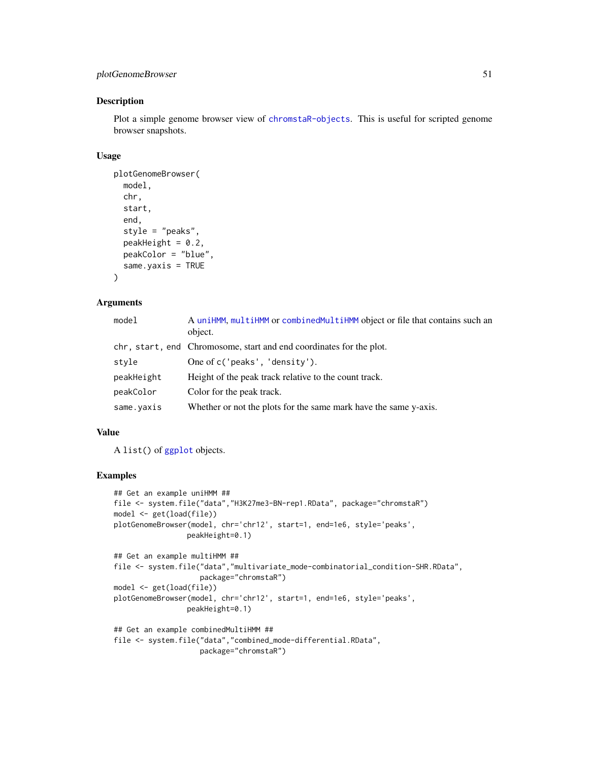## plotGenomeBrowser 51

#### Description

Plot a simple genome browser view of [chromstaR-objects](#page-20-0). This is useful for scripted genome browser snapshots.

### Usage

```
plotGenomeBrowser(
  model,
  chr,
  start,
  end,
  style = "peaks",
  peakHeight = 0.2,
 peakColor = "blue",
  same.yaxis = TRUE\lambda
```
# Arguments

| model      | A uniHMM, multiHMM or combinedMultiHMM object or file that contains such an<br>object. |
|------------|----------------------------------------------------------------------------------------|
|            | chr, start, end Chromosome, start and end coordinates for the plot.                    |
| style      | One of c('peaks', 'density').                                                          |
| peakHeight | Height of the peak track relative to the count track.                                  |
| peakColor  | Color for the peak track.                                                              |
| same.yaxis | Whether or not the plots for the same mark have the same y-axis.                       |

# Value

A list() of [ggplot](#page-0-0) objects.

```
## Get an example uniHMM ##
file <- system.file("data","H3K27me3-BN-rep1.RData", package="chromstaR")
model <- get(load(file))
plotGenomeBrowser(model, chr='chr12', start=1, end=1e6, style='peaks',
                 peakHeight=0.1)
## Get an example multiHMM ##
file <- system.file("data","multivariate_mode-combinatorial_condition-SHR.RData",
                    package="chromstaR")
model <- get(load(file))
plotGenomeBrowser(model, chr='chr12', start=1, end=1e6, style='peaks',
                 peakHeight=0.1)
## Get an example combinedMultiHMM ##
file <- system.file("data","combined_mode-differential.RData",
                    package="chromstaR")
```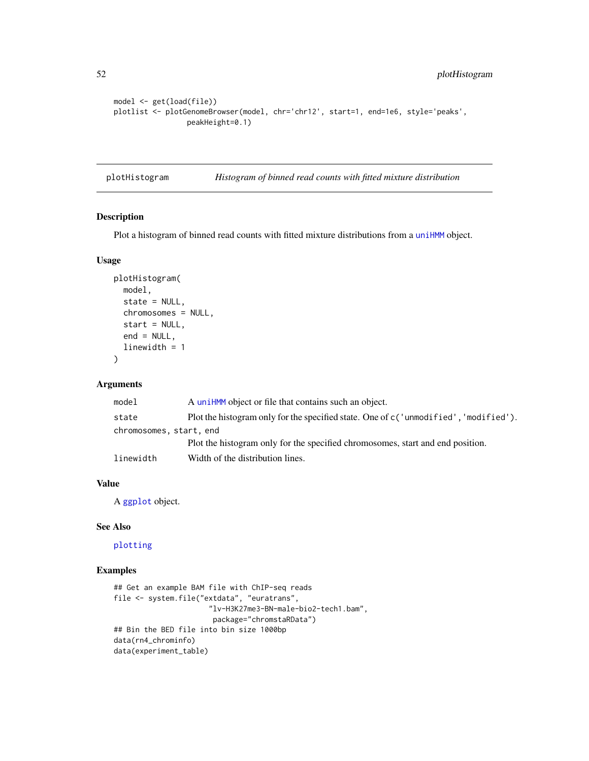```
model <- get(load(file))
plotlist <- plotGenomeBrowser(model, chr='chr12', start=1, end=1e6, style='peaks',
                 peakHeight=0.1)
```
<span id="page-51-0"></span>plotHistogram *Histogram of binned read counts with fitted mixture distribution*

### Description

Plot a histogram of binned read counts with fitted mixture distributions from a [uniHMM](#page-69-0) object.

#### Usage

```
plotHistogram(
  model,
  state = NULL,
  chromosomes = NULL,
  start = NULL,
  end = NULL,linewidth = 1
\mathcal{E}
```
### Arguments

| model                   | A uniHMM object or file that contains such an object.                                 |  |
|-------------------------|---------------------------------------------------------------------------------------|--|
| state                   | Plot the histogram only for the specified state. One of c ('unmodified', 'modified'). |  |
| chromosomes, start, end |                                                                                       |  |
|                         | Plot the histogram only for the specified chromosomes, start and end position.        |  |
| linewidth               | Width of the distribution lines.                                                      |  |

## Value

A [ggplot](#page-0-0) object.

#### See Also

[plotting](#page-52-0)

```
## Get an example BAM file with ChIP-seq reads
file <- system.file("extdata", "euratrans",
                      "lv-H3K27me3-BN-male-bio2-tech1.bam",
                       package="chromstaRData")
## Bin the BED file into bin size 1000bp
data(rn4_chrominfo)
data(experiment_table)
```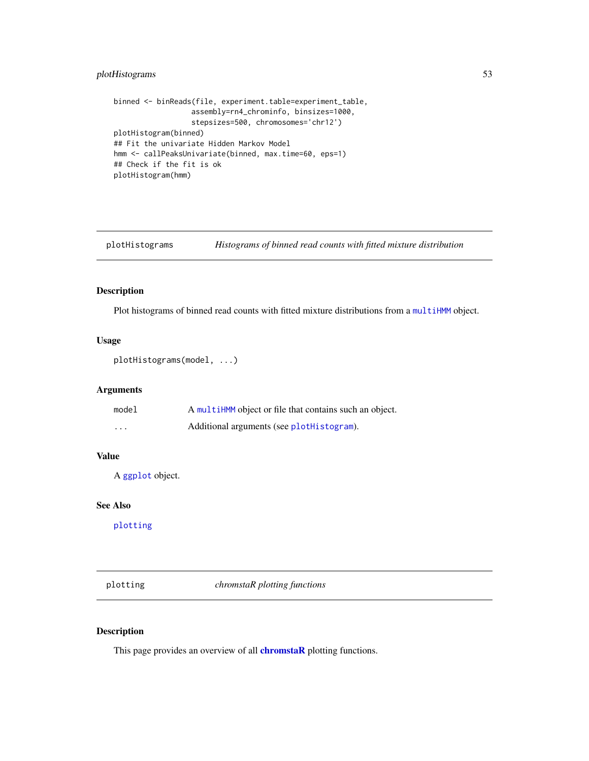# plotHistograms 53

```
binned <- binReads(file, experiment.table=experiment_table,
                  assembly=rn4_chrominfo, binsizes=1000,
                  stepsizes=500, chromosomes='chr12')
plotHistogram(binned)
## Fit the univariate Hidden Markov Model
hmm <- callPeaksUnivariate(binned, max.time=60, eps=1)
## Check if the fit is ok
plotHistogram(hmm)
```
plotHistograms *Histograms of binned read counts with fitted mixture distribution*

# Description

Plot histograms of binned read counts with fitted mixture distributions from a [multiHMM](#page-45-0) object.

### Usage

```
plotHistograms(model, ...)
```
#### Arguments

| model    | A multiHMM object or file that contains such an object. |
|----------|---------------------------------------------------------|
| $\cdots$ | Additional arguments (see plotHistogram).               |

## Value

A [ggplot](#page-0-0) object.

## See Also

[plotting](#page-52-0)

<span id="page-52-0"></span>plotting *chromstaR plotting functions*

#### Description

This page provides an overview of all **[chromstaR](#page-2-0)** plotting functions.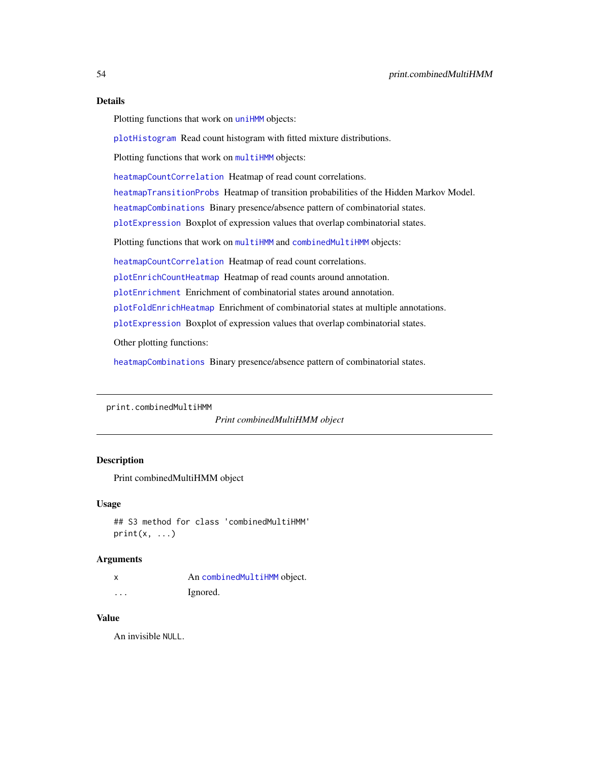#### Details

Plotting functions that work on [uniHMM](#page-69-0) objects:

[plotHistogram](#page-51-0) Read count histogram with fitted mixture distributions.

Plotting functions that work on [multiHMM](#page-45-0) objects:

[heatmapCountCorrelation](#page-40-0) Heatmap of read count correlations.

[heatmapTransitionProbs](#page-41-0) Heatmap of transition probabilities of the Hidden Markov Model.

[heatmapCombinations](#page-39-0) Binary presence/absence pattern of combinatorial states.

[plotExpression](#page-47-0) Boxplot of expression values that overlap combinatorial states.

Plotting functions that work on [multiHMM](#page-45-0) and [combinedMultiHMM](#page-24-0) objects:

[heatmapCountCorrelation](#page-40-0) Heatmap of read count correlations.

[plotEnrichCountHeatmap](#page-28-0) Heatmap of read counts around annotation.

[plotEnrichment](#page-28-0) Enrichment of combinatorial states around annotation.

[plotFoldEnrichHeatmap](#page-28-0) Enrichment of combinatorial states at multiple annotations.

[plotExpression](#page-47-0) Boxplot of expression values that overlap combinatorial states.

Other plotting functions:

[heatmapCombinations](#page-39-0) Binary presence/absence pattern of combinatorial states.

print.combinedMultiHMM

*Print combinedMultiHMM object*

# **Description**

Print combinedMultiHMM object

### Usage

```
## S3 method for class 'combinedMultiHMM'
print(x, \ldots)
```
#### Arguments

|   | An combined MultiHMM object. |
|---|------------------------------|
| . | Ignored.                     |

#### Value

An invisible NULL.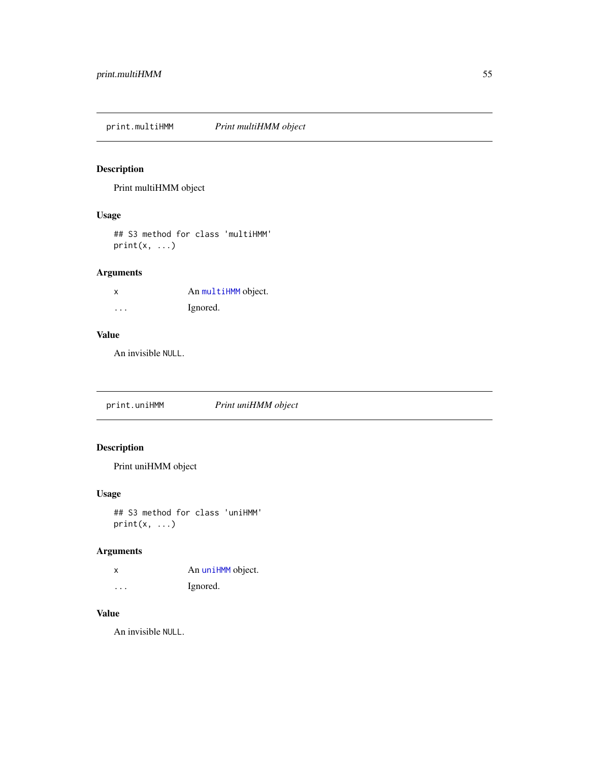print.multiHMM *Print multiHMM object*

# Description

Print multiHMM object

## Usage

## S3 method for class 'multiHMM'  $print(x, \ldots)$ 

## Arguments

| x | An multiHMM object. |
|---|---------------------|
| . | Ignored.            |

## Value

An invisible NULL.

print.uniHMM *Print uniHMM object*

## Description

Print uniHMM object

## Usage

## S3 method for class 'uniHMM'  $print(x, \ldots)$ 

## Arguments

x An [uniHMM](#page-69-0) object. ... Ignored.

# Value

An invisible NULL.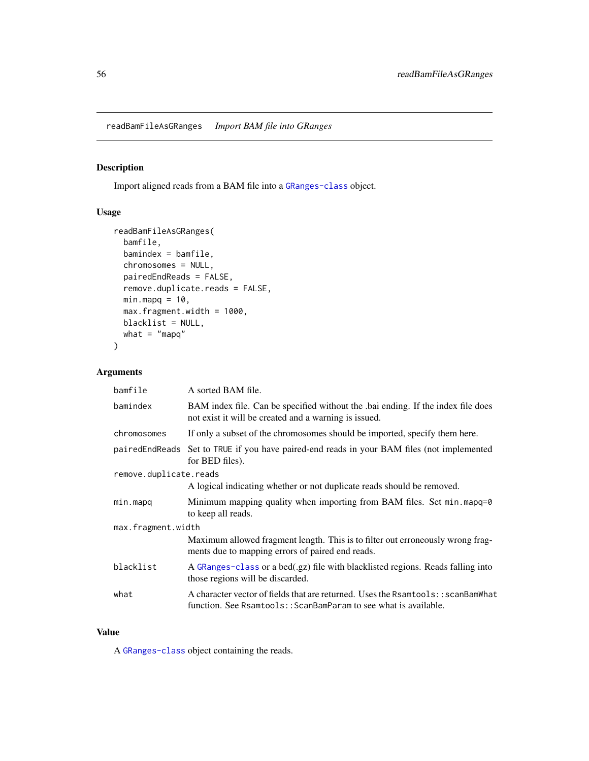<span id="page-55-0"></span>readBamFileAsGRanges *Import BAM file into GRanges*

## Description

Import aligned reads from a BAM file into a [GRanges-class](#page-0-0) object.

# Usage

```
readBamFileAsGRanges(
 bamfile,
 bamindex = bamfile,
 chromosomes = NULL,
 pairedEndReads = FALSE,
 remove.duplicate.reads = FALSE,
 minmapq = 10,
 max.fragment.width = 1000,
 blacklist = NULL,
 what = "mapq")
```
## Arguments

| bamfile                | A sorted BAM file.                                                                                                                                   |  |  |
|------------------------|------------------------------------------------------------------------------------------------------------------------------------------------------|--|--|
| bamindex               | BAM index file. Can be specified without the .bai ending. If the index file does<br>not exist it will be created and a warning is issued.            |  |  |
| chromosomes            | If only a subset of the chromosomes should be imported, specify them here.                                                                           |  |  |
|                        | paired End Reads Set to TRUE if you have paired-end reads in your BAM files (not implemented<br>for BED files).                                      |  |  |
| remove.duplicate.reads |                                                                                                                                                      |  |  |
|                        | A logical indicating whether or not duplicate reads should be removed.                                                                               |  |  |
| min.mapq               | Minimum mapping quality when importing from BAM files. Set $min.maxq=0$<br>to keep all reads.                                                        |  |  |
| max.fragment.width     |                                                                                                                                                      |  |  |
|                        | Maximum allowed fragment length. This is to filter out erroneously wrong frag-<br>ments due to mapping errors of paired end reads.                   |  |  |
| blacklist              | A GRanges-class or a bed(.gz) file with blacklisted regions. Reads falling into<br>those regions will be discarded.                                  |  |  |
| what                   | A character vector of fields that are returned. Uses the Rsamtools:: scanBamWhat<br>function. See Rsamtools:: ScanBamParam to see what is available. |  |  |

### Value

A [GRanges-class](#page-0-0) object containing the reads.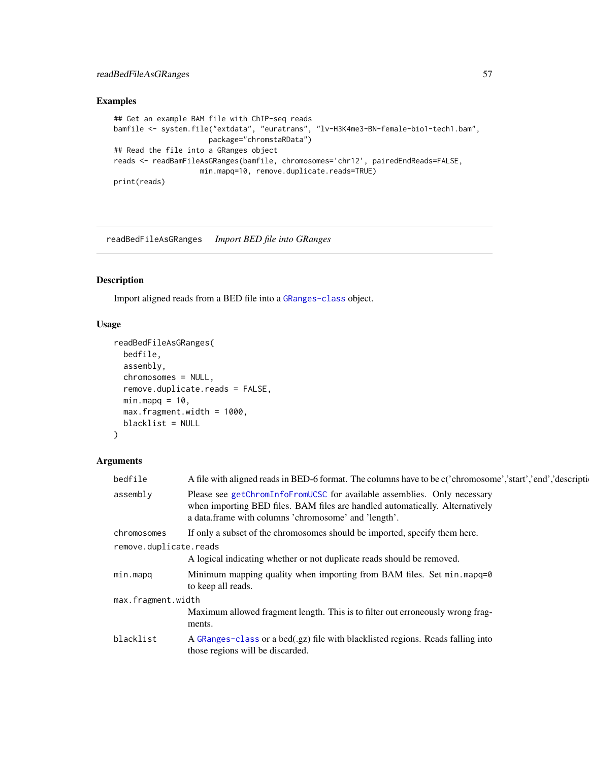### Examples

```
## Get an example BAM file with ChIP-seq reads
bamfile <- system.file("extdata", "euratrans", "lv-H3K4me3-BN-female-bio1-tech1.bam",
                     package="chromstaRData")
## Read the file into a GRanges object
reads <- readBamFileAsGRanges(bamfile, chromosomes='chr12', pairedEndReads=FALSE,
                    min.mapq=10, remove.duplicate.reads=TRUE)
print(reads)
```
<span id="page-56-0"></span>readBedFileAsGRanges *Import BED file into GRanges*

## Description

Import aligned reads from a BED file into a [GRanges-class](#page-0-0) object.

#### Usage

```
readBedFileAsGRanges(
 bedfile,
 assembly,
 chromosomes = NULL,
  remove.duplicate.reads = FALSE,
 minmapq = 10,
 max.fragment.width = 1000,
 blacklist = NULL
)
```
#### Arguments

| bedfile                               | A file with aligned reads in BED-6 format. The columns have to be c('chromosome','start','end','description-                                                                                                     |
|---------------------------------------|------------------------------------------------------------------------------------------------------------------------------------------------------------------------------------------------------------------|
| assembly                              | Please see getChromInfoFromUCSC for available assemblies. Only necessary<br>when importing BED files. BAM files are handled automatically. Alternatively<br>a data.frame with columns 'chromosome' and 'length'. |
| chromosomes<br>remove.duplicate.reads | If only a subset of the chromosomes should be imported, specify them here.                                                                                                                                       |
|                                       | A logical indicating whether or not duplicate reads should be removed.                                                                                                                                           |
| min.mapq                              | Minimum mapping quality when importing from BAM files. Set min.mapq=0<br>to keep all reads.                                                                                                                      |
| max.fragment.width                    |                                                                                                                                                                                                                  |
|                                       | Maximum allowed fragment length. This is to filter out erroneously wrong frag-<br>ments.                                                                                                                         |
| blacklist                             | A GRanges-class or a bed(.gz) file with blacklisted regions. Reads falling into<br>those regions will be discarded.                                                                                              |
|                                       |                                                                                                                                                                                                                  |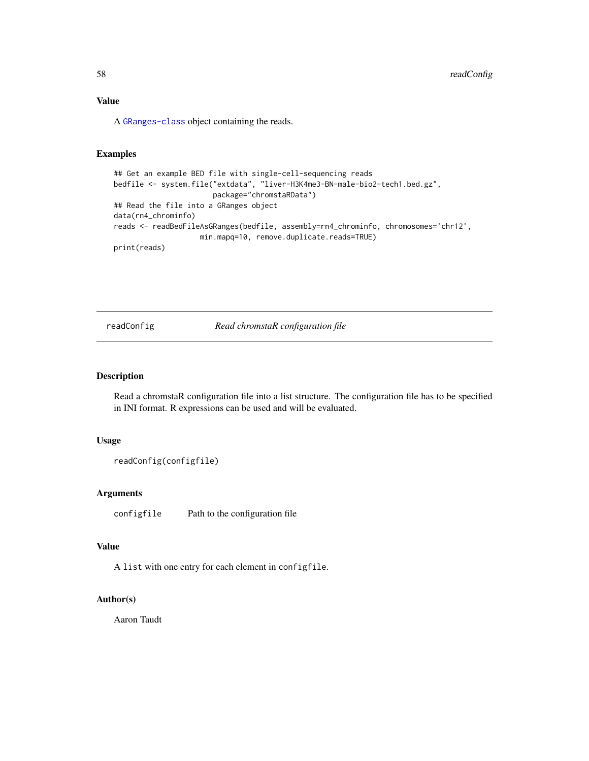### Value

A [GRanges-class](#page-0-0) object containing the reads.

### Examples

```
## Get an example BED file with single-cell-sequencing reads
bedfile <- system.file("extdata", "liver-H3K4me3-BN-male-bio2-tech1.bed.gz",
                       package="chromstaRData")
## Read the file into a GRanges object
data(rn4_chrominfo)
reads <- readBedFileAsGRanges(bedfile, assembly=rn4_chrominfo, chromosomes='chr12',
                    min.mapq=10, remove.duplicate.reads=TRUE)
print(reads)
```
readConfig *Read chromstaR configuration file*

### Description

Read a chromstaR configuration file into a list structure. The configuration file has to be specified in INI format. R expressions can be used and will be evaluated.

#### Usage

```
readConfig(configfile)
```
#### Arguments

configfile Path to the configuration file

#### Value

A list with one entry for each element in configfile.

## Author(s)

Aaron Taudt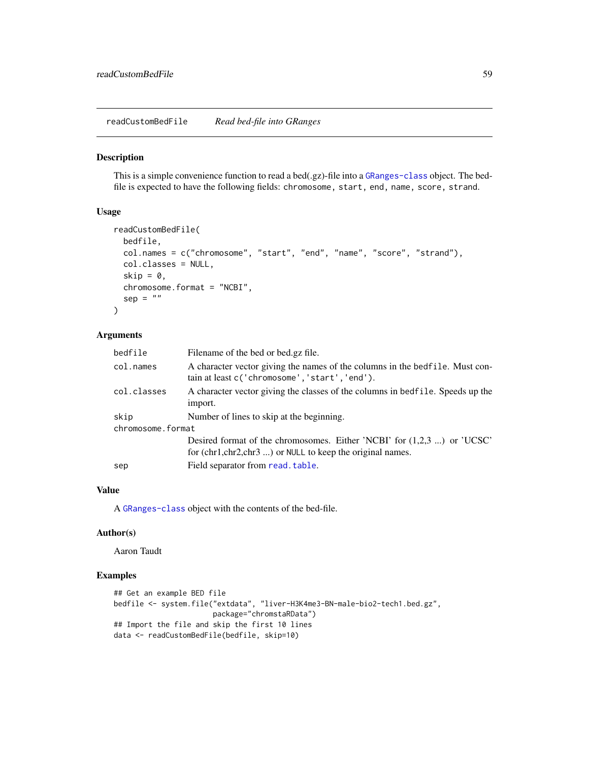readCustomBedFile *Read bed-file into GRanges*

#### Description

This is a simple convenience function to read a bed(.gz)-file into a [GRanges-class](#page-0-0) object. The bedfile is expected to have the following fields: chromosome, start, end, name, score, strand.

### Usage

```
readCustomBedFile(
 bedfile,
 col.names = c("chromosome", "start", "end", "name", "score", "strand"),
 col.classes = NULL,
 skip = 0,chromosome.format = "NCBI",
 sep = "")
```
### Arguments

| bedfile           | Filename of the bed or bed.gz file.                                                                                            |
|-------------------|--------------------------------------------------------------------------------------------------------------------------------|
| col.names         | A character vector giving the names of the columns in the bedfile. Must con-<br>tain at least c('chromosome', 'start', 'end'). |
| col.classes       | A character vector giving the classes of the columns in bedfile. Speeds up the<br>import.                                      |
| skip              | Number of lines to skip at the beginning.                                                                                      |
| chromosome.format |                                                                                                                                |
|                   | Desired format of the chromosomes. Either 'NCBI' for $(1,2,3 \dots)$ or 'UCSC'                                                 |
|                   | for (chr1,chr2,chr3 ) or NULL to keep the original names.                                                                      |
| sep               | Field separator from read. table.                                                                                              |

# Value

A [GRanges-class](#page-0-0) object with the contents of the bed-file.

# Author(s)

Aaron Taudt

```
## Get an example BED file
bedfile <- system.file("extdata", "liver-H3K4me3-BN-male-bio2-tech1.bed.gz",
                       package="chromstaRData")
## Import the file and skip the first 10 lines
data <- readCustomBedFile(bedfile, skip=10)
```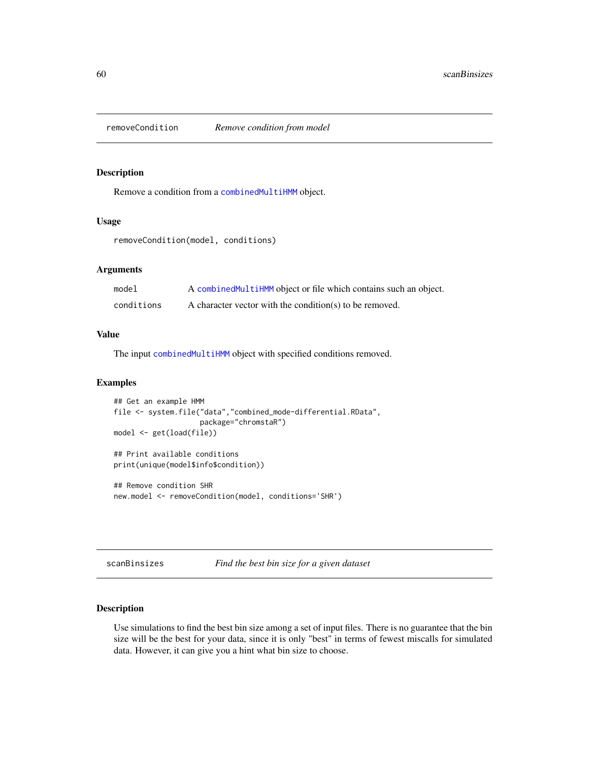Remove a condition from a [combinedMultiHMM](#page-24-0) object.

### Usage

```
removeCondition(model, conditions)
```
## Arguments

| model      | A combined MultiHMM object or file which contains such an object. |
|------------|-------------------------------------------------------------------|
| conditions | A character vector with the condition(s) to be removed.           |

### Value

The input [combinedMultiHMM](#page-24-0) object with specified conditions removed.

#### Examples

```
## Get an example HMM
file <- system.file("data","combined_mode-differential.RData",
                    package="chromstaR")
model <- get(load(file))
## Print available conditions
print(unique(model$info$condition))
## Remove condition SHR
new.model <- removeCondition(model, conditions='SHR')
```
scanBinsizes *Find the best bin size for a given dataset*

### Description

Use simulations to find the best bin size among a set of input files. There is no guarantee that the bin size will be the best for your data, since it is only "best" in terms of fewest miscalls for simulated data. However, it can give you a hint what bin size to choose.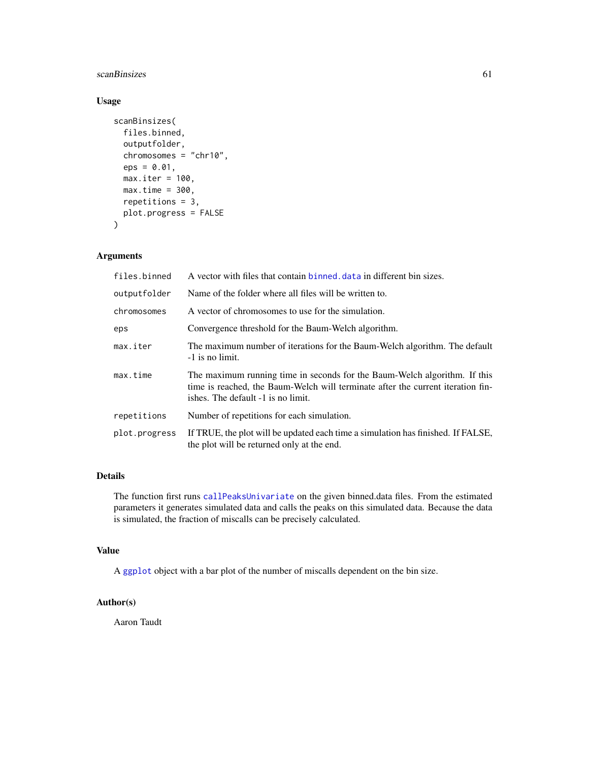### scanBinsizes 61

# Usage

```
scanBinsizes(
  files.binned,
  outputfolder,
  chromosomes = "chr10",
  eps = 0.01,max.iter = 100,max.time = 300,repetitions = 3,
 plot.progress = FALSE
)
```
#### Arguments

| files.binned  | A vector with files that contain binned, data in different bin sizes.                                                                                                                              |
|---------------|----------------------------------------------------------------------------------------------------------------------------------------------------------------------------------------------------|
| outputfolder  | Name of the folder where all files will be written to.                                                                                                                                             |
| chromosomes   | A vector of chromosomes to use for the simulation.                                                                                                                                                 |
| eps           | Convergence threshold for the Baum-Welch algorithm.                                                                                                                                                |
| max.iter      | The maximum number of iterations for the Baum-Welch algorithm. The default<br>-1 is no limit.                                                                                                      |
| max.time      | The maximum running time in seconds for the Baum-Welch algorithm. If this<br>time is reached, the Baum-Welch will terminate after the current iteration fin-<br>ishes. The default -1 is no limit. |
| repetitions   | Number of repetitions for each simulation.                                                                                                                                                         |
| plot.progress | If TRUE, the plot will be updated each time a simulation has finished. If FALSE,<br>the plot will be returned only at the end.                                                                     |

# Details

The function first runs [callPeaksUnivariate](#page-9-0) on the given binned.data files. From the estimated parameters it generates simulated data and calls the peaks on this simulated data. Because the data is simulated, the fraction of miscalls can be precisely calculated.

## Value

A [ggplot](#page-0-0) object with a bar plot of the number of miscalls dependent on the bin size.

# Author(s)

Aaron Taudt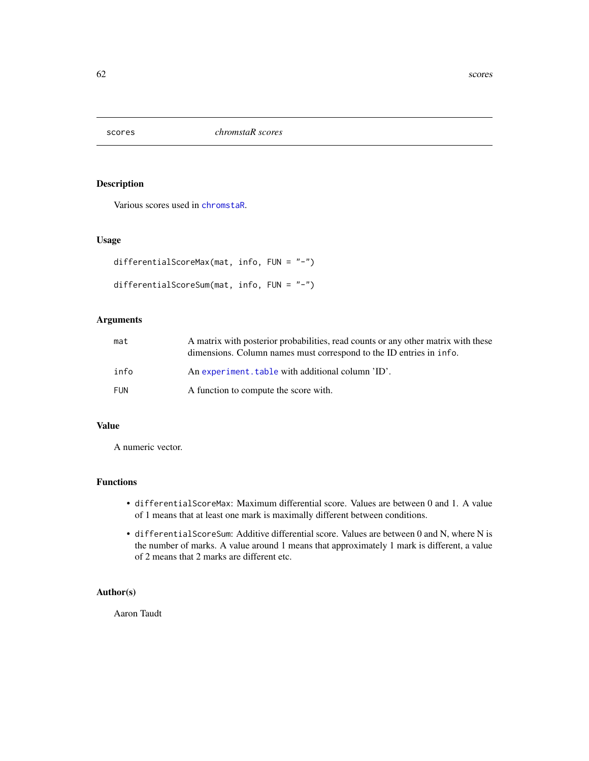Various scores used in [chromstaR](#page-2-0).

### Usage

```
differentialScoreMax(mat, info, FUN = "-")
differentialScoreSum(mat, info, FUN = "-")
```
## Arguments

| mat  | A matrix with posterior probabilities, read counts or any other matrix with these<br>dimensions. Column names must correspond to the ID entries in info. |
|------|----------------------------------------------------------------------------------------------------------------------------------------------------------|
| info | An experiment, table with additional column 'ID'.                                                                                                        |
| FUN  | A function to compute the score with.                                                                                                                    |

#### Value

A numeric vector.

### Functions

- differentialScoreMax: Maximum differential score. Values are between 0 and 1. A value of 1 means that at least one mark is maximally different between conditions.
- differentialScoreSum: Additive differential score. Values are between 0 and N, where N is the number of marks. A value around 1 means that approximately 1 mark is different, a value of 2 means that 2 marks are different etc.

# Author(s)

Aaron Taudt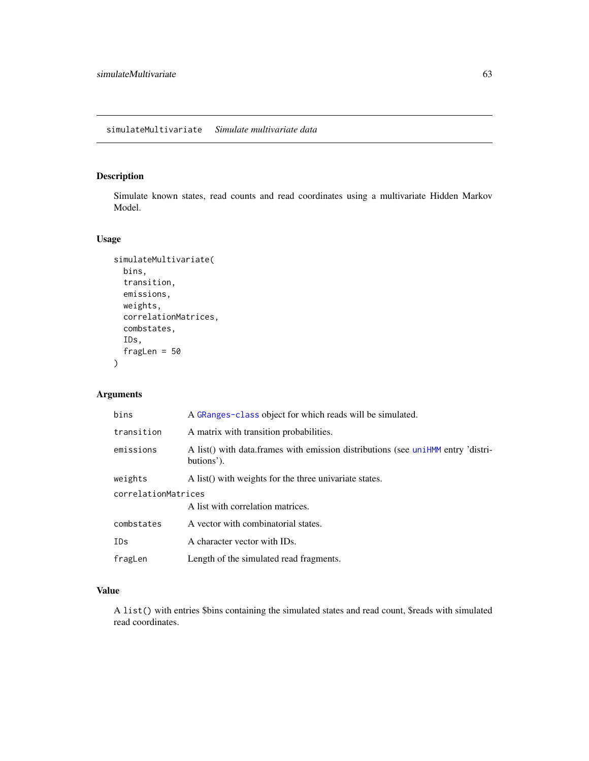Simulate known states, read counts and read coordinates using a multivariate Hidden Markov Model.

### Usage

```
simulateMultivariate(
 bins,
  transition,
  emissions,
 weights,
  correlationMatrices,
  combstates,
  IDs,
  fragLen = 50)
```
# Arguments

| bins                | A GRanges-class object for which reads will be simulated.                                      |  |
|---------------------|------------------------------------------------------------------------------------------------|--|
| transition          | A matrix with transition probabilities.                                                        |  |
| emissions           | A list() with data.frames with emission distributions (see uniHMM entry 'distri-<br>butions'). |  |
| weights             | A list() with weights for the three univariate states.                                         |  |
| correlationMatrices |                                                                                                |  |
|                     | A list with correlation matrices.                                                              |  |
| combstates          | A vector with combinatorial states.                                                            |  |
| IDs                 | A character vector with IDs.                                                                   |  |
| fragLen             | Length of the simulated read fragments.                                                        |  |

#### Value

A list() with entries \$bins containing the simulated states and read count, \$reads with simulated read coordinates.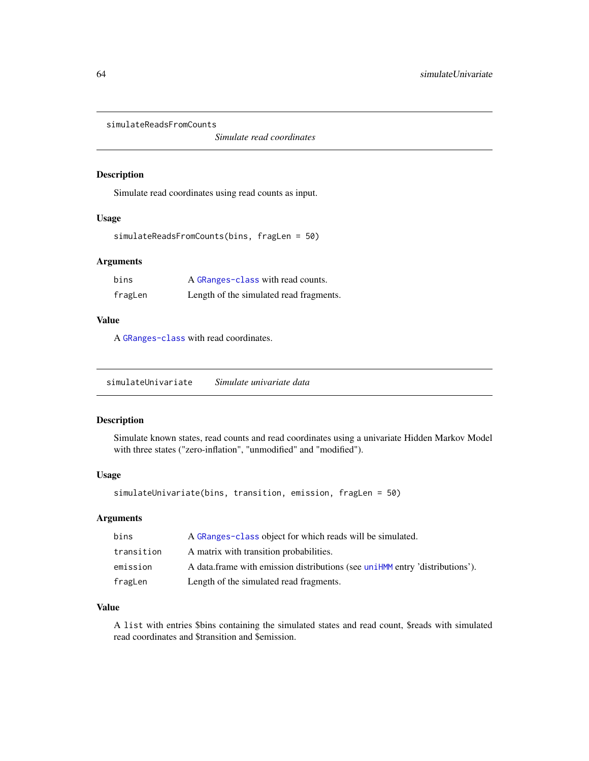simulateReadsFromCounts

*Simulate read coordinates*

### Description

Simulate read coordinates using read counts as input.

#### Usage

simulateReadsFromCounts(bins, fragLen = 50)

# Arguments

| bins    | A GRanges-class with read counts.       |
|---------|-----------------------------------------|
| fragLen | Length of the simulated read fragments. |

## Value

A [GRanges-class](#page-0-0) with read coordinates.

simulateUnivariate *Simulate univariate data*

## Description

Simulate known states, read counts and read coordinates using a univariate Hidden Markov Model with three states ("zero-inflation", "unmodified" and "modified").

### Usage

simulateUnivariate(bins, transition, emission, fragLen = 50)

### Arguments

| bins       | A GRanges-class object for which reads will be simulated.                    |
|------------|------------------------------------------------------------------------------|
| transition | A matrix with transition probabilities.                                      |
| emission   | A data frame with emission distributions (see uniHMM entry 'distributions'). |
| fragLen    | Length of the simulated read fragments.                                      |

### Value

A list with entries \$bins containing the simulated states and read count, \$reads with simulated read coordinates and \$transition and \$emission.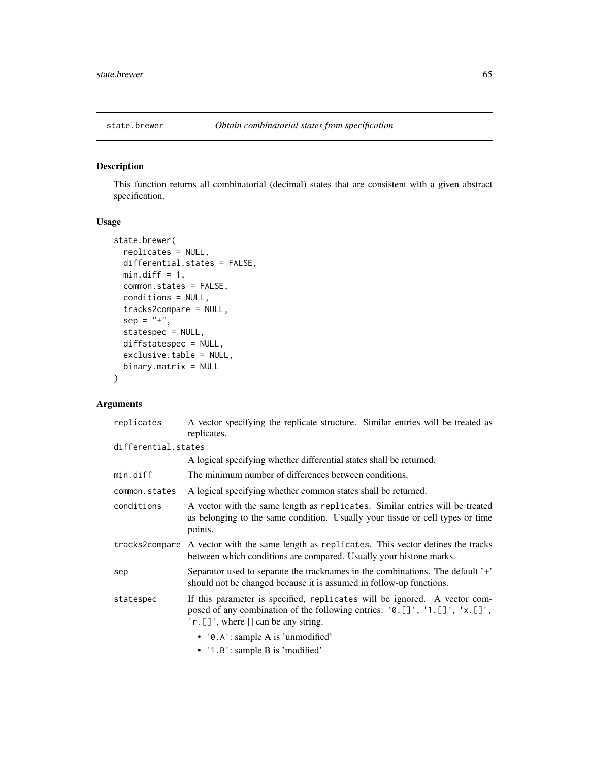This function returns all combinatorial (decimal) states that are consistent with a given abstract specification.

# Usage

```
state.brewer(
  replicates = NULL,
  differential.states = FALSE,
 min.diff = 1,
 common.states = FALSE,
  conditions = NULL,
  tracks2compare = NULL,
  sep = "+'',statespec = NULL,
 diffstatespec = NULL,
  exclusive.table = NULL,
 binary.matrix = NULL
\mathcal{L}
```
## Arguments

| replicates          | A vector specifying the replicate structure. Similar entries will be treated as<br>replicates.                                                                                                                                                                                                                                                          |
|---------------------|---------------------------------------------------------------------------------------------------------------------------------------------------------------------------------------------------------------------------------------------------------------------------------------------------------------------------------------------------------|
| differential.states |                                                                                                                                                                                                                                                                                                                                                         |
|                     | A logical specifying whether differential states shall be returned.                                                                                                                                                                                                                                                                                     |
| min.diff            | The minimum number of differences between conditions.                                                                                                                                                                                                                                                                                                   |
| common.states       | A logical specifying whether common states shall be returned.                                                                                                                                                                                                                                                                                           |
| conditions          | A vector with the same length as replicates. Similar entries will be treated<br>as belonging to the same condition. Usually your tissue or cell types or time<br>points.                                                                                                                                                                                |
| tracks2compare      | A vector with the same length as replicates. This vector defines the tracks<br>between which conditions are compared. Usually your histone marks.                                                                                                                                                                                                       |
| sep                 | Separator used to separate the tracknames in the combinations. The default '+'<br>should not be changed because it is assumed in follow-up functions.                                                                                                                                                                                                   |
| statespec           | If this parameter is specified, replicates will be ignored. A vector com-<br>posed of any combination of the following entries: '0.[]', '1.[]', 'x.[]',<br>$'r.$ []', where $\lceil$ can be any string.                                                                                                                                                 |
|                     | $\bullet$ '0.A': sample A is 'unmodified'<br>$\mathbf{a}$ is $\mathbf{b}$ in $\mathbf{c}$ in $\mathbf{c}$ in $\mathbf{c}$ in $\mathbf{c}$ in $\mathbf{c}$ in $\mathbf{c}$ in $\mathbf{c}$ in $\mathbf{c}$ in $\mathbf{c}$ in $\mathbf{c}$ in $\mathbf{c}$ in $\mathbf{c}$ in $\mathbf{c}$ in $\mathbf{c}$ in $\mathbf{c}$ in $\mathbf{c}$ in $\mathbf{$ |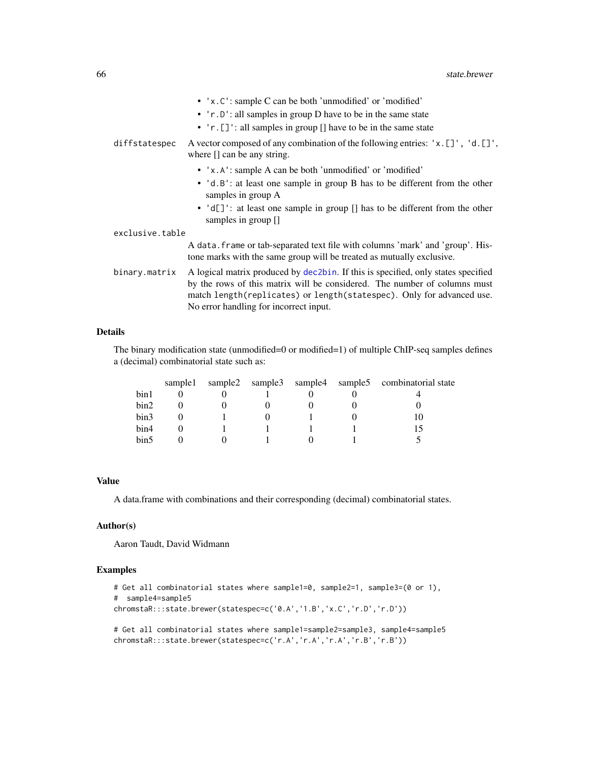|                 | • 'x.C': sample C can be both 'unmodified' or 'modified'                                                                                                                                                                                                                            |
|-----------------|-------------------------------------------------------------------------------------------------------------------------------------------------------------------------------------------------------------------------------------------------------------------------------------|
|                 | • 'r.D': all samples in group D have to be in the same state                                                                                                                                                                                                                        |
|                 | • $'r$ . []': all samples in group $\lceil$ have to be in the same state                                                                                                                                                                                                            |
| diffstatespec   | A vector composed of any combination of the following entries: $x \in [1', 'd]$ .<br>where $\lceil$ can be any string.                                                                                                                                                              |
|                 | • 'x.A': sample A can be both 'unmodified' or 'modified'                                                                                                                                                                                                                            |
|                 | • 'd.B': at least one sample in group B has to be different from the other<br>samples in group A                                                                                                                                                                                    |
|                 | • 'd[]': at least one sample in group [] has to be different from the other<br>samples in group $\lceil \cdot \rceil$                                                                                                                                                               |
| exclusive.table |                                                                                                                                                                                                                                                                                     |
|                 | A data frame or tab-separated text file with columns 'mark' and 'group'. His-<br>tone marks with the same group will be treated as mutually exclusive.                                                                                                                              |
| binary.matrix   | A logical matrix produced by dec2bin. If this is specified, only states specified<br>by the rows of this matrix will be considered. The number of columns must<br>match length (replicates) or length (statespec). Only for advanced use.<br>No error handling for incorrect input. |

#### Details

The binary modification state (unmodified=0 or modified=1) of multiple ChIP-seq samples defines a (decimal) combinatorial state such as:

|      | sample1 |  |  | sample2 sample3 sample4 sample5 combinatorial state |
|------|---------|--|--|-----------------------------------------------------|
| bin1 |         |  |  |                                                     |
| bin2 |         |  |  |                                                     |
| bin3 |         |  |  |                                                     |
| bin4 |         |  |  |                                                     |
| bin5 |         |  |  |                                                     |

### Value

A data.frame with combinations and their corresponding (decimal) combinatorial states.

### Author(s)

Aaron Taudt, David Widmann

## Examples

```
# Get all combinatorial states where sample1=0, sample2=1, sample3=(0 or 1),
# sample4=sample5
chromstaR:::state.brewer(statespec=c('0.A','1.B','x.C','r.D','r.D'))
```
# Get all combinatorial states where sample1=sample2=sample3, sample4=sample5 chromstaR:::state.brewer(statespec=c('r.A','r.A','r.A','r.B','r.B'))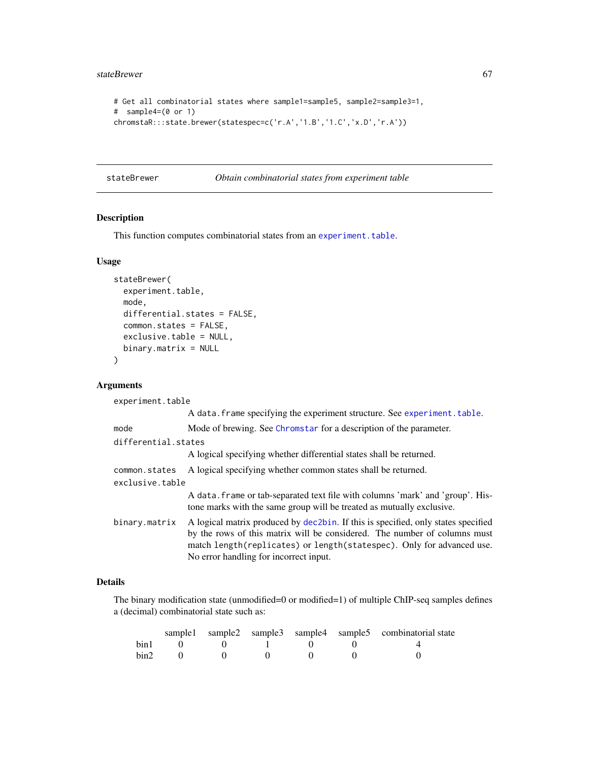```
# Get all combinatorial states where sample1=sample5, sample2=sample3=1,
# sample4=(0 or 1)
chromstaR:::state.brewer(statespec=c('r.A','1.B','1.C','x.D','r.A'))
```
stateBrewer *Obtain combinatorial states from experiment table*

### Description

This function computes combinatorial states from an [experiment.table](#page-31-0).

#### Usage

```
stateBrewer(
  experiment.table,
 mode,
 differential.states = FALSE,
  common.states = FALSE,
  exclusive.table = NULL,
 binary.matrix = NULL
\mathcal{L}
```
## Arguments

| experiment.table    |                                                                                                                                                                                                                                                                                     |  |  |
|---------------------|-------------------------------------------------------------------------------------------------------------------------------------------------------------------------------------------------------------------------------------------------------------------------------------|--|--|
|                     | A data. frame specifying the experiment structure. See experiment. table.                                                                                                                                                                                                           |  |  |
| mode                | Mode of brewing. See Chromstar for a description of the parameter.                                                                                                                                                                                                                  |  |  |
| differential.states |                                                                                                                                                                                                                                                                                     |  |  |
|                     | A logical specifying whether differential states shall be returned.                                                                                                                                                                                                                 |  |  |
| common.states       | A logical specifying whether common states shall be returned.                                                                                                                                                                                                                       |  |  |
| exclusive.table     |                                                                                                                                                                                                                                                                                     |  |  |
|                     | A data frame or tab-separated text file with columns 'mark' and 'group'. His-<br>tone marks with the same group will be treated as mutually exclusive.                                                                                                                              |  |  |
| binary.matrix       | A logical matrix produced by dec2bin. If this is specified, only states specified<br>by the rows of this matrix will be considered. The number of columns must<br>match length (replicates) or length (statespec). Only for advanced use.<br>No error handling for incorrect input. |  |  |

# Details

The binary modification state (unmodified=0 or modified=1) of multiple ChIP-seq samples defines a (decimal) combinatorial state such as:

|      |  |  | sample1 sample2 sample3 sample4 sample5 combinatorial state |
|------|--|--|-------------------------------------------------------------|
| bin1 |  |  |                                                             |
| bin2 |  |  |                                                             |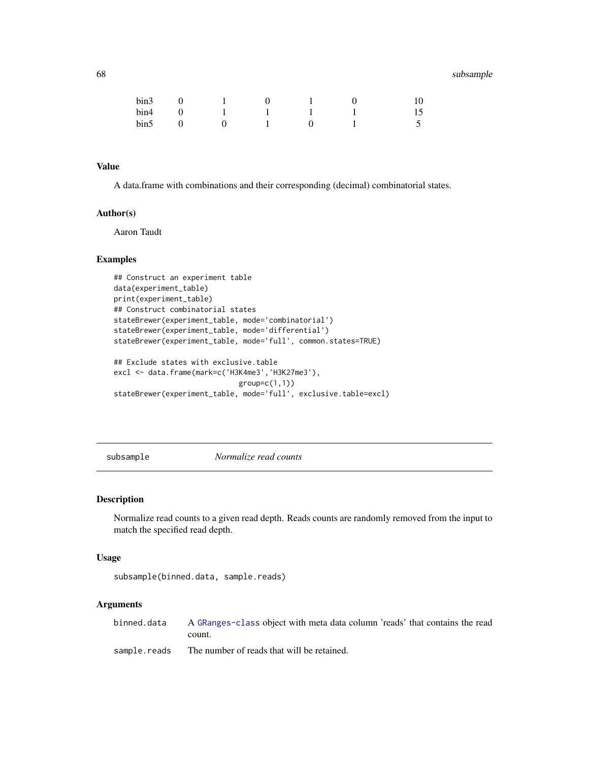## 68 subsample

| bin3 |  |  |  |
|------|--|--|--|
| bin4 |  |  |  |
| bin5 |  |  |  |

#### Value

A data.frame with combinations and their corresponding (decimal) combinatorial states.

#### Author(s)

Aaron Taudt

## Examples

```
## Construct an experiment table
data(experiment_table)
print(experiment_table)
## Construct combinatorial states
stateBrewer(experiment_table, mode='combinatorial')
stateBrewer(experiment_table, mode='differential')
stateBrewer(experiment_table, mode='full', common.states=TRUE)
```

```
## Exclude states with exclusive.table
excl <- data.frame(mark=c('H3K4me3','H3K27me3'),
                            group=c(1,1))stateBrewer(experiment_table, mode='full', exclusive.table=excl)
```
subsample *Normalize read counts*

#### Description

Normalize read counts to a given read depth. Reads counts are randomly removed from the input to match the specified read depth.

#### Usage

subsample(binned.data, sample.reads)

### Arguments

binned.data A [GRanges-class](#page-0-0) object with meta data column 'reads' that contains the read count.

sample.reads The number of reads that will be retained.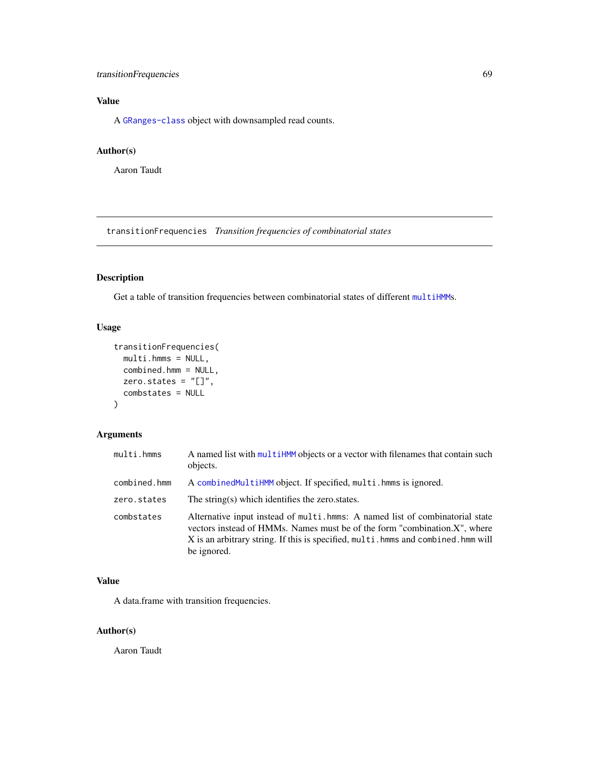## transitionFrequencies 69

# Value

A [GRanges-class](#page-0-0) object with downsampled read counts.

### Author(s)

Aaron Taudt

transitionFrequencies *Transition frequencies of combinatorial states*

## Description

Get a table of transition frequencies between combinatorial states of different [multiHMM](#page-45-0)s.

## Usage

```
transitionFrequencies(
 multi.hmms = NULL,
 combined.hmm = NULL,
 zero.states = "[]",combstates = NULL
)
```
## Arguments

| multi.hmms   | A named list with multiHMM objects or a vector with filenames that contain such<br>objects.                                                                                                                                                                    |
|--------------|----------------------------------------------------------------------------------------------------------------------------------------------------------------------------------------------------------------------------------------------------------------|
| combined.hmm | A combined MultiHMM object. If specified, multi. hmms is ignored.                                                                                                                                                                                              |
| zero.states  | The string(s) which identifies the zero states.                                                                                                                                                                                                                |
| combstates   | Alternative input instead of multi.hmms: A named list of combinatorial state<br>vectors instead of HMMs. Names must be of the form "combination.X", where<br>X is an arbitrary string. If this is specified, multi. hmms and combined. hmm will<br>be ignored. |

#### Value

A data.frame with transition frequencies.

#### Author(s)

Aaron Taudt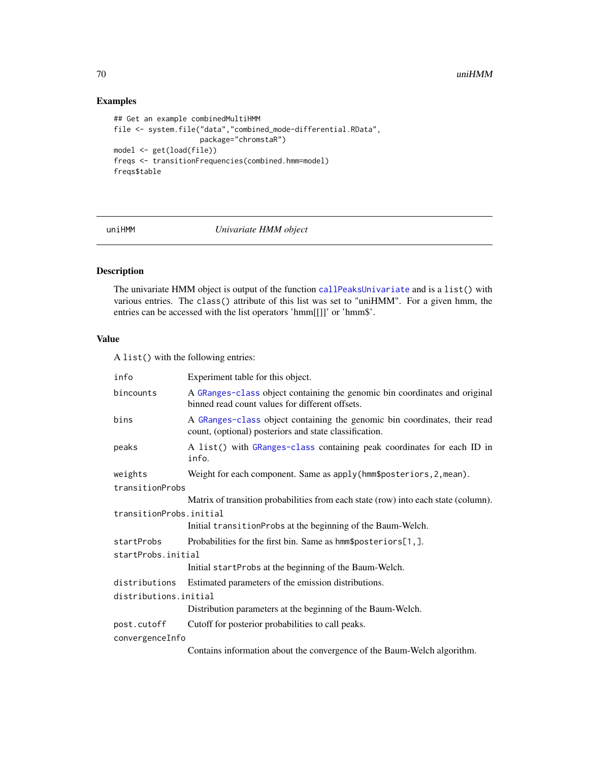# Examples

```
## Get an example combinedMultiHMM
file <- system.file("data","combined_mode-differential.RData",
                    package="chromstaR")
model <- get(load(file))
freqs <- transitionFrequencies(combined.hmm=model)
freqs$table
```
<span id="page-69-0"></span>

uniHMM *Univariate HMM object*

## Description

The univariate HMM object is output of the function [callPeaksUnivariate](#page-9-0) and is a list() with various entries. The class() attribute of this list was set to "uniHMM". For a given hmm, the entries can be accessed with the list operators 'hmm[[]]' or 'hmm\$'.

## Value

A list() with the following entries:

| info                    | Experiment table for this object.                                                                                                   |  |  |  |
|-------------------------|-------------------------------------------------------------------------------------------------------------------------------------|--|--|--|
| bincounts               | A GRanges-class object containing the genomic bin coordinates and original<br>binned read count values for different offsets.       |  |  |  |
| bins                    | A GRanges-class object containing the genomic bin coordinates, their read<br>count, (optional) posteriors and state classification. |  |  |  |
| peaks                   | A list() with GRanges-class containing peak coordinates for each ID in<br>info.                                                     |  |  |  |
| weights                 | Weight for each component. Same as apply (hmm\$posteriors, 2, mean).                                                                |  |  |  |
| transitionProbs         |                                                                                                                                     |  |  |  |
|                         | Matrix of transition probabilities from each state (row) into each state (column).                                                  |  |  |  |
| transitionProbs.initial |                                                                                                                                     |  |  |  |
|                         | Initial transitionProbs at the beginning of the Baum-Welch.                                                                         |  |  |  |
| startProbs              | Probabilities for the first bin. Same as hmm\$posteriors[1,].                                                                       |  |  |  |
| startProbs.initial      |                                                                                                                                     |  |  |  |
|                         | Initial startProbs at the beginning of the Baum-Welch.                                                                              |  |  |  |
| distributions           | Estimated parameters of the emission distributions.                                                                                 |  |  |  |
| distributions.initial   |                                                                                                                                     |  |  |  |
|                         | Distribution parameters at the beginning of the Baum-Welch.                                                                         |  |  |  |
| post.cutoff             | Cutoff for posterior probabilities to call peaks.                                                                                   |  |  |  |
| convergenceInfo         |                                                                                                                                     |  |  |  |
|                         | Contains information about the convergence of the Baum-Welch algorithm.                                                             |  |  |  |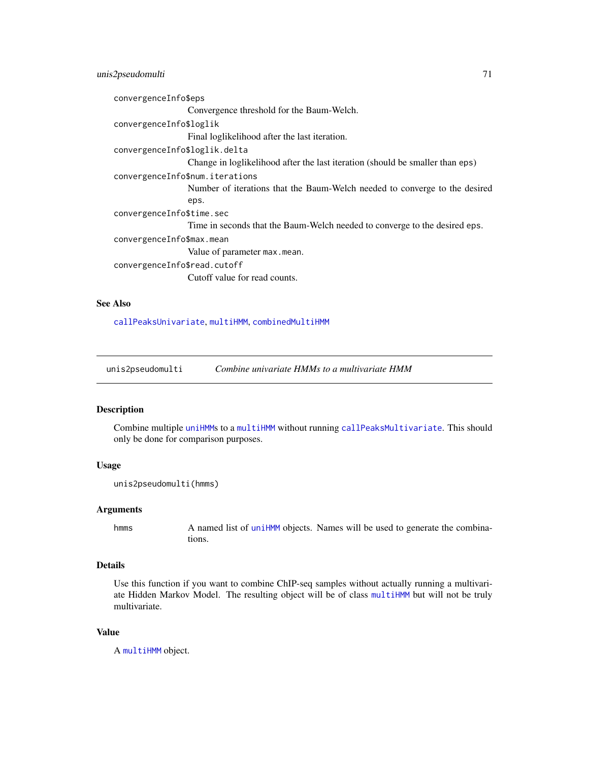## unis2pseudomulti 71

convergenceInfo\$eps Convergence threshold for the Baum-Welch. convergenceInfo\$loglik Final loglikelihood after the last iteration. convergenceInfo\$loglik.delta Change in loglikelihood after the last iteration (should be smaller than eps) convergenceInfo\$num.iterations Number of iterations that the Baum-Welch needed to converge to the desired eps. convergenceInfo\$time.sec Time in seconds that the Baum-Welch needed to converge to the desired eps. convergenceInfo\$max.mean Value of parameter max.mean. convergenceInfo\$read.cutoff Cutoff value for read counts.

#### See Also

[callPeaksUnivariate](#page-9-0), [multiHMM](#page-45-0), [combinedMultiHMM](#page-24-0)

unis2pseudomulti *Combine univariate HMMs to a multivariate HMM*

#### Description

Combine multiple [uniHMM](#page-69-0)s to a [multiHMM](#page-45-0) without running [callPeaksMultivariate](#page-5-0). This should only be done for comparison purposes.

### Usage

```
unis2pseudomulti(hmms)
```
#### Arguments

hmms A named list of [uniHMM](#page-69-0) objects. Names will be used to generate the combinations.

### Details

Use this function if you want to combine ChIP-seq samples without actually running a multivariate Hidden Markov Model. The resulting object will be of class [multiHMM](#page-45-0) but will not be truly multivariate.

#### Value

A [multiHMM](#page-45-0) object.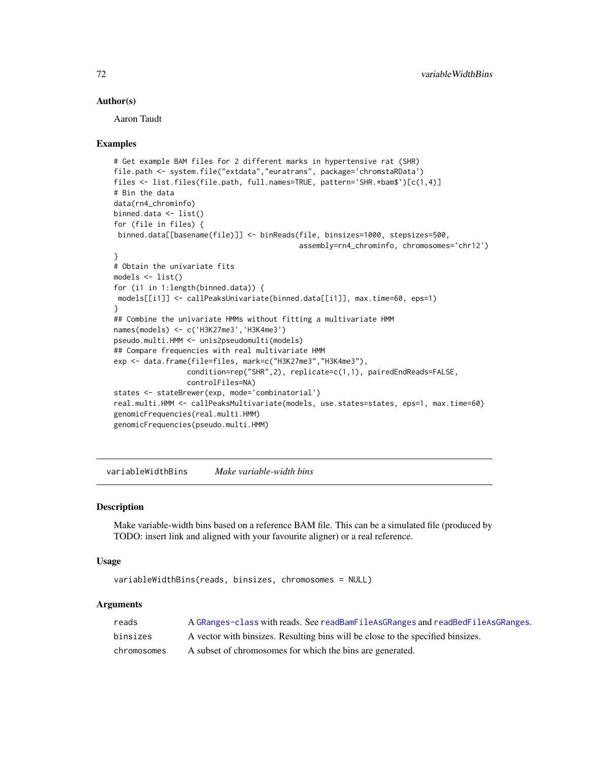#### Author(s)

Aaron Taudt

#### Examples

```
# Get example BAM files for 2 different marks in hypertensive rat (SHR)
file.path <- system.file("extdata","euratrans", package='chromstaRData')
files <- list.files(file.path, full.names=TRUE, pattern='SHR.*bam$')[c(1,4)]
# Bin the data
data(rn4_chrominfo)
binned.data <- list()
for (file in files) {
binned.data[[basename(file)]] <- binReads(file, binsizes=1000, stepsizes=500,
                                           assembly=rn4_chrominfo, chromosomes='chr12')
}
# Obtain the univariate fits
models \leq - list()
for (i1 in 1:length(binned.data)) {
models[[i1]] <- callPeaksUnivariate(binned.data[[i1]], max.time=60, eps=1)
}
## Combine the univariate HMMs without fitting a multivariate HMM
names(models) <- c('H3K27me3','H3K4me3')
pseudo.multi.HMM <- unis2pseudomulti(models)
## Compare frequencies with real multivariate HMM
exp <- data.frame(file=files, mark=c("H3K27me3","H3K4me3"),
                 condition=rep("SHR",2), replicate=c(1,1), pairedEndReads=FALSE,
                 controlFiles=NA)
states <- stateBrewer(exp, mode='combinatorial')
real.multi.HMM <- callPeaksMultivariate(models, use.states=states, eps=1, max.time=60)
genomicFrequencies(real.multi.HMM)
genomicFrequencies(pseudo.multi.HMM)
```
variableWidthBins *Make variable-width bins*

#### Description

Make variable-width bins based on a reference BAM file. This can be a simulated file (produced by TODO: insert link and aligned with your favourite aligner) or a real reference.

#### Usage

variableWidthBins(reads, binsizes, chromosomes = NULL)

#### Arguments

| reads       | A GRanges-class with reads. See readBamFileAsGRanges and readBedFileAsGRanges.  |
|-------------|---------------------------------------------------------------------------------|
| binsizes    | A vector with binsizes. Resulting bins will be close to the specified binsizes. |
| chromosomes | A subset of chromosomes for which the bins are generated.                       |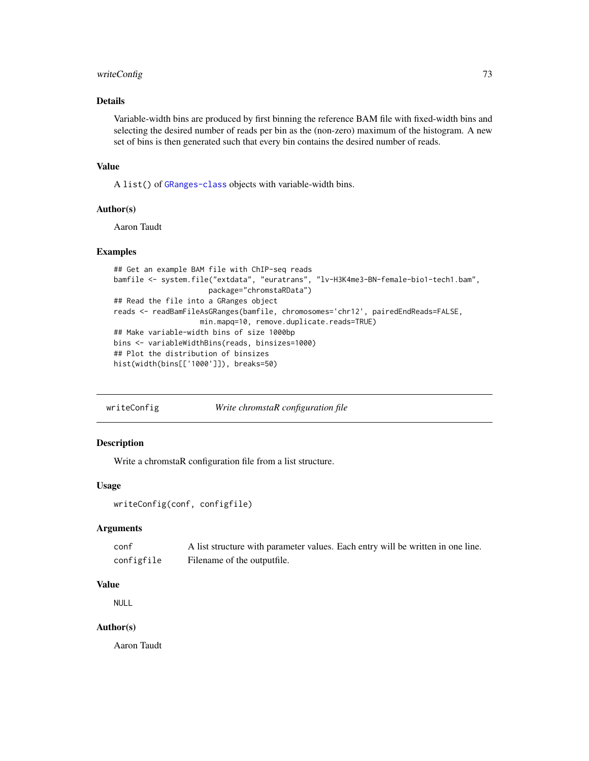## <span id="page-72-0"></span>writeConfig 23

## Details

Variable-width bins are produced by first binning the reference BAM file with fixed-width bins and selecting the desired number of reads per bin as the (non-zero) maximum of the histogram. A new set of bins is then generated such that every bin contains the desired number of reads.

## Value

A list() of [GRanges-class](#page-0-0) objects with variable-width bins.

#### Author(s)

Aaron Taudt

#### Examples

```
## Get an example BAM file with ChIP-seq reads
bamfile <- system.file("extdata", "euratrans", "lv-H3K4me3-BN-female-bio1-tech1.bam",
                      package="chromstaRData")
## Read the file into a GRanges object
reads <- readBamFileAsGRanges(bamfile, chromosomes='chr12', pairedEndReads=FALSE,
                    min.mapq=10, remove.duplicate.reads=TRUE)
## Make variable-width bins of size 1000bp
bins <- variableWidthBins(reads, binsizes=1000)
## Plot the distribution of binsizes
hist(width(bins[['1000']]), breaks=50)
```
writeConfig *Write chromstaR configuration file*

## Description

Write a chromstaR configuration file from a list structure.

#### Usage

```
writeConfig(conf, configfile)
```
## Arguments

| conf       | A list structure with parameter values. Each entry will be written in one line. |
|------------|---------------------------------------------------------------------------------|
| configfile | Filename of the outputfile.                                                     |

#### Value

NULL

#### Author(s)

Aaron Taudt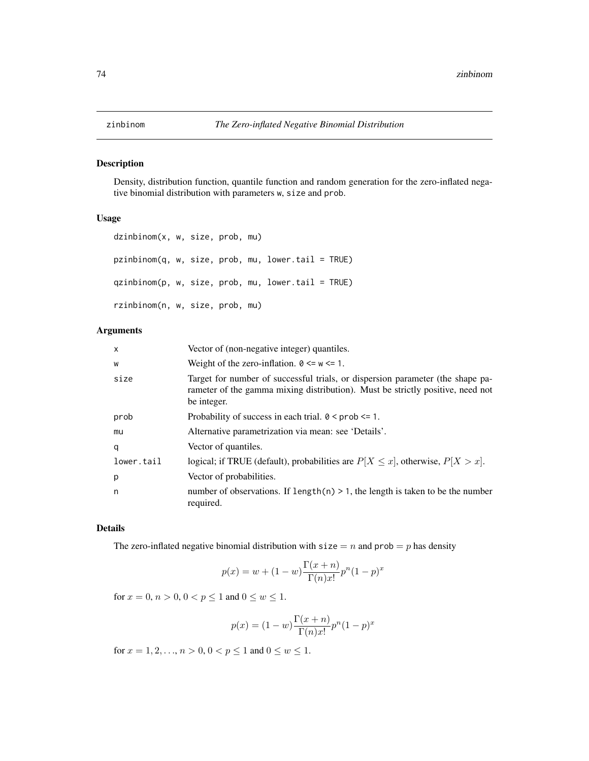<span id="page-73-0"></span>

# Description

Density, distribution function, quantile function and random generation for the zero-inflated negative binomial distribution with parameters w, size and prob.

#### Usage

```
dzinbinom(x, w, size, prob, mu)
pzinhinom(q, w, size, prob, mu, lower.tail = TRUE)qzinbinom(p, w, size, prob, mu, lower.tail = TRUE)
rzinbinom(n, w, size, prob, mu)
```
# Arguments

| $\mathsf{x}$ | Vector of (non-negative integer) quantiles.                                                                                                                                     |
|--------------|---------------------------------------------------------------------------------------------------------------------------------------------------------------------------------|
| W            | Weight of the zero-inflation. $0 \le w \le 1$ .                                                                                                                                 |
| size         | Target for number of successful trials, or dispersion parameter (the shape pa-<br>rameter of the gamma mixing distribution). Must be strictly positive, need not<br>be integer. |
| prob         | Probability of success in each trial. $0 \leq prob \leq 1$ .                                                                                                                    |
| mu           | Alternative parametrization via mean: see 'Details'.                                                                                                                            |
| q            | Vector of quantiles.                                                                                                                                                            |
| lower.tail   | logical; if TRUE (default), probabilities are $P[X \le x]$ , otherwise, $P[X > x]$ .                                                                                            |
| p            | Vector of probabilities.                                                                                                                                                        |
| n            | number of observations. If $length(n) > 1$ , the length is taken to be the number<br>required.                                                                                  |

## Details

The zero-inflated negative binomial distribution with  $size = n$  and  $prob = p$  has density

$$
p(x) = w + (1 - w) \frac{\Gamma(x + n)}{\Gamma(n)x!} p^{n} (1 - p)^{x}
$$

for  $x = 0, n > 0, 0 < p \le 1$  and  $0 \le w \le 1$ .

$$
p(x) = (1 - w) \frac{\Gamma(x + n)}{\Gamma(n)x!} p^{n} (1 - p)^{x}
$$

for  $x = 1, 2, ..., n > 0, 0 < p \le 1$  and  $0 \le w \le 1$ .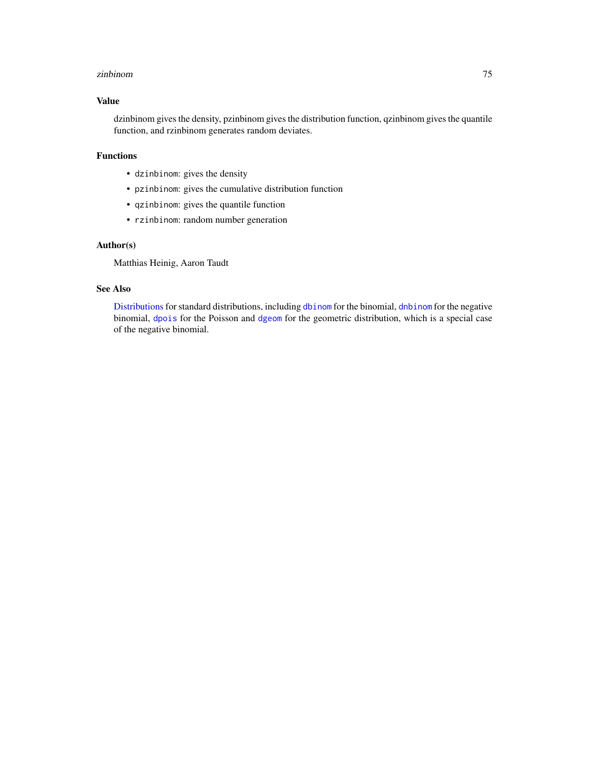#### <span id="page-74-0"></span>zinbinom **75**

# Value

dzinbinom gives the density, pzinbinom gives the distribution function, qzinbinom gives the quantile function, and rzinbinom generates random deviates.

# Functions

- dzinbinom: gives the density
- pzinbinom: gives the cumulative distribution function
- qzinbinom: gives the quantile function
- rzinbinom: random number generation

#### Author(s)

Matthias Heinig, Aaron Taudt

#### See Also

[Distributions](#page-0-0) for standard distributions, including [dbinom](#page-0-0) for the binomial, [dnbinom](#page-0-0) for the negative binomial, [dpois](#page-0-0) for the Poisson and [dgeom](#page-0-0) for the geometric distribution, which is a special case of the negative binomial.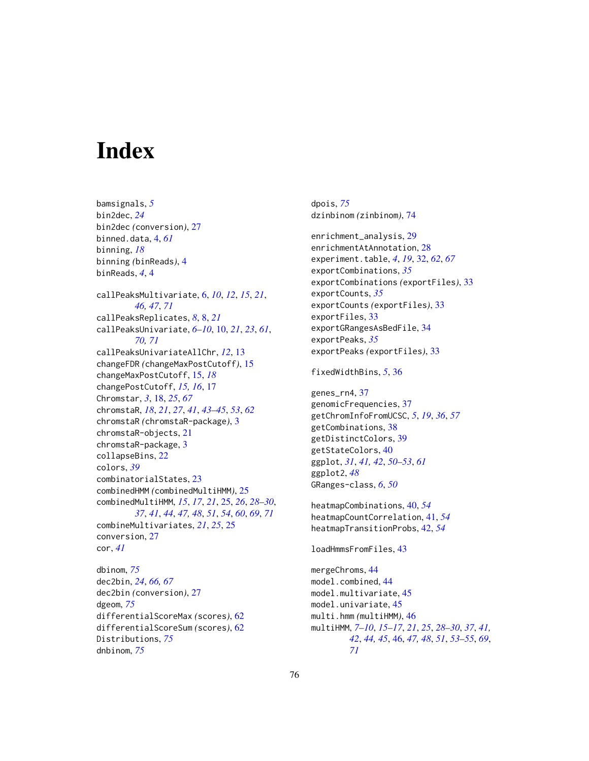# **Index**

bamsignals, *[5](#page-4-0)* bin2dec, *[24](#page-23-0)* bin2dec *(*conversion*)*, [27](#page-26-0) binned.data, [4,](#page-3-0) *[61](#page-60-0)* binning, *[18](#page-17-0)* binning *(*binReads*)*, [4](#page-3-0) binReads, *[4](#page-3-0)*, [4](#page-3-0) callPeaksMultivariate, [6,](#page-5-0) *[10](#page-9-0)*, *[12](#page-11-0)*, *[15](#page-14-0)*, *[21](#page-20-0)*, *[46,](#page-45-0) [47](#page-46-0)*, *[71](#page-70-0)* callPeaksReplicates, *[8](#page-7-0)*, [8,](#page-7-0) *[21](#page-20-0)* callPeaksUnivariate, *[6–](#page-5-0)[10](#page-9-0)*, [10,](#page-9-0) *[21](#page-20-0)*, *[23](#page-22-0)*, *[61](#page-60-0)*, *[70,](#page-69-0) [71](#page-70-0)* callPeaksUnivariateAllChr, *[12](#page-11-0)*, [13](#page-12-0) changeFDR *(*changeMaxPostCutoff*)*, [15](#page-14-0) changeMaxPostCutoff, [15,](#page-14-0) *[18](#page-17-0)* changePostCutoff, *[15,](#page-14-0) [16](#page-15-0)*, [17](#page-16-0) Chromstar, *[3](#page-2-0)*, [18,](#page-17-0) *[25](#page-24-0)*, *[67](#page-66-0)* chromstaR, *[18](#page-17-0)*, *[21](#page-20-0)*, *[27](#page-26-0)*, *[41](#page-40-0)*, *[43–](#page-42-0)[45](#page-44-0)*, *[53](#page-52-0)*, *[62](#page-61-0)* chromstaR *(*chromstaR-package*)*, [3](#page-2-0) chromstaR-objects, [21](#page-20-0) chromstaR-package, [3](#page-2-0) collapseBins, [22](#page-21-0) colors, *[39](#page-38-0)* combinatorialStates, [23](#page-22-0) combinedHMM *(*combinedMultiHMM*)*, [25](#page-24-0) combinedMultiHMM, *[15](#page-14-0)*, *[17](#page-16-0)*, *[21](#page-20-0)*, [25,](#page-24-0) *[26](#page-25-0)*, *[28–](#page-27-0)[30](#page-29-0)*, *[37](#page-36-0)*, *[41](#page-40-0)*, *[44](#page-43-0)*, *[47,](#page-46-0) [48](#page-47-0)*, *[51](#page-50-0)*, *[54](#page-53-0)*, *[60](#page-59-0)*, *[69](#page-68-0)*, *[71](#page-70-0)* combineMultivariates, *[21](#page-20-0)*, *[25](#page-24-0)*, [25](#page-24-0) conversion, [27](#page-26-0) cor, *[41](#page-40-0)* dbinom, *[75](#page-74-0)* dec2bin, *[24](#page-23-0)*, *[66,](#page-65-0) [67](#page-66-0)* dec2bin *(*conversion*)*, [27](#page-26-0) dgeom, *[75](#page-74-0)* differentialScoreMax *(*scores*)*, [62](#page-61-0) differentialScoreSum *(*scores*)*, [62](#page-61-0)

Distributions, *[75](#page-74-0)* dnbinom, *[75](#page-74-0)*

dzinbinom *(*zinbinom*)*, [74](#page-73-0) enrichment\_analysis, [29](#page-28-0) enrichmentAtAnnotation, [28](#page-27-0) experiment.table, *[4](#page-3-0)*, *[19](#page-18-0)*, [32,](#page-31-0) *[62](#page-61-0)*, *[67](#page-66-0)* exportCombinations, *[35](#page-34-0)* exportCombinations *(*exportFiles*)*, [33](#page-32-0) exportCounts, *[35](#page-34-0)* exportCounts *(*exportFiles*)*, [33](#page-32-0) exportFiles, [33](#page-32-0) exportGRangesAsBedFile, [34](#page-33-0) exportPeaks, *[35](#page-34-0)* exportPeaks *(*exportFiles*)*, [33](#page-32-0)

fixedWidthBins, *[5](#page-4-0)*, [36](#page-35-0)

dpois, *[75](#page-74-0)*

genes\_rn4, [37](#page-36-0) genomicFrequencies, [37](#page-36-0) getChromInfoFromUCSC, *[5](#page-4-0)*, *[19](#page-18-0)*, *[36](#page-35-0)*, *[57](#page-56-0)* getCombinations, [38](#page-37-0) getDistinctColors, [39](#page-38-0) getStateColors, [40](#page-39-0) ggplot, *[31](#page-30-0)*, *[41,](#page-40-0) [42](#page-41-0)*, *[50](#page-49-0)[–53](#page-52-0)*, *[61](#page-60-0)* ggplot2, *[48](#page-47-0)* GRanges-class, *[6](#page-5-0)*, *[50](#page-49-0)*

heatmapCombinations, [40,](#page-39-0) *[54](#page-53-0)* heatmapCountCorrelation, [41,](#page-40-0) *[54](#page-53-0)* heatmapTransitionProbs, [42,](#page-41-0) *[54](#page-53-0)*

loadHmmsFromFiles, [43](#page-42-0)

mergeChroms, [44](#page-43-0) model.combined, [44](#page-43-0) model.multivariate, [45](#page-44-0) model.univariate, [45](#page-44-0) multi.hmm *(*multiHMM*)*, [46](#page-45-0) multiHMM, *[7](#page-6-0)[–10](#page-9-0)*, *[15](#page-14-0)[–17](#page-16-0)*, *[21](#page-20-0)*, *[25](#page-24-0)*, *[28](#page-27-0)[–30](#page-29-0)*, *[37](#page-36-0)*, *[41,](#page-40-0) [42](#page-41-0)*, *[44,](#page-43-0) [45](#page-44-0)*, [46,](#page-45-0) *[47,](#page-46-0) [48](#page-47-0)*, *[51](#page-50-0)*, *[53](#page-52-0)[–55](#page-54-0)*, *[69](#page-68-0)*, *[71](#page-70-0)*